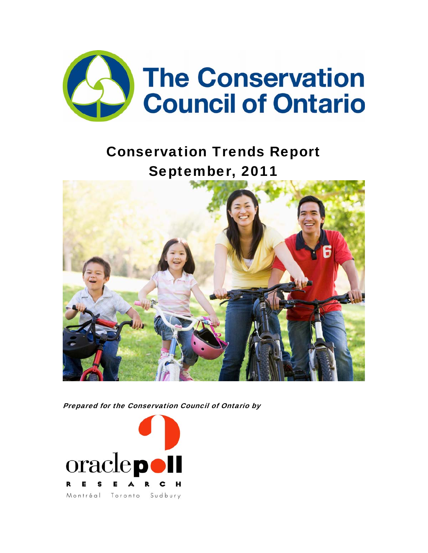

# Conservation Trends Report September, 2011



Prepared for the Conservation Council of Ontario by

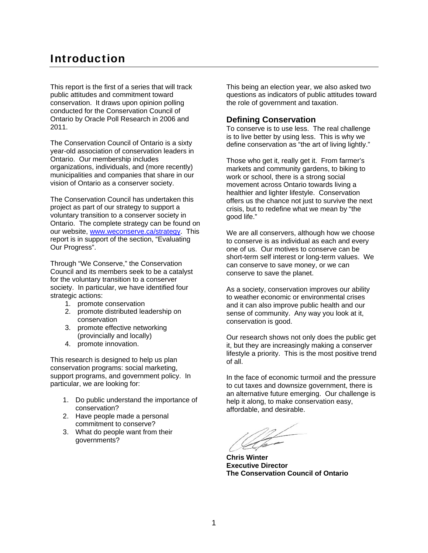# Introduction

This report is the first of a series that will track public attitudes and commitment toward conservation. It draws upon opinion polling conducted for the Conservation Council of Ontario by Oracle Poll Research in 2006 and 2011.

The Conservation Council of Ontario is a sixty year-old association of conservation leaders in Ontario. Our membership includes organizations, individuals, and (more recently) municipalities and companies that share in our vision of Ontario as a conserver society.

The Conservation Council has undertaken this project as part of our strategy to support a voluntary transition to a conserver society in Ontario. The complete strategy can be found on our website, www.weconserve.ca/strategy. This report is in support of the section, "Evaluating Our Progress".

Through "We Conserve," the Conservation Council and its members seek to be a catalyst for the voluntary transition to a conserver society. In particular, we have identified four strategic actions:

- 1. promote conservation
- 2. promote distributed leadership on conservation
- 3. promote effective networking (provincially and locally)
- 4. promote innovation.

This research is designed to help us plan conservation programs: social marketing, support programs, and government policy. In particular, we are looking for:

- 1. Do public understand the importance of conservation?
- 2. Have people made a personal commitment to conserve?
- 3. What do people want from their governments?

This being an election year, we also asked two questions as indicators of public attitudes toward the role of government and taxation.

### **Defining Conservation**

To conserve is to use less. The real challenge is to live better by using less. This is why we define conservation as "the art of living lightly."

Those who get it, really get it. From farmer's markets and community gardens, to biking to work or school, there is a strong social movement across Ontario towards living a healthier and lighter lifestyle. Conservation offers us the chance not just to survive the next crisis, but to redefine what we mean by "the good life."

We are all conservers, although how we choose to conserve is as individual as each and every one of us. Our motives to conserve can be short-term self interest or long-term values. We can conserve to save money, or we can conserve to save the planet.

As a society, conservation improves our ability to weather economic or environmental crises and it can also improve public health and our sense of community. Any way you look at it, conservation is good.

Our research shows not only does the public get it, but they are increasingly making a conserver lifestyle a priority. This is the most positive trend of all.

In the face of economic turmoil and the pressure to cut taxes and downsize government, there is an alternative future emerging. Our challenge is help it along, to make conservation easy, affordable, and desirable.

**Chris Winter Executive Director The Conservation Council of Ontario**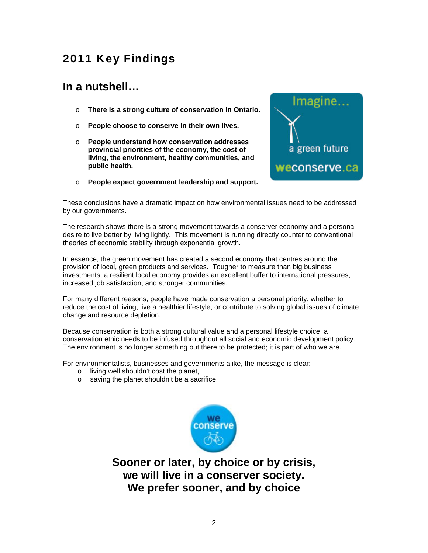# 2011 Key Findings

# **In a nutshell…**

- o **There is a strong culture of conservation in Ontario.**
- o **People choose to conserve in their own lives.**
- o **People understand how conservation addresses provincial priorities of the economy, the cost of living, the environment, healthy communities, and public health.**



o **People expect government leadership and support.** 

These conclusions have a dramatic impact on how environmental issues need to be addressed by our governments.

The research shows there is a strong movement towards a conserver economy and a personal desire to live better by living lightly. This movement is running directly counter to conventional theories of economic stability through exponential growth.

In essence, the green movement has created a second economy that centres around the provision of local, green products and services. Tougher to measure than big business investments, a resilient local economy provides an excellent buffer to international pressures, increased job satisfaction, and stronger communities.

For many different reasons, people have made conservation a personal priority, whether to reduce the cost of living, live a healthier lifestyle, or contribute to solving global issues of climate change and resource depletion.

Because conservation is both a strong cultural value and a personal lifestyle choice, a conservation ethic needs to be infused throughout all social and economic development policy. The environment is no longer something out there to be protected; it is part of who we are.

For environmentalists, businesses and governments alike, the message is clear:

- o living well shouldn't cost the planet,
- o saving the planet shouldn't be a sacrifice.



**Sooner or later, by choice or by crisis, we will live in a conserver society. We prefer sooner, and by choice**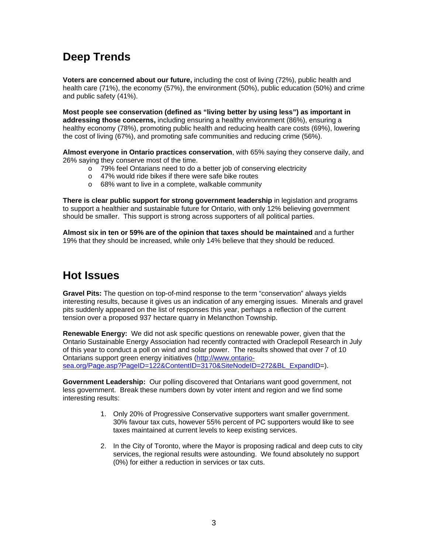# **Deep Trends**

**Voters are concerned about our future,** including the cost of living (72%), public health and health care (71%), the economy (57%), the environment (50%), public education (50%) and crime and public safety (41%).

**Most people see conservation (defined as "living better by using less") as important in addressing those concerns,** including ensuring a healthy environment (86%), ensuring a healthy economy (78%), promoting public health and reducing health care costs (69%), lowering the cost of living (67%), and promoting safe communities and reducing crime (56%).

**Almost everyone in Ontario practices conservation**, with 65% saying they conserve daily, and 26% saying they conserve most of the time.

- o 79% feel Ontarians need to do a better job of conserving electricity
- o 47% would ride bikes if there were safe bike routes
- o 68% want to live in a complete, walkable community

**There is clear public support for strong government leadership** in legislation and programs to support a healthier and sustainable future for Ontario, with only 12% believing government should be smaller. This support is strong across supporters of all political parties.

**Almost six in ten or 59% are of the opinion that taxes should be maintained** and a further 19% that they should be increased, while only 14% believe that they should be reduced.

# **Hot Issues**

**Gravel Pits:** The question on top-of-mind response to the term "conservation" always yields interesting results, because it gives us an indication of any emerging issues. Minerals and gravel pits suddenly appeared on the list of responses this year, perhaps a reflection of the current tension over a proposed 937 hectare quarry in Melancthon Township.

**Renewable Energy:** We did not ask specific questions on renewable power, given that the Ontario Sustainable Energy Association had recently contracted with Oraclepoll Research in July of this year to conduct a poll on wind and solar power. The results showed that over 7 of 10 Ontarians support green energy initiatives (http://www.ontariosea.org/Page.asp?PageID=122&ContentID=3170&SiteNodeID=272&BL\_ExpandID=).

**Government Leadership:** Our polling discovered that Ontarians want good government, not less government. Break these numbers down by voter intent and region and we find some interesting results:

- 1. Only 20% of Progressive Conservative supporters want smaller government. 30% favour tax cuts, however 55% percent of PC supporters would like to see taxes maintained at current levels to keep existing services.
- 2. In the City of Toronto, where the Mayor is proposing radical and deep cuts to city services, the regional results were astounding. We found absolutely no support (0%) for either a reduction in services or tax cuts.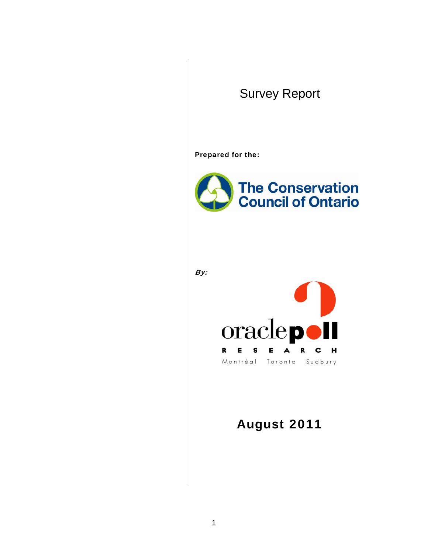# Survey Report

Prepared for the:



By:



# August 2011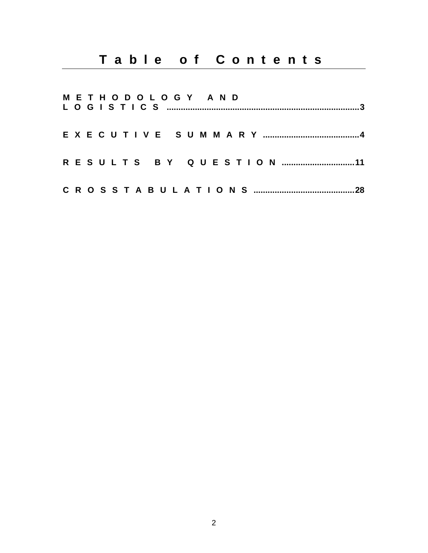| METHODOLOGY AND |  |
|-----------------|--|
|                 |  |
|                 |  |
|                 |  |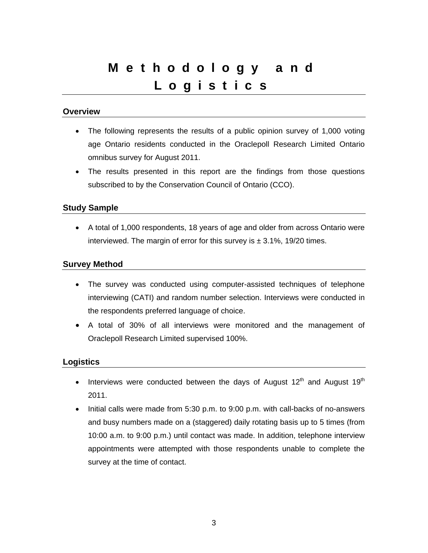# Methodology and Logistics

## **Overview**

- The following represents the results of a public opinion survey of 1,000 voting age Ontario residents conducted in the Oraclepoll Research Limited Ontario omnibus survey for August 2011.
- The results presented in this report are the findings from those questions subscribed to by the Conservation Council of Ontario (CCO).

## **Study Sample**

• A total of 1,000 respondents, 18 years of age and older from across Ontario were interviewed. The margin of error for this survey is  $\pm$  3.1%, 19/20 times.

## **Survey Method**

- The survey was conducted using computer-assisted techniques of telephone interviewing (CATI) and random number selection. Interviews were conducted in the respondents preferred language of choice.
- A total of 30% of all interviews were monitored and the management of Oraclepoll Research Limited supervised 100%.

### **Logistics**

- Interviews were conducted between the days of August 12<sup>th</sup> and August 19<sup>th</sup> 2011.
- Initial calls were made from 5:30 p.m. to 9:00 p.m. with call-backs of no-answers and busy numbers made on a (staggered) daily rotating basis up to 5 times (from 10:00 a.m. to 9:00 p.m.) until contact was made. In addition, telephone interview appointments were attempted with those respondents unable to complete the survey at the time of contact.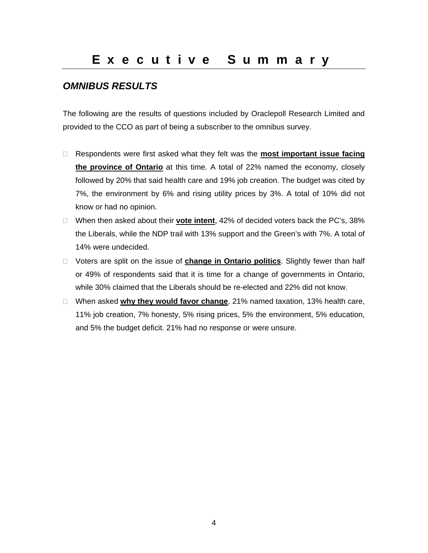# *OMNIBUS RESULTS*

The following are the results of questions included by Oraclepoll Research Limited and provided to the CCO as part of being a subscriber to the omnibus survey.

- □ Respondents were first asked what they felt was the **most important issue facing the province of Ontario** at this time. A total of 22% named the economy, closely followed by 20% that said health care and 19% job creation. The budget was cited by 7%, the environment by 6% and rising utility prices by 3%. A total of 10% did not know or had no opinion.
- When then asked about their **vote intent**, 42% of decided voters back the PC's, 38% the Liberals, while the NDP trail with 13% support and the Green's with 7%. A total of 14% were undecided.
- Voters are split on the issue of **change in Ontario politics**. Slightly fewer than half or 49% of respondents said that it is time for a change of governments in Ontario, while 30% claimed that the Liberals should be re-elected and 22% did not know.
- When asked **why they would favor change**, 21% named taxation, 13% health care, 11% job creation, 7% honesty, 5% rising prices, 5% the environment, 5% education, and 5% the budget deficit. 21% had no response or were unsure.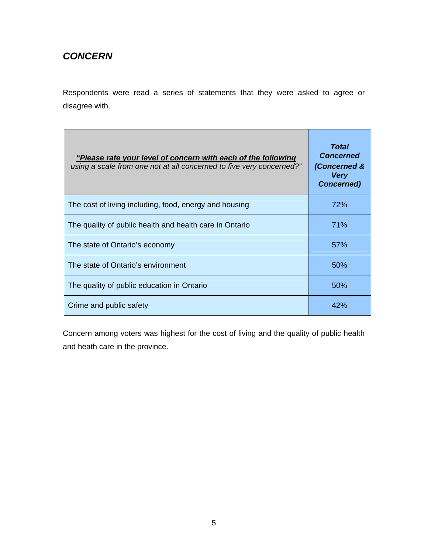# *CONCERN*

Respondents were read a series of statements that they were asked to agree or disagree with.

| "Please rate your level of concern with each of the following<br>using a scale from one not at all concerned to five very concerned?" | <b>Total</b><br><b>Concerned</b><br>(Concerned &<br><b>Very</b><br><b>Concerned)</b> |
|---------------------------------------------------------------------------------------------------------------------------------------|--------------------------------------------------------------------------------------|
| The cost of living including, food, energy and housing                                                                                | 72%                                                                                  |
| The quality of public health and health care in Ontario                                                                               | 71%                                                                                  |
| The state of Ontario's economy                                                                                                        | 57%                                                                                  |
| The state of Ontario's environment                                                                                                    | 50 <sup>%</sup>                                                                      |
| The quality of public education in Ontario                                                                                            | 50%                                                                                  |
| Crime and public safety                                                                                                               | 42%                                                                                  |

Concern among voters was highest for the cost of living and the quality of public health and heath care in the province.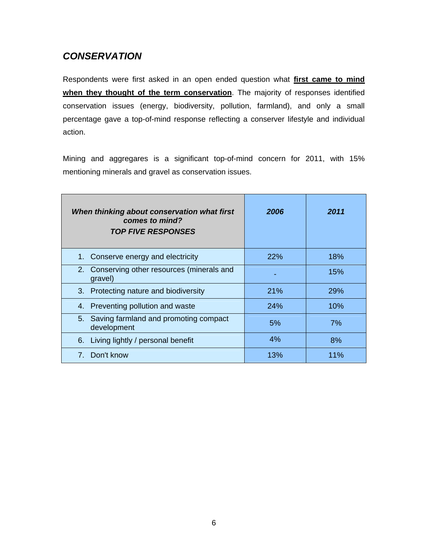# *CONSERVATION*

Respondents were first asked in an open ended question what **first came to mind when they thought of the term conservation**. The majority of responses identified conservation issues (energy, biodiversity, pollution, farmland), and only a small percentage gave a top-of-mind response reflecting a conserver lifestyle and individual action.

Mining and aggregares is a significant top-of-mind concern for 2011, with 15% mentioning minerals and gravel as conservation issues.

| When thinking about conservation what first<br>comes to mind?<br><b>TOP FIVE RESPONSES</b> | 2006       | 2011       |
|--------------------------------------------------------------------------------------------|------------|------------|
| 1. Conserve energy and electricity                                                         | <b>22%</b> | 18%        |
| 2. Conserving other resources (minerals and<br>gravel)                                     |            | 15%        |
| 3. Protecting nature and biodiversity                                                      | <b>21%</b> | <b>29%</b> |
| 4. Preventing pollution and waste                                                          | 24%        | 10%        |
| 5. Saving farmland and promoting compact<br>development                                    | 5%         | 7%         |
| 6. Living lightly / personal benefit                                                       | 4%         | 8%         |
| 7. Don't know                                                                              | 13%        | 11%        |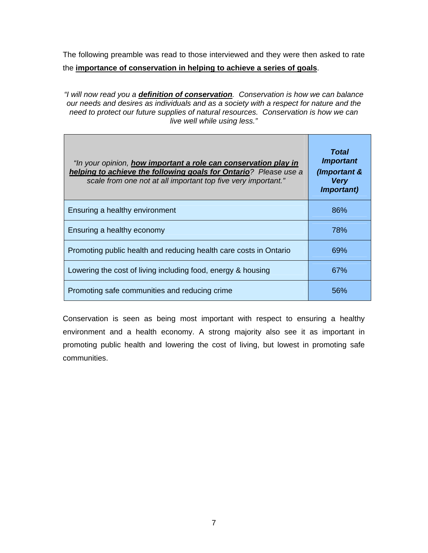The following preamble was read to those interviewed and they were then asked to rate the **importance of conservation in helping to achieve a series of goals**.

*"I will now read you a definition of conservation. Conservation is how we can balance our needs and desires as individuals and as a society with a respect for nature and the need to protect our future supplies of natural resources. Conservation is how we can live well while using less."* 

| "In your opinion, <b>how important a role can conservation play in</b><br>helping to achieve the following goals for Ontario? Please use a<br>scale from one not at all important top five very important." | Total<br><b>Important</b><br>(Important &<br><b>Very</b><br><i>Important)</i> |
|-------------------------------------------------------------------------------------------------------------------------------------------------------------------------------------------------------------|-------------------------------------------------------------------------------|
| Ensuring a healthy environment                                                                                                                                                                              | 86%                                                                           |
| Ensuring a healthy economy                                                                                                                                                                                  | 78%                                                                           |
| Promoting public health and reducing health care costs in Ontario                                                                                                                                           | 69%                                                                           |
| Lowering the cost of living including food, energy & housing                                                                                                                                                | 67%                                                                           |
| Promoting safe communities and reducing crime                                                                                                                                                               | 56%                                                                           |

Conservation is seen as being most important with respect to ensuring a healthy environment and a health economy. A strong majority also see it as important in promoting public health and lowering the cost of living, but lowest in promoting safe communities.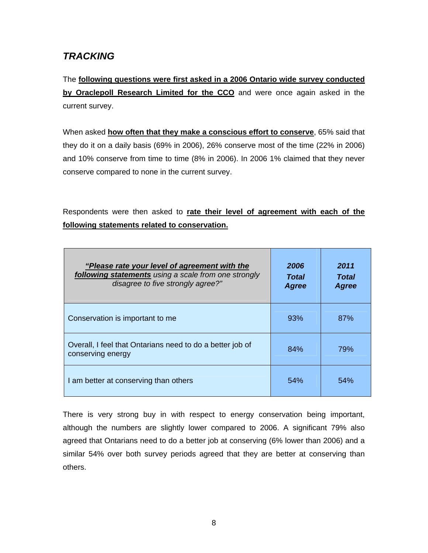# *TRACKING*

The **following questions were first asked in a 2006 Ontario wide survey conducted by Oraclepoll Research Limited for the CCO** and were once again asked in the current survey.

When asked **how often that they make a conscious effort to conserve**, 65% said that they do it on a daily basis (69% in 2006), 26% conserve most of the time (22% in 2006) and 10% conserve from time to time (8% in 2006). In 2006 1% claimed that they never conserve compared to none in the current survey.

Respondents were then asked to **rate their level of agreement with each of the following statements related to conservation.**

| "Please rate your level of agreement with the<br>following statements using a scale from one strongly<br>disagree to five strongly agree?" | 2006<br>Total<br><b>Agree</b> | 2011<br>Total<br><b>Agree</b> |
|--------------------------------------------------------------------------------------------------------------------------------------------|-------------------------------|-------------------------------|
| Conservation is important to me                                                                                                            | 93%                           | 87%                           |
| Overall, I feel that Ontarians need to do a better job of<br>conserving energy                                                             | 84%                           | 79%                           |
| I am better at conserving than others                                                                                                      | 54%                           | 54%                           |

There is very strong buy in with respect to energy conservation being important, although the numbers are slightly lower compared to 2006. A significant 79% also agreed that Ontarians need to do a better job at conserving (6% lower than 2006) and a similar 54% over both survey periods agreed that they are better at conserving than others.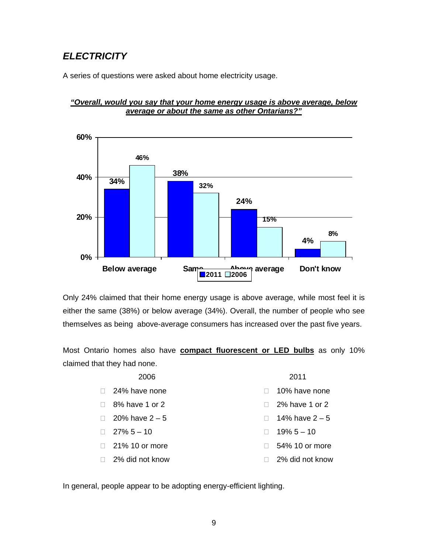# *ELECTRICITY*

A series of questions were asked about home electricity usage.

## *"Overall, would you say that your home energy usage is above average, below average or about the same as other Ontarians?"*



Only 24% claimed that their home energy usage is above average, while most feel it is either the same (38%) or below average (34%). Overall, the number of people who see themselves as being above-average consumers has increased over the past five years.

Most Ontario homes also have **compact fluorescent or LED bulbs** as only 10% claimed that they had none.

| 2006             | 2011             |
|------------------|------------------|
| 24% have none    | 10% have none    |
| 8% have 1 or 2   | 2% have 1 or 2   |
| 20% have $2 - 5$ | 14% have $2 - 5$ |
| $27\% 5 - 10$    | $19\% 5 - 10$    |
| 21% 10 or more   | 54% 10 or more   |
| 2% did not know  | 2% did not know  |

In general, people appear to be adopting energy-efficient lighting.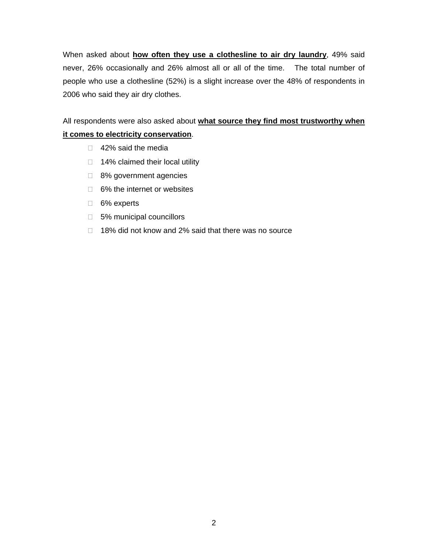When asked about **how often they use a clothesline to air dry laundry**, 49% said never, 26% occasionally and 26% almost all or all of the time. The total number of people who use a clothesline (52%) is a slight increase over the 48% of respondents in 2006 who said they air dry clothes.

All respondents were also asked about **what source they find most trustworthy when it comes to electricity conservation**.

- □ 42% said the media
- $\Box$  14% claimed their local utility
- □ 8% government agencies
- □ 6% the internet or websites
- □ 6% experts
- □ 5% municipal councillors
- □ 18% did not know and 2% said that there was no source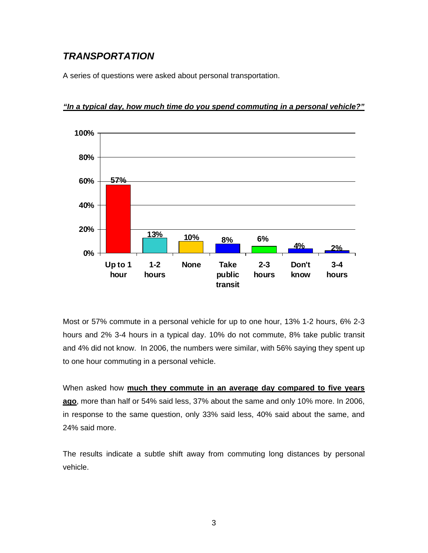# *TRANSPORTATION*

A series of questions were asked about personal transportation.



### *"In a typical day, how much time do you spend commuting in a personal vehicle?"*

Most or 57% commute in a personal vehicle for up to one hour, 13% 1-2 hours, 6% 2-3 hours and 2% 3-4 hours in a typical day. 10% do not commute, 8% take public transit and 4% did not know. In 2006, the numbers were similar, with 56% saying they spent up to one hour commuting in a personal vehicle.

When asked how **much they commute in an average day compared to five years ago**, more than half or 54% said less, 37% about the same and only 10% more. In 2006, in response to the same question, only 33% said less, 40% said about the same, and 24% said more.

The results indicate a subtle shift away from commuting long distances by personal vehicle.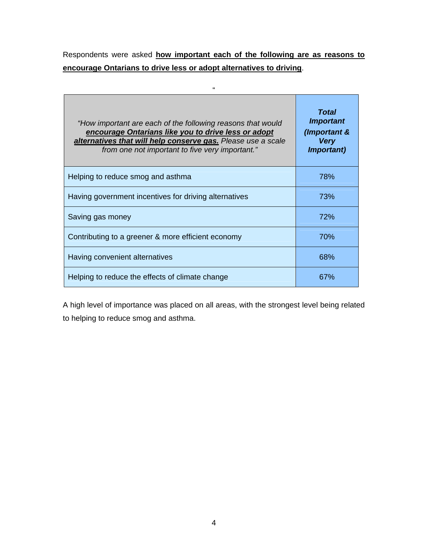Respondents were asked **how important each of the following are as reasons to encourage Ontarians to drive less or adopt alternatives to driving**.

 $\alpha'$ 

| "How important are each of the following reasons that would<br>encourage Ontarians like you to drive less or adopt<br>alternatives that will help conserve gas. Please use a scale<br>from one not important to five very important." | Total<br><b>Important</b><br>(Important &<br><b>Very</b><br><i>Important)</i> |
|---------------------------------------------------------------------------------------------------------------------------------------------------------------------------------------------------------------------------------------|-------------------------------------------------------------------------------|
| Helping to reduce smog and asthma                                                                                                                                                                                                     | 78%                                                                           |
| Having government incentives for driving alternatives                                                                                                                                                                                 | 73%                                                                           |
| Saving gas money                                                                                                                                                                                                                      | <b>72%</b>                                                                    |
| Contributing to a greener & more efficient economy                                                                                                                                                                                    | 70%                                                                           |
| Having convenient alternatives                                                                                                                                                                                                        | 68%                                                                           |
| Helping to reduce the effects of climate change                                                                                                                                                                                       | 67%                                                                           |

A high level of importance was placed on all areas, with the strongest level being related to helping to reduce smog and asthma.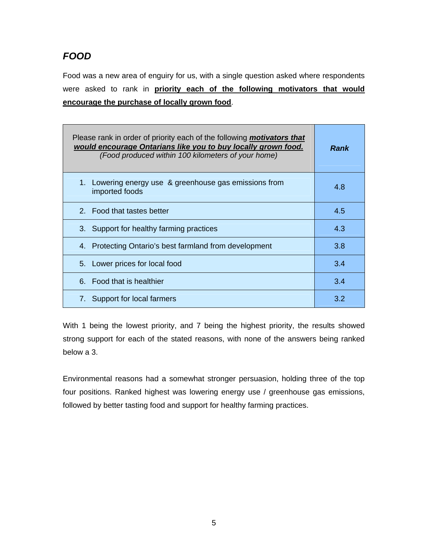# *FOOD*

Food was a new area of enguiry for us, with a single question asked where respondents were asked to rank in **priority each of the following motivators that would encourage the purchase of locally grown food**.

| Please rank in order of priority each of the following <i>motivators that</i><br>would encourage Ontarians like you to buy locally grown food.<br>(Food produced within 100 kilometers of your home) | <b>Rank</b> |
|------------------------------------------------------------------------------------------------------------------------------------------------------------------------------------------------------|-------------|
| 1. Lowering energy use & greenhouse gas emissions from<br>imported foods                                                                                                                             | 4.8         |
| 2. Food that tastes better                                                                                                                                                                           | 4.5         |
| 3. Support for healthy farming practices                                                                                                                                                             | 4.3         |
| 4. Protecting Ontario's best farmland from development                                                                                                                                               | 3.8         |
| 5. Lower prices for local food                                                                                                                                                                       | 3.4         |
| 6. Food that is healthier                                                                                                                                                                            | 3.4         |
| 7. Support for local farmers                                                                                                                                                                         | 3.2         |

With 1 being the lowest priority, and 7 being the highest priority, the results showed strong support for each of the stated reasons, with none of the answers being ranked below a 3.

Environmental reasons had a somewhat stronger persuasion, holding three of the top four positions. Ranked highest was lowering energy use / greenhouse gas emissions, followed by better tasting food and support for healthy farming practices.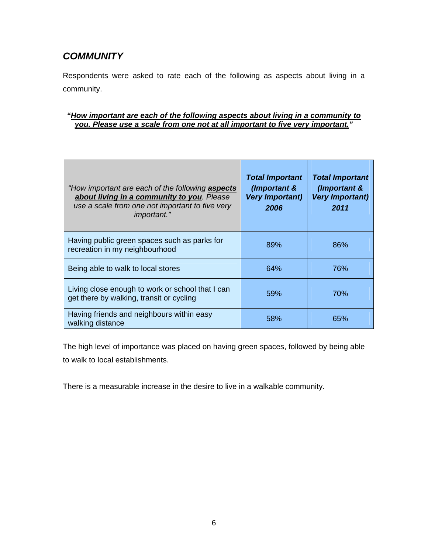# *COMMUNITY*

Respondents were asked to rate each of the following as aspects about living in a community.

## *"How important are each of the following aspects about living in a community to you. Please use a scale from one not at all important to five very important."*

| "How important are each of the following <b>aspects</b><br>about living in a community to you. Please<br>use a scale from one not important to five very<br><i>important.</i> " | <b>Total Important</b><br>(Important &<br><b>Very Important)</b><br>2006 | <b>Total Important</b><br>(Important &<br><b>Very Important)</b><br>2011 |
|---------------------------------------------------------------------------------------------------------------------------------------------------------------------------------|--------------------------------------------------------------------------|--------------------------------------------------------------------------|
| Having public green spaces such as parks for<br>recreation in my neighbourhood                                                                                                  | 89%                                                                      | 86%                                                                      |
| Being able to walk to local stores                                                                                                                                              | 64%                                                                      | 76%                                                                      |
| Living close enough to work or school that I can<br>get there by walking, transit or cycling                                                                                    | 59%                                                                      | <b>70%</b>                                                               |
| Having friends and neighbours within easy<br>walking distance                                                                                                                   | 58%                                                                      | 65%                                                                      |

The high level of importance was placed on having green spaces, followed by being able to walk to local establishments.

There is a measurable increase in the desire to live in a walkable community.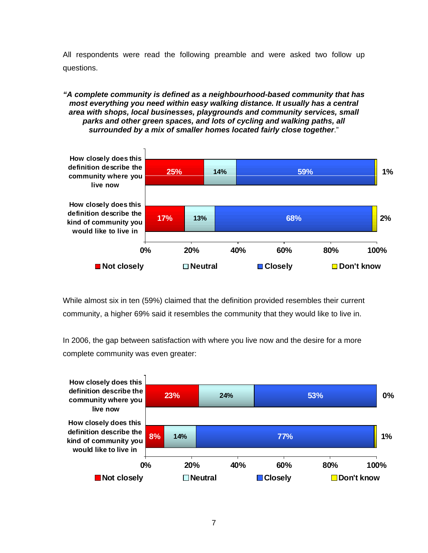All respondents were read the following preamble and were asked two follow up questions.

#### *"A complete community is defined as a neighbourhood-based community that has most everything you need within easy walking distance. It usually has a central area with shops, local businesses, playgrounds and community services, small parks and other green spaces, and lots of cycling and walking paths, all surrounded by a mix of smaller homes located fairly close together*."



While almost six in ten (59%) claimed that the definition provided resembles their current community, a higher 69% said it resembles the community that they would like to live in.

In 2006, the gap between satisfaction with where you live now and the desire for a more complete community was even greater:

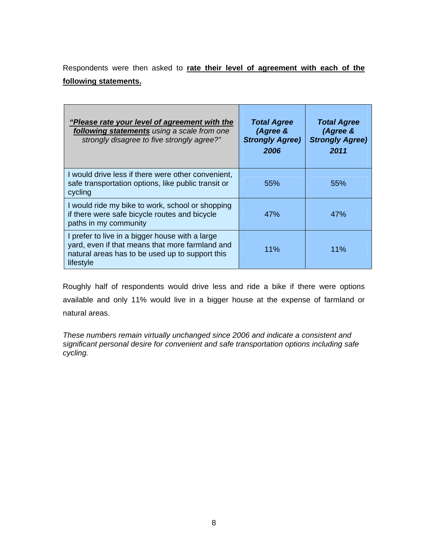Respondents were then asked to **rate their level of agreement with each of the following statements.**

| "Please rate your level of agreement with the<br>following statements using a scale from one<br>strongly disagree to five strongly agree?"                         | <b>Total Agree</b><br>(Agree &<br><b>Strongly Agree)</b><br>2006 | <b>Total Agree</b><br>(Agree &<br><b>Strongly Agree)</b><br>2011 |
|--------------------------------------------------------------------------------------------------------------------------------------------------------------------|------------------------------------------------------------------|------------------------------------------------------------------|
| I would drive less if there were other convenient,<br>safe transportation options, like public transit or<br>cycling                                               | 55%                                                              | 55%                                                              |
| I would ride my bike to work, school or shopping<br>if there were safe bicycle routes and bicycle<br>paths in my community                                         | 47%                                                              | 47%                                                              |
| I prefer to live in a bigger house with a large<br>yard, even if that means that more farmland and<br>natural areas has to be used up to support this<br>lifestyle | 11%                                                              | $11\%$                                                           |

Roughly half of respondents would drive less and ride a bike if there were options available and only 11% would live in a bigger house at the expense of farmland or natural areas.

*These numbers remain virtually unchanged since 2006 and indicate a consistent and significant personal desire for convenient and safe transportation options including safe cycling.*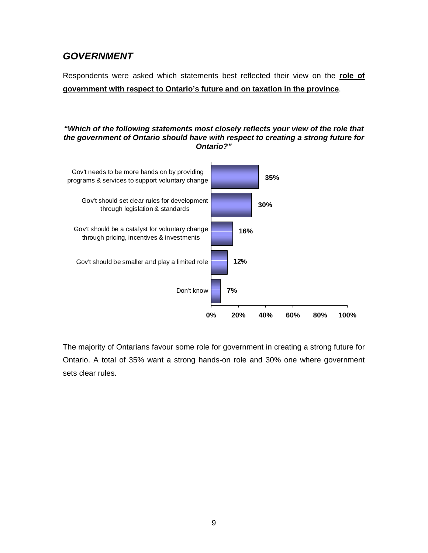# *GOVERNMENT*

Respondents were asked which statements best reflected their view on the **role of government with respect to Ontario's future and on taxation in the province**.

#### *"Which of the following statements most closely reflects your view of the role that the government of Ontario should have with respect to creating a strong future for Ontario?"*



The majority of Ontarians favour some role for government in creating a strong future for Ontario. A total of 35% want a strong hands-on role and 30% one where government sets clear rules.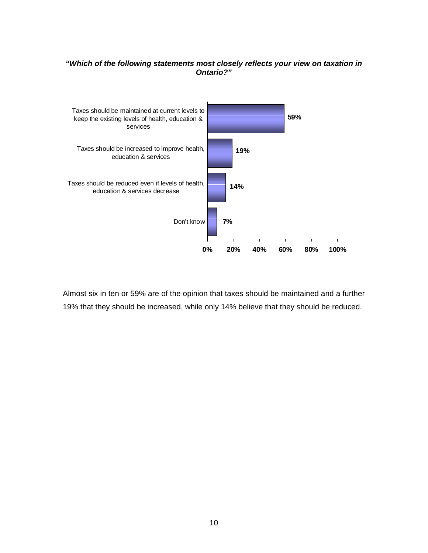### *"Which of the following statements most closely reflects your view on taxation in Ontario?"*



Almost six in ten or 59% are of the opinion that taxes should be maintained and a further 19% that they should be increased, while only 14% believe that they should be reduced.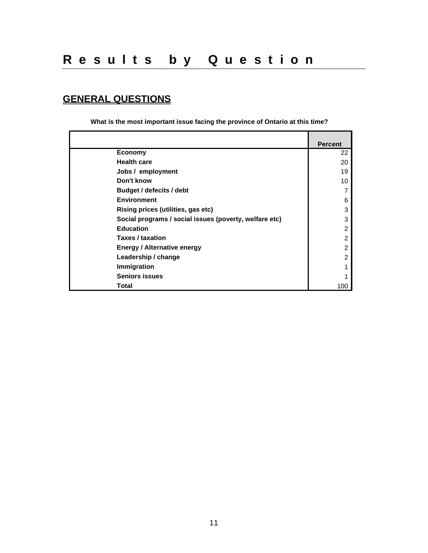# **GENERAL QUESTIONS**

**What is the most important issue facing the province of Ontario at this time?**

|                                                        | <b>Percent</b> |
|--------------------------------------------------------|----------------|
| <b>Economy</b>                                         | 22             |
| <b>Health care</b>                                     | 20             |
| Jobs / employment                                      | 19             |
| Don't know                                             | 10             |
| <b>Budget / defecits / debt</b>                        |                |
| <b>Environment</b>                                     | 6              |
| Rising prices (utilities, gas etc)                     | 3              |
| Social programs / social issues (poverty, welfare etc) | 3              |
| <b>Education</b>                                       | 2              |
| Taxes / taxation                                       | 2              |
| <b>Energy / Alternative energy</b>                     | 2              |
| Leadership / change                                    | 2              |
| Immigration                                            |                |
| <b>Seniors issues</b>                                  |                |
| Total                                                  | 100            |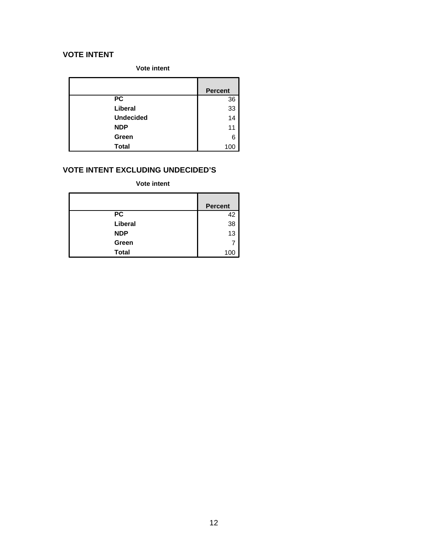## **VOTE INTENT**

**Vote intent**

|                  | <b>Percent</b> |
|------------------|----------------|
| $\overline{PC}$  | 36             |
| Liberal          | 33             |
| <b>Undecided</b> | 14             |
| <b>NDP</b>       | 11             |
| Green            | 6              |
| <b>Total</b>     | 100            |

# **VOTE INTENT EXCLUDING UNDECIDED'S**

**Vote intent**

|              | <b>Percent</b> |
|--------------|----------------|
| <b>PC</b>    | 42             |
| Liberal      | 38             |
| <b>NDP</b>   | 13             |
| Green        |                |
| <b>Total</b> | 100            |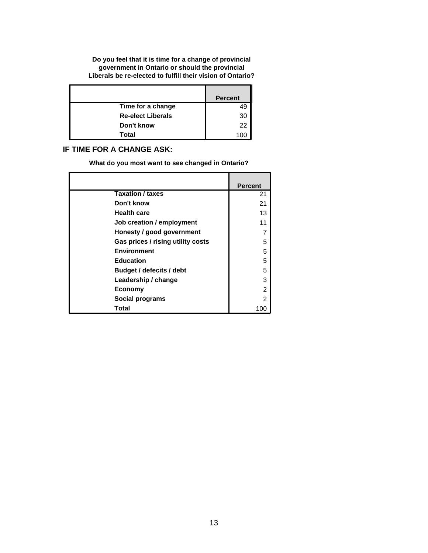**Do you feel that it is time for a change of provincial government in Ontario or should the provincial Liberals be re-elected to fulfill their vision of Ontario?**

|                          | <b>Percent</b> |
|--------------------------|----------------|
| Time for a change        |                |
| <b>Re-elect Liberals</b> | 30             |
| Don't know               | 22             |
| Total                    |                |

## **IF TIME FOR A CHANGE ASK:**

**What do you most want to see changed in Ontario?**

|                                   | <b>Percent</b> |
|-----------------------------------|----------------|
| <b>Taxation / taxes</b>           | 21             |
| Don't know                        | 21             |
| <b>Health care</b>                | 13             |
| Job creation / employment         | 11             |
| Honesty / good government         | 7              |
| Gas prices / rising utility costs | 5              |
| <b>Environment</b>                | 5              |
| <b>Education</b>                  | 5              |
| Budget / defecits / debt          | 5              |
| Leadership / change               | 3              |
| <b>Economy</b>                    | 2              |
| Social programs                   | 2              |
| Total                             |                |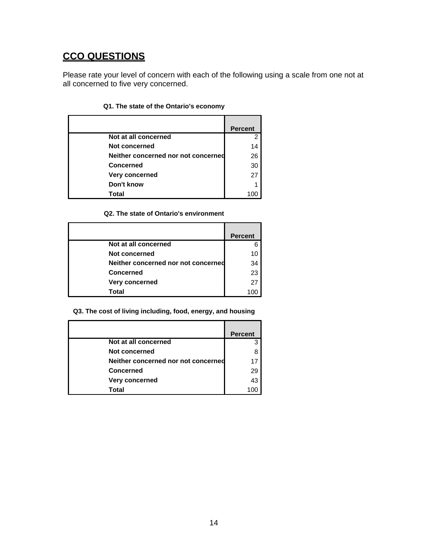# **CCO QUESTIONS**

Please rate your level of concern with each of the following using a scale from one not at all concerned to five very concerned.

|                                     | <b>Percent</b> |
|-------------------------------------|----------------|
| Not at all concerned                | 2              |
| Not concerned                       | 14             |
| Neither concerned nor not concerned | 26             |
| <b>Concerned</b>                    | 30             |
| Very concerned                      | 27             |
| Don't know                          | 1              |
| Total                               | OΟ             |

### **Q1. The state of the Ontario's economy**

#### **Q2. The state of Ontario's environment**

|                                     | <b>Percent</b> |
|-------------------------------------|----------------|
| Not at all concerned                |                |
| Not concerned                       |                |
| Neither concerned nor not concerned | 34             |
| <b>Concerned</b>                    | 23             |
| Very concerned                      | 27             |
| Total                               |                |

**Q3. The cost of living including, food, energy, and housing**

|                                     | <b>Percent</b> |
|-------------------------------------|----------------|
| Not at all concerned                |                |
| <b>Not concerned</b>                |                |
| Neither concerned nor not concerned | 17             |
| <b>Concerned</b>                    | 29             |
| Very concerned                      | 43             |
| Total                               |                |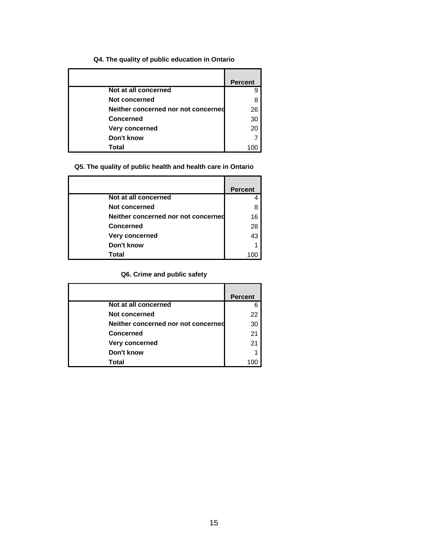## **Q4. The quality of public education in Ontario**

|                                     | <b>Percent</b> |
|-------------------------------------|----------------|
| Not at all concerned                | 9              |
| Not concerned                       | 8              |
| Neither concerned nor not concerned | 26             |
| <b>Concerned</b>                    | 30             |
| Very concerned                      | 20             |
| Don't know                          |                |
| Total                               |                |

## **Q5. The quality of public health and health care in Ontario**

|                                     | <b>Percent</b> |
|-------------------------------------|----------------|
| Not at all concerned                |                |
| Not concerned                       |                |
| Neither concerned nor not concerned | 16             |
| <b>Concerned</b>                    | 28             |
| Very concerned                      | 43             |
| Don't know                          |                |
| Total                               |                |

## **Q6. Crime and public safety**

|                                     | <b>Percent</b> |
|-------------------------------------|----------------|
| Not at all concerned                |                |
| Not concerned                       | 22             |
| Neither concerned nor not concerned | 30             |
| Concerned                           | 21             |
| Very concerned                      | 21             |
| Don't know                          |                |
| Total                               |                |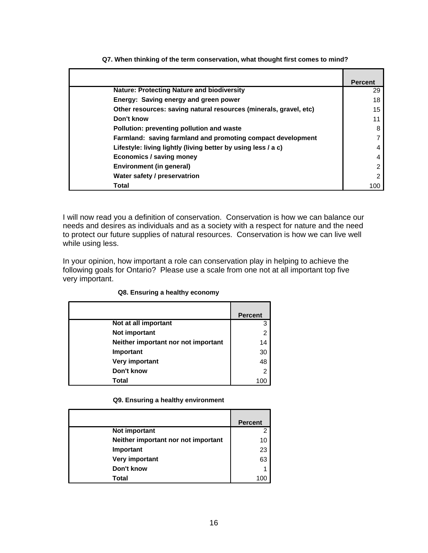|                                                                   | <b>Percent</b> |
|-------------------------------------------------------------------|----------------|
| <b>Nature: Protecting Nature and biodiversity</b>                 | 29             |
| Energy: Saving energy and green power                             | 18             |
| Other resources: saving natural resources (minerals, gravel, etc) | 15             |
| Don't know                                                        | 11             |
| Pollution: preventing pollution and waste                         | 8              |
| Farmland: saving farmland and promoting compact development       |                |
| Lifestyle: living lightly (living better by using less / a c)     | 4              |
| Economics / saving money                                          | 4              |
| Environment (in general)                                          | 2              |
| Water safety / preservatrion                                      | 2              |
| Total                                                             | 100            |

**Q7. When thinking of the term conservation, what thought first comes to mind?**

I will now read you a definition of conservation. Conservation is how we can balance our needs and desires as individuals and as a society with a respect for nature and the need to protect our future supplies of natural resources. Conservation is how we can live well while using less.

In your opinion, how important a role can conservation play in helping to achieve the following goals for Ontario? Please use a scale from one not at all important top five very important.

|                                     | <b>Percent</b> |
|-------------------------------------|----------------|
| Not at all important                | 3              |
| Not important                       | 2              |
| Neither important nor not important | 14             |
| Important                           | 30             |
| Very important                      | 48             |
| Don't know                          | 2              |
| Total                               | 100            |

#### **Q8. Ensuring a healthy economy**

#### **Q9. Ensuring a healthy environment**

|                                     | <b>Percent</b> |
|-------------------------------------|----------------|
| Not important                       |                |
| Neither important nor not important | 10             |
| Important                           | 23             |
| Very important                      | 63             |
| Don't know                          |                |
| Total                               |                |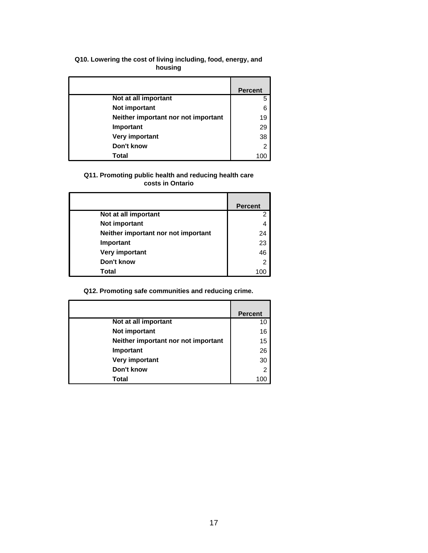#### **Q10. Lowering the cost of living including, food, energy, and housing**

|                                     | <b>Percent</b> |
|-------------------------------------|----------------|
| Not at all important                | 5              |
| Not important                       | 6              |
| Neither important nor not important | 19             |
| Important                           | 29             |
| Very important                      | 38             |
| Don't know                          | $\overline{2}$ |
| Total                               |                |

### **Q11. Promoting public health and reducing health care costs in Ontario**

|                                     | <b>Percent</b> |
|-------------------------------------|----------------|
| Not at all important                | 2              |
| Not important                       |                |
| Neither important nor not important | 24             |
| Important                           | 23             |
| Very important                      | 46             |
| Don't know                          | 2              |
| Total                               |                |

## **Q12. Promoting safe communities and reducing crime.**

|                                     | <b>Percent</b> |
|-------------------------------------|----------------|
| Not at all important                | 10             |
| Not important                       | 16             |
| Neither important nor not important | 15             |
| Important                           | 26             |
| Very important                      | 30             |
| Don't know                          | $\overline{2}$ |
| Total                               |                |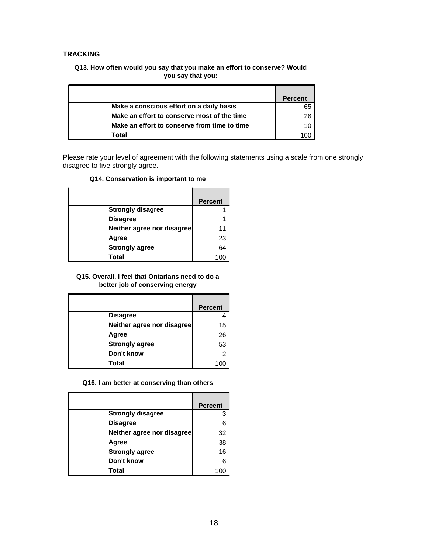### **TRACKING**

#### **Q13. How often would you say that you make an effort to conserve? Would you say that you:**

|                                              | Percent |
|----------------------------------------------|---------|
| Make a conscious effort on a daily basis     | 65      |
| Make an effort to conserve most of the time  | 26      |
| Make an effort to conserve from time to time |         |
| Total                                        |         |

Please rate your level of agreement with the following statements using a scale from one strongly disagree to five strongly agree.

#### **Q14. Conservation is important to me**

|                            | <b>Percent</b> |
|----------------------------|----------------|
| <b>Strongly disagree</b>   |                |
| <b>Disagree</b>            |                |
| Neither agree nor disagree |                |
| Agree                      | 23             |
| <b>Strongly agree</b>      | 64             |
| Total                      |                |

#### **Q15. Overall, I feel that Ontarians need to do a better job of conserving energy**

|                            | <b>Percent</b> |
|----------------------------|----------------|
| <b>Disagree</b>            |                |
| Neither agree nor disagree | 15             |
| Agree                      | 26             |
| <b>Strongly agree</b>      | 53             |
| Don't know                 | 2              |
| Total                      |                |

**Q16. I am better at conserving than others**

|                            | <b>Percent</b> |
|----------------------------|----------------|
| <b>Strongly disagree</b>   | 3              |
| <b>Disagree</b>            | 6              |
| Neither agree nor disagree | 32             |
| Agree                      | 38             |
| <b>Strongly agree</b>      | 16             |
| Don't know                 | 6              |
| Total                      |                |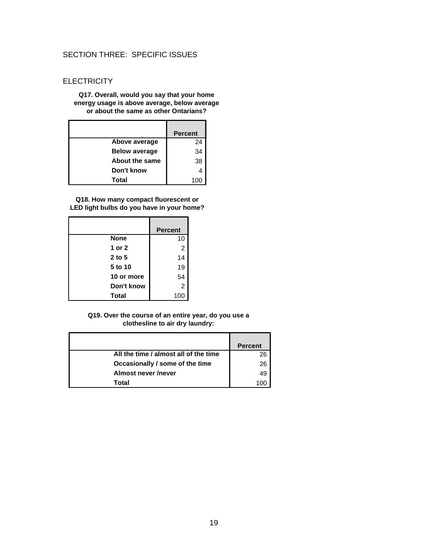## SECTION THREE: SPECIFIC ISSUES

### **ELECTRICITY**

#### **Q17. Overall, would you say that your home energy usage is above average, below average or about the same as other Ontarians?**

|                       | <b>Percent</b> |
|-----------------------|----------------|
| Above average         | 24             |
| <b>Below average</b>  | 34             |
| <b>About the same</b> | 38             |
| Don't know            |                |
| Total                 | 100            |

**Q18. How many compact fluorescent or LED light bulbs do you have in your home?**

|              | <b>Percent</b> |
|--------------|----------------|
| <b>None</b>  | 10             |
| 1 or 2       | 2              |
| $2$ to 5     | 14             |
| 5 to 10      | 19             |
| 10 or more   | 54             |
| Don't know   | 2              |
| <b>Total</b> | 100            |

#### **Q19. Over the course of an entire year, do you use a clothesline to air dry laundry:**

|                                       | <b>Percent</b> |
|---------------------------------------|----------------|
| All the time / almost all of the time | 26             |
| Occasionally / some of the time       | 26             |
| Almost never /never                   |                |
| Total                                 |                |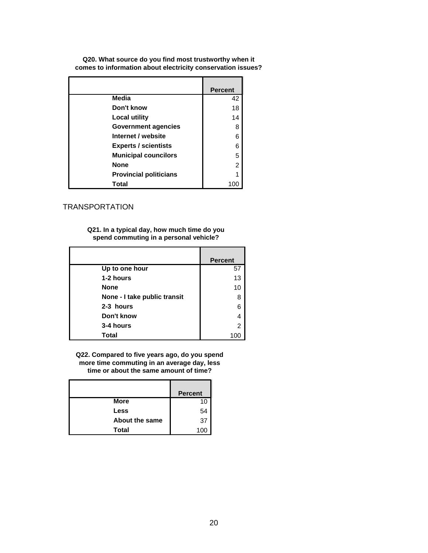**Q20. What source do you find most trustworthy when it comes to information about electricity conservation issues?**

|                               | <b>Percent</b> |
|-------------------------------|----------------|
| Media                         | 42             |
| Don't know                    | 18             |
| Local utility                 | 14             |
| <b>Government agencies</b>    | 8              |
| Internet / website            | 6              |
| <b>Experts / scientists</b>   | 6              |
| <b>Municipal councilors</b>   | 5              |
| <b>None</b>                   | 2              |
| <b>Provincial politicians</b> |                |
| Total                         | 100            |

#### TRANSPORTATION

**Q21. In a typical day, how much time do you spend commuting in a personal vehicle?**

|                              | <b>Percent</b> |
|------------------------------|----------------|
| Up to one hour               | 57             |
| 1-2 hours                    | 13             |
| <b>None</b>                  | 10             |
| None - I take public transit | 8              |
| 2-3 hours                    | 6              |
| Don't know                   | 4              |
| 3-4 hours                    | $\overline{2}$ |
| Total                        |                |

**Q22. Compared to five years ago, do you spend more time commuting in an average day, less time or about the same amount of time?**

|                | <b>Percent</b> |
|----------------|----------------|
| <b>More</b>    | 10             |
| Less           | 54             |
| About the same | 37             |
| Total          |                |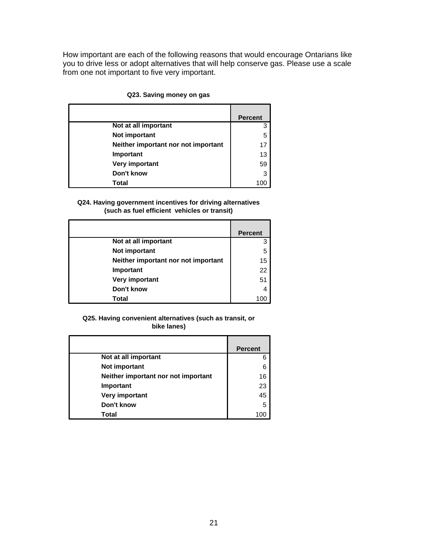How important are each of the following reasons that would encourage Ontarians like you to drive less or adopt alternatives that will help conserve gas. Please use a scale from one not important to five very important.

|                                     | <b>Percent</b> |
|-------------------------------------|----------------|
| Not at all important                | 3              |
| Not important                       | 5              |
| Neither important nor not important | 17             |
| Important                           | 13             |
| Very important                      | 59             |
| Don't know                          | 3              |
| Total                               | 100            |

#### **Q23. Saving money on gas**

#### **Q24. Having government incentives for driving alternatives (such as fuel efficient vehicles or transit)**

|                                     | <b>Percent</b> |
|-------------------------------------|----------------|
| Not at all important                | 3              |
| Not important                       | 5              |
| Neither important nor not important | 15             |
| Important                           | 22             |
| Very important                      | 51             |
| Don't know                          | 4              |
| Total                               | 10             |

#### **Q25. Having convenient alternatives (such as transit, or bike lanes)**

|                                     | <b>Percent</b> |
|-------------------------------------|----------------|
| Not at all important                |                |
| Not important                       |                |
| Neither important nor not important | 16             |
| Important                           | 23             |
| Very important                      | 45             |
| Don't know                          | 5              |
| Total                               |                |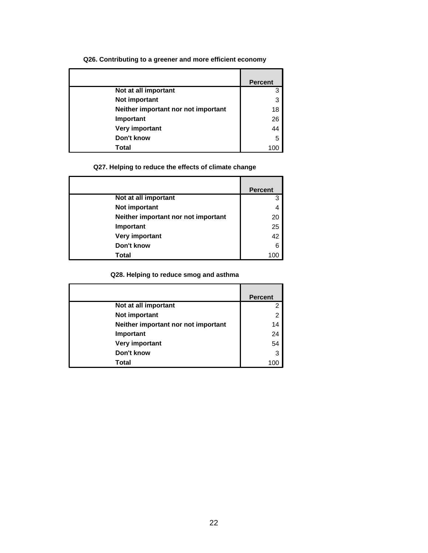#### **Q26. Contributing to a greener and more efficient economy**

|                                     | <b>Percent</b> |
|-------------------------------------|----------------|
| Not at all important                | 3              |
| Not important                       | 3              |
| Neither important nor not important | 18             |
| Important                           | 26             |
| Very important                      | 44             |
| Don't know                          | 5              |
| Total                               | 100            |

## **Q27. Helping to reduce the effects of climate change**

|                                     | <b>Percent</b> |
|-------------------------------------|----------------|
| Not at all important                | 3              |
| Not important                       | 4              |
| Neither important nor not important | 20             |
| Important                           | 25             |
| Very important                      | 42             |
| Don't know                          | 6              |
| Total                               | 10۱            |

## **Q28. Helping to reduce smog and asthma**

|                                     | <b>Percent</b> |
|-------------------------------------|----------------|
|                                     |                |
| Not at all important                | 2              |
| Not important                       | 2              |
| Neither important nor not important | 14             |
| Important                           | 24             |
| Very important                      | 54             |
| Don't know                          | 3              |
| Total                               |                |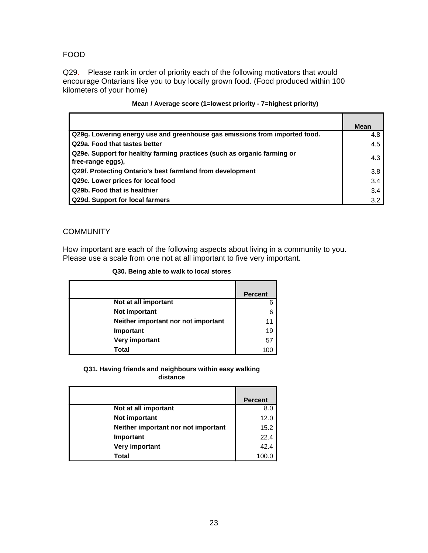### FOOD

Q29. Please rank in order of priority each of the following motivators that would encourage Ontarians like you to buy locally grown food. (Food produced within 100 kilometers of your home)

|                                                                            | Mean |
|----------------------------------------------------------------------------|------|
| Q29g. Lowering energy use and greenhouse gas emissions from imported food. | 4.8  |
|                                                                            |      |
| Q29a. Food that tastes better                                              | 4.5  |
| Q29e. Support for healthy farming practices (such as organic farming or    |      |
| free-range eggs).                                                          | 4.3  |
| Q29f. Protecting Ontario's best farmland from development                  | 3.8  |
| Q29c. Lower prices for local food                                          | 3.4  |
| Q29b. Food that is healthier                                               | 3.4  |
| Q29d. Support for local farmers                                            | 3.2  |

#### **Mean / Average score (1=lowest priority - 7=highest priority)**

## **COMMUNITY**

How important are each of the following aspects about living in a community to you. Please use a scale from one not at all important to five very important.

|                                     | <b>Percent</b> |
|-------------------------------------|----------------|
| Not at all important                | 6              |
| Not important                       | 6              |
| Neither important nor not important |                |
| Important                           | 19             |
| Very important                      | 57             |
| Total                               | 100            |

#### **Q31. Having friends and neighbours within easy walking distance**

|                                     | <b>Percent</b> |
|-------------------------------------|----------------|
| Not at all important                | 8.0            |
| Not important                       | 12.0           |
| Neither important nor not important | 15.2           |
| Important                           | 22.4           |
| Very important                      | 42.4           |
| Total                               | 100.C          |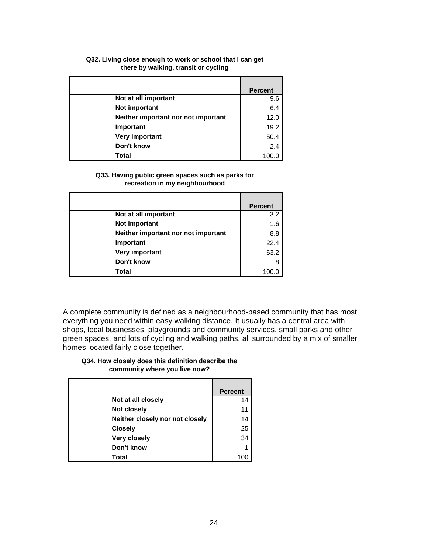#### **Q32. Living close enough to work or school that I can get there by walking, transit or cycling**

|                                     | <b>Percent</b> |
|-------------------------------------|----------------|
| Not at all important                | 9.6            |
| Not important                       | 6.4            |
| Neither important nor not important | 12.0           |
| Important                           | 19.2           |
| Very important                      | 50.4           |
| Don't know                          | 2.4            |
| Total                               | 100.0          |

#### **Q33. Having public green spaces such as parks for recreation in my neighbourhood**

|                                     | <b>Percent</b> |
|-------------------------------------|----------------|
| Not at all important                | 3.2            |
| Not important                       | 1.6            |
| Neither important nor not important | 8.8            |
| Important                           | 22.4           |
| Very important                      | 63.2           |
| Don't know                          | .8             |
| Total                               |                |

A complete community is defined as a neighbourhood-based community that has most everything you need within easy walking distance. It usually has a central area with shops, local businesses, playgrounds and community services, small parks and other green spaces, and lots of cycling and walking paths, all surrounded by a mix of smaller homes located fairly close together.

#### **Q34. How closely does this definition describe the community where you live now?**

|                                 | <b>Percent</b> |
|---------------------------------|----------------|
| Not at all closely              | 14             |
| Not closely                     | 11             |
| Neither closely nor not closely | 14             |
| <b>Closely</b>                  | 25             |
| <b>Very closely</b>             | 34             |
| Don't know                      | 1              |
| Total                           |                |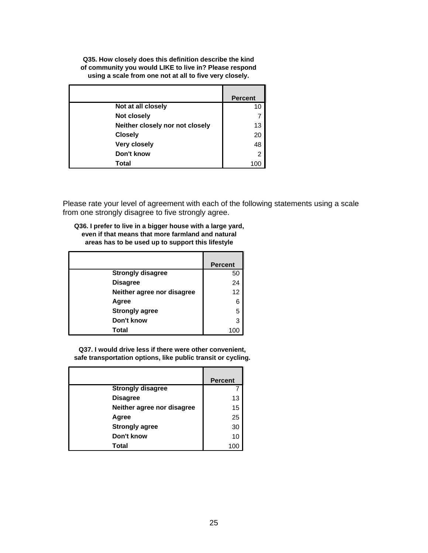**Q35. How closely does this definition describe the kind of community you would LIKE to live in? Please respond using a scale from one not at all to five very closely.**

|                                 | <b>Percent</b> |
|---------------------------------|----------------|
| Not at all closely              | 10             |
| Not closely                     |                |
| Neither closely nor not closely | 13             |
| <b>Closely</b>                  | 20             |
| <b>Very closely</b>             | 48             |
| Don't know                      | 2              |
| Total                           |                |

Please rate your level of agreement with each of the following statements using a scale from one strongly disagree to five strongly agree.

| Q36. I prefer to live in a bigger house with a large yard, |
|------------------------------------------------------------|
| even if that means that more farmland and natural          |
| areas has to be used up to support this lifestyle          |

|                            | <b>Percent</b> |
|----------------------------|----------------|
| <b>Strongly disagree</b>   | 50             |
| <b>Disagree</b>            | 24             |
| Neither agree nor disagree | 12             |
| Agree                      | 6              |
| <b>Strongly agree</b>      | 5              |
| Don't know                 | 3              |
| Total                      |                |

**Q37. I would drive less if there were other convenient, safe transportation options, like public transit or cycling.**

|                            | <b>Percent</b> |
|----------------------------|----------------|
| <b>Strongly disagree</b>   |                |
| <b>Disagree</b>            | 13             |
| Neither agree nor disagree | 15             |
| Agree                      | 25             |
| <b>Strongly agree</b>      | 30             |
| Don't know                 | 10             |
| Total                      |                |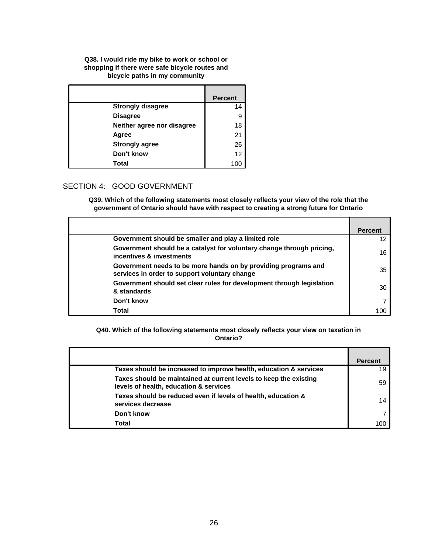#### **Q38. I would ride my bike to work or school or shopping if there were safe bicycle routes and bicycle paths in my community**

|                            | <b>Percent</b> |
|----------------------------|----------------|
| <b>Strongly disagree</b>   | 14             |
| <b>Disagree</b>            | 9              |
| Neither agree nor disagree | 18             |
| Agree                      | 21             |
| <b>Strongly agree</b>      | 26             |
| Don't know                 | 12             |
| Total                      |                |

# SECTION 4: GOOD GOVERNMENT

**Q39. Which of the following statements most closely reflects your view of the role that the government of Ontario should have with respect to creating a strong future for Ontario**

|                                                                                                                 | <b>Percent</b> |
|-----------------------------------------------------------------------------------------------------------------|----------------|
| Government should be smaller and play a limited role                                                            |                |
| Government should be a catalyst for voluntary change through pricing,<br>incentives & investments               | 16             |
| Government needs to be more hands on by providing programs and<br>services in order to support voluntary change | 35             |
| Government should set clear rules for development through legislation<br>& standards                            | 30             |
| Don't know                                                                                                      |                |
| Total                                                                                                           | 100            |

#### **Q40. Which of the following statements most closely reflects your view on taxation in Ontario?**

|                                                                                                             | <b>Percent</b> |
|-------------------------------------------------------------------------------------------------------------|----------------|
| Taxes should be increased to improve health, education & services                                           | 19             |
| Taxes should be maintained at current levels to keep the existing<br>levels of health, education & services | 59             |
| Taxes should be reduced even if levels of health, education &<br>services decrease                          | 14             |
| Don't know                                                                                                  |                |
| Total                                                                                                       | 10C            |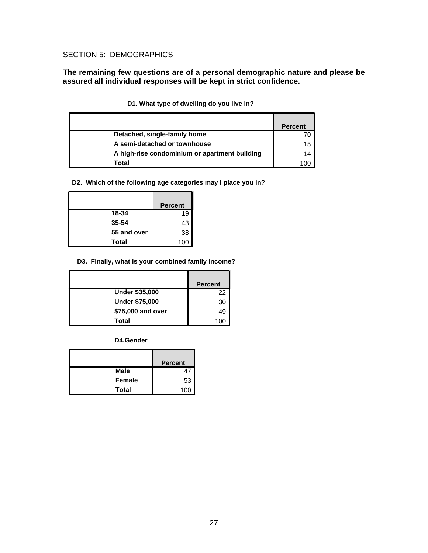# SECTION 5: DEMOGRAPHICS

**The remaining few questions are of a personal demographic nature and please be assured all individual responses will be kept in strict confidence.** 

|                                               | Percent |
|-----------------------------------------------|---------|
| Detached, single-family home                  |         |
| A semi-detached or townhouse                  | 15      |
| A high-rise condominium or apartment building | 14      |
| Total                                         | OC.     |

| D1. What type of dwelling do you live in? |  |  |  |  |  |  |  |  |  |
|-------------------------------------------|--|--|--|--|--|--|--|--|--|
|-------------------------------------------|--|--|--|--|--|--|--|--|--|

**D2. Which of the following age categories may I place you in?**

|              | <b>Percent</b> |
|--------------|----------------|
| 18-34        | 19             |
| 35-54        | 43             |
| 55 and over  | 38             |
| <b>Total</b> | 100            |

### **D3. Finally, what is your combined family income?**

|                       | <b>Percent</b> |
|-----------------------|----------------|
| <b>Under \$35,000</b> | 22             |
| <b>Under \$75,000</b> | 30             |
| \$75,000 and over     | 49             |
| Total                 |                |

**D4.Gender**

|               | <b>Percent</b> |
|---------------|----------------|
| <b>Male</b>   | 47             |
| <b>Female</b> | 53             |
| <b>Total</b>  | 100            |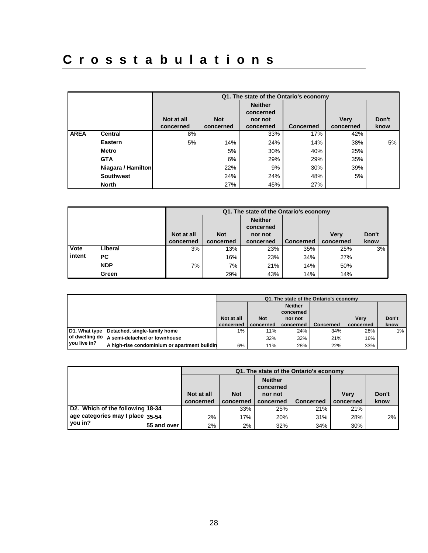# Crosstabulations

|             |                    |            |            | Q1. The state of the Ontario's economy |                  |             |       |
|-------------|--------------------|------------|------------|----------------------------------------|------------------|-------------|-------|
|             |                    |            |            | <b>Neither</b><br>concerned            |                  |             |       |
|             |                    | Not at all | <b>Not</b> | nor not                                |                  | <b>Very</b> | Don't |
|             |                    | concerned  | concerned  | concerned                              | <b>Concerned</b> | concerned   | know  |
| <b>AREA</b> | <b>Central</b>     | 8%         |            | 33%                                    | 17%              | 42%         |       |
|             | <b>Eastern</b>     | 5%         | 14%        | 24%                                    | 14%              | 38%         | 5%    |
|             | <b>Metro</b>       |            | 5%         | 30%                                    | 40%              | 25%         |       |
|             | <b>GTA</b>         |            | 6%         | 29%                                    | 29%              | 35%         |       |
|             | Niagara / Hamilton |            | 22%        | 9%                                     | 30%              | 39%         |       |
|             | <b>Southwest</b>   |            | 24%        | 24%                                    | 48%              | 5%          |       |
|             | <b>North</b>       |            | 27%        | 45%                                    | 27%              |             |       |

|        |            | Q1. The state of the Ontario's economy |            |                             |                  |             |       |  |  |
|--------|------------|----------------------------------------|------------|-----------------------------|------------------|-------------|-------|--|--|
|        |            |                                        |            | <b>Neither</b><br>concerned |                  |             |       |  |  |
|        |            | Not at all                             | <b>Not</b> | nor not                     |                  | <b>Verv</b> | Don't |  |  |
|        |            | concerned                              | concerned  | concerned                   | <b>Concerned</b> | concerned   | know  |  |  |
| Vote   | Liberal    | 3%                                     | 13%        | 23%                         | 35%              | 25%         | 3%    |  |  |
| intent | PC.        |                                        | 16%        | 23%                         | 34%              | 27%         |       |  |  |
|        | <b>NDP</b> | 7%                                     | 7%         | 21%                         | 14%              | 50%         |       |  |  |
|        | Green      |                                        | 29%        | 43%                         | 14%              | 14%         |       |  |  |

|                |                                              | Q1. The state of the Ontario's economy |            |                             |           |             |       |  |  |
|----------------|----------------------------------------------|----------------------------------------|------------|-----------------------------|-----------|-------------|-------|--|--|
|                |                                              |                                        |            | <b>Neither</b><br>concerned |           |             |       |  |  |
|                |                                              | Not at all                             | <b>Not</b> | nor not                     |           | <b>Verv</b> | Don't |  |  |
|                |                                              | concerned                              | concerned  | concerned                   | Concerned | concerned   | know  |  |  |
| D1. What type  | Detached, single-family home                 | 1%                                     | 11%        | 24%                         | 34%       | 28%         | $1\%$ |  |  |
| of dwelling do | A semi-detached or townhouse                 |                                        | 32%        | 32%                         | 21%       | 16%         |       |  |  |
| you live in?   | A high-rise condominium or apartment buildin | 6%                                     | 11%        | 28%                         | 22%       | 33%         |       |  |  |

|                                  |            |            |                             | Q1. The state of the Ontario's economy |             |       |
|----------------------------------|------------|------------|-----------------------------|----------------------------------------|-------------|-------|
|                                  |            |            | <b>Neither</b><br>concerned |                                        |             |       |
|                                  | Not at all | <b>Not</b> | nor not                     |                                        | <b>Verv</b> | Don't |
|                                  | concerned  | concerned  | concerned                   | <b>Concerned</b>                       | concerned   | know  |
| D2. Which of the following 18-34 |            | 33%        | 25%                         | 21%                                    | 21%         |       |
| age categories may I place 35-54 | 2%         | 17%        | 20%                         | 31%                                    | 28%         | 2%    |
| you in?<br>55 and over           | 2%         | 2%         | 32%                         | 34%                                    | 30%         |       |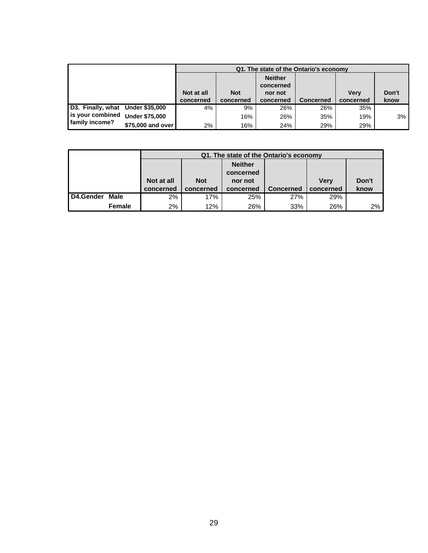|                                  |                       |            |            |                             | Q1. The state of the Ontario's economy |             |       |
|----------------------------------|-----------------------|------------|------------|-----------------------------|----------------------------------------|-------------|-------|
|                                  |                       |            |            | <b>Neither</b><br>concerned |                                        |             |       |
|                                  |                       | Not at all | <b>Not</b> | nor not                     |                                        | <b>Verv</b> | Don't |
|                                  |                       | concerned  | concerned  | concerned                   | <b>Concerned</b>                       | concerned   | know  |
| D3. Finally, what Under \$35,000 |                       | 4%         | 9%         | 26%                         | 26%                                    | 35%         |       |
| is your combined                 | <b>Under \$75,000</b> |            | 16%        | 26%                         | 35%                                    | 19%         | 3%    |
| family income?                   | \$75,000 and over     | 2%         | 16%        | 24%                         | 29%                                    | 29%         |       |

|           |        |            | Q1. The state of the Ontario's economy |                |                  |             |       |  |  |  |
|-----------|--------|------------|----------------------------------------|----------------|------------------|-------------|-------|--|--|--|
|           |        |            |                                        | <b>Neither</b> |                  |             |       |  |  |  |
|           |        |            |                                        | concerned      |                  |             |       |  |  |  |
|           |        | Not at all | <b>Not</b>                             | nor not        |                  | <b>Verv</b> | Don't |  |  |  |
|           |        | concerned  | concerned                              | concerned      | <b>Concerned</b> | concerned   | know  |  |  |  |
| D4.Gender | Male   | 2%         | 17%                                    | 25%            | 27%              | 29%         |       |  |  |  |
|           | Female | 2%         | 12%                                    | 26%            | 33%              | 26%         | 2%    |  |  |  |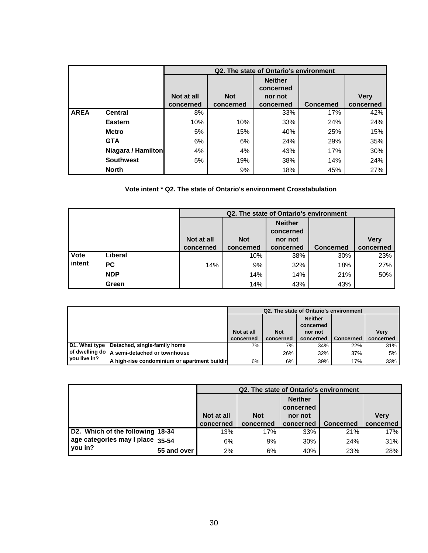|             |                    |            |            | Q2. The state of Ontario's environment |                  |             |
|-------------|--------------------|------------|------------|----------------------------------------|------------------|-------------|
|             |                    |            |            | <b>Neither</b><br>concerned            |                  |             |
|             |                    | Not at all | <b>Not</b> | nor not                                |                  | <b>Very</b> |
|             |                    | concerned  | concerned  | concerned                              | <b>Concerned</b> | concerned   |
| <b>AREA</b> | <b>Central</b>     | 8%         |            | 33%                                    | 17%              | 42%         |
|             | <b>Eastern</b>     | 10%        | 10%        | 33%                                    | 24%              | 24%         |
|             | <b>Metro</b>       | 5%         | 15%        | 40%                                    | 25%              | 15%         |
|             | <b>GTA</b>         | 6%         | 6%         | 24%                                    | 29%              | 35%         |
|             | Niagara / Hamilton | 4%         | 4%         | 43%                                    | 17%              | 30%         |
|             | <b>Southwest</b>   | 5%         | 19%        | 38%                                    | 14%              | 24%         |
|             | <b>North</b>       |            | 9%         | 18%                                    | 45%              | 27%         |

## **Vote intent \* Q2. The state of Ontario's environment Crosstabulation**

|        |            |            |            | Q2. The state of Ontario's environment |                  |             |
|--------|------------|------------|------------|----------------------------------------|------------------|-------------|
|        |            | Not at all | <b>Not</b> | <b>Neither</b><br>concerned<br>nor not |                  | <b>Very</b> |
|        |            |            |            |                                        |                  |             |
|        |            | concerned  | concerned  | concerned                              | <b>Concerned</b> | concerned   |
| Vote   | Liberal    |            | 10%        | 38%                                    | 30%              | 23%         |
| intent | <b>PC</b>  | 14%        | 9%         | 32%                                    | 18%              | 27%         |
|        | <b>NDP</b> |            | 14%        | 14%                                    | 21%              | 50%         |
|        | Green      |            | 14%        | 43%                                    | 43%              |             |

|                |                                              | Q2. The state of Ontario's environment |            |                             |                  |             |  |  |
|----------------|----------------------------------------------|----------------------------------------|------------|-----------------------------|------------------|-------------|--|--|
|                |                                              |                                        |            | <b>Neither</b><br>concerned |                  |             |  |  |
|                |                                              | Not at all                             | <b>Not</b> | nor not                     |                  | <b>Verv</b> |  |  |
|                |                                              | concerned                              | concerned  | concerned                   | <b>Concerned</b> | concerned   |  |  |
| D1. What type  | Detached, single-family home                 | 7%                                     | 7%         | 34%                         | 22%              | 31%         |  |  |
| l vou live in? | of dwelling do A semi-detached or townhouse  |                                        | 26%        | 32%                         | 37%              | 5%          |  |  |
|                | A high-rise condominium or apartment buildir | 6%                                     | 6%         | 39%                         | 17%              | 33%         |  |  |

|                                  |             |            | Q2. The state of Ontario's environment |                             |                  |           |
|----------------------------------|-------------|------------|----------------------------------------|-----------------------------|------------------|-----------|
|                                  |             |            |                                        | <b>Neither</b><br>concerned |                  |           |
|                                  |             | Not at all | <b>Not</b>                             | nor not                     |                  | Verv      |
|                                  |             | concerned  | concerned                              | concerned                   | <b>Concerned</b> | concerned |
| D2. Which of the following 18-34 |             | 13%        | 17%                                    | 33%                         | 21%              | 17%       |
| age categories may I place 35-54 |             | 6%         | 9%                                     | 30%                         | 24%              | 31%       |
| you in?                          | 55 and over | 2%         | 6%                                     | 40%                         | 23%              | 28%       |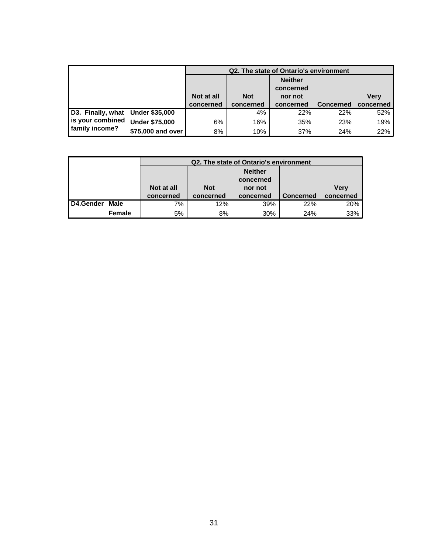|                                  |                       |            |            | Q2. The state of Ontario's environment |                  |             |
|----------------------------------|-----------------------|------------|------------|----------------------------------------|------------------|-------------|
|                                  |                       |            |            | <b>Neither</b><br>concerned            |                  |             |
|                                  |                       | Not at all | <b>Not</b> | nor not                                |                  | <b>Very</b> |
|                                  |                       | concerned  | concerned  | concerned                              | <b>Concerned</b> | concerned   |
| D3. Finally, what Under \$35,000 |                       |            | 4%         | 22%                                    | 22%              | 52%         |
| is your combined                 | <b>Under \$75,000</b> | 6%         | 16%        | 35%                                    | 23%              | 19%         |
| family income?                   | \$75,000 and over     | 8%         | 10%        | 37%                                    | 24%              | 22%         |

|                  |        |            |            | Q2. The state of Ontario's environment |                  |             |
|------------------|--------|------------|------------|----------------------------------------|------------------|-------------|
|                  |        |            |            | <b>Neither</b>                         |                  |             |
|                  |        |            |            | concerned                              |                  |             |
|                  |        | Not at all | <b>Not</b> | nor not                                |                  | <b>Verv</b> |
|                  |        | concerned  | concerned  | concerned                              | <b>Concerned</b> | concerned   |
| <b>D4.Gender</b> | Male   | 7%         | 12%        | 39%                                    | 22%              | 20%         |
|                  | Female | 5%         | 8%         | 30%                                    | 24%              | 33%         |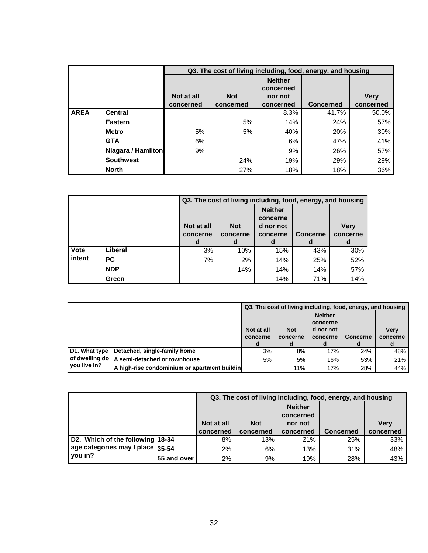|             |                    |            |            |                             | Q3. The cost of living including, food, energy, and housing |             |
|-------------|--------------------|------------|------------|-----------------------------|-------------------------------------------------------------|-------------|
|             |                    |            |            | <b>Neither</b><br>concerned |                                                             |             |
|             |                    | Not at all | <b>Not</b> | nor not                     |                                                             | <b>Very</b> |
|             |                    | concerned  | concerned  | concerned                   | <b>Concerned</b>                                            | concerned   |
| <b>AREA</b> | <b>Central</b>     |            |            | 8.3%                        | 41.7%                                                       | 50.0%       |
|             | <b>Eastern</b>     |            | 5%         | 14%                         | 24%                                                         | 57%         |
|             | <b>Metro</b>       | 5%         | 5%         | 40%                         | 20%                                                         | 30%         |
|             | <b>GTA</b>         | 6%         |            | 6%                          | 47%                                                         | 41%         |
|             | Niagara / Hamilton | 9%         |            | 9%                          | 26%                                                         | 57%         |
|             | <b>Southwest</b>   |            | 24%        | 19%                         | 29%                                                         | 29%         |
|             | <b>North</b>       |            | 27%        | 18%                         | 18%                                                         | 36%         |

|        |            |                        |                        |                                                     | Q3. The cost of living including, food, energy, and housing |                         |
|--------|------------|------------------------|------------------------|-----------------------------------------------------|-------------------------------------------------------------|-------------------------|
|        |            | Not at all<br>concerne | <b>Not</b><br>concerne | <b>Neither</b><br>concerne<br>d nor not<br>concerne | <b>Concerne</b>                                             | <b>Very</b><br>concerne |
|        |            | d                      | d                      | d                                                   | d                                                           | d                       |
| Vote   | Liberal    | 3%                     | 10%                    | 15%                                                 | 43%                                                         | 30%                     |
| intent | <b>PC</b>  | 7%                     | 2%                     | 14%                                                 | 25%                                                         | 52%                     |
|        | <b>NDP</b> |                        | 14%                    | 14%                                                 | 14%                                                         | 57%                     |
|        | Green      |                        |                        | 14%                                                 | 71%                                                         | 14%                     |

|                                |                                              |                             | Q3. The cost of living including, food, energy, and housing |                                                          |                      |                         |
|--------------------------------|----------------------------------------------|-----------------------------|-------------------------------------------------------------|----------------------------------------------------------|----------------------|-------------------------|
|                                |                                              | Not at all<br>concerne<br>d | <b>Not</b><br>concerne                                      | <b>Neither</b><br>concerne<br>d nor not<br>concerne<br>a | <b>Concerne</b><br>d | <b>Very</b><br>concerne |
| D1. What type                  | Detached, single-family home                 | 3%                          | 8%                                                          | 17%                                                      | 24%                  | 48%                     |
| of dwelling do<br>vou live in? | A semi-detached or townhouse                 | 5%                          | 5%                                                          | 16%                                                      | 53%                  | 21%                     |
|                                | A high-rise condominium or apartment buildin |                             | 11%                                                         | 17%                                                      | 28%                  | 44%                     |

|                                  |             |            |            |                             | Q3. The cost of living including, food, energy, and housing |           |
|----------------------------------|-------------|------------|------------|-----------------------------|-------------------------------------------------------------|-----------|
|                                  |             |            |            | <b>Neither</b><br>concerned |                                                             |           |
|                                  |             | Not at all | <b>Not</b> | nor not                     |                                                             | Verv      |
|                                  |             | concerned  | concerned  | concerned                   | <b>Concerned</b>                                            | concerned |
| D2. Which of the following 18-34 |             | 8%         | 13%        | 21%                         | 25%                                                         | 33%       |
| age categories may I place 35-54 |             | 2%         | 6%         | 13%                         | 31%                                                         | 48%       |
| you in?                          | 55 and over | 2%         | 9%         | 19%                         | 28%                                                         | 43%       |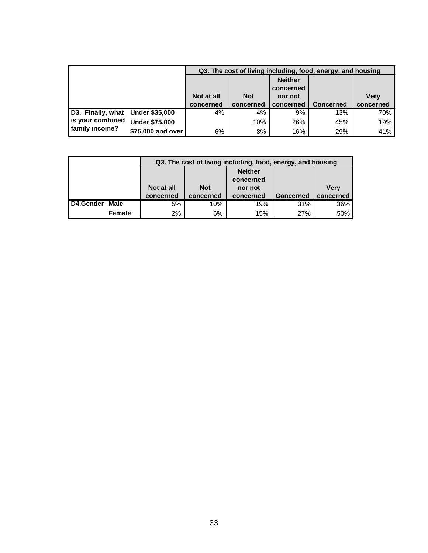|                                  |                       |            |            |                             | Q3. The cost of living including, food, energy, and housing |             |
|----------------------------------|-----------------------|------------|------------|-----------------------------|-------------------------------------------------------------|-------------|
|                                  |                       |            |            | <b>Neither</b><br>concerned |                                                             |             |
|                                  |                       | Not at all | <b>Not</b> | nor not                     |                                                             | <b>Very</b> |
|                                  |                       | concerned  | concerned  | concerned                   | <b>Concerned</b>                                            | concerned   |
| D3. Finally, what Under \$35,000 |                       | 4%         | 4%         | 9%                          | 13%                                                         | 70%         |
| is your combined                 | <b>Under \$75,000</b> |            | 10%        | 26%                         | 45%                                                         | 19%         |
| family income?                   | \$75,000 and over     | 6%         | 8%         | 16%                         | 29%                                                         | 41%         |

|           |               |            |            | Q3. The cost of living including, food, energy, and housing |                  |             |
|-----------|---------------|------------|------------|-------------------------------------------------------------|------------------|-------------|
|           |               |            |            | <b>Neither</b>                                              |                  |             |
|           |               |            |            | concerned                                                   |                  |             |
|           |               | Not at all | <b>Not</b> | nor not                                                     |                  | <b>Verv</b> |
|           |               | concerned  | concerned  | concerned                                                   | <b>Concerned</b> | concerned   |
| D4.Gender | Male          | 5%         | 10%        | 19%                                                         | 31%              | 36%         |
|           | <b>Female</b> | 2%         | 6%         | 15%                                                         | 27%              | 50%         |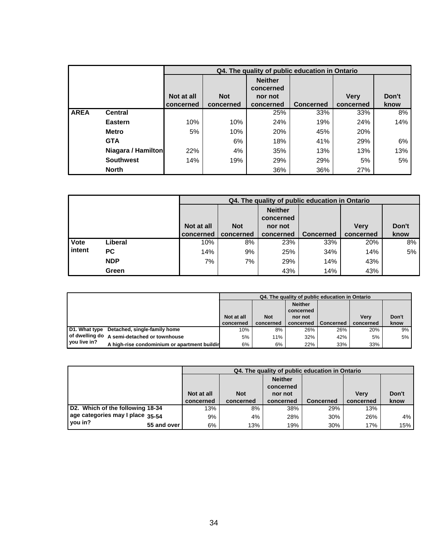|             |                    |            |            | Q4. The quality of public education in Ontario |                  |             |       |
|-------------|--------------------|------------|------------|------------------------------------------------|------------------|-------------|-------|
|             |                    |            |            | <b>Neither</b><br>concerned                    |                  |             |       |
|             |                    | Not at all | <b>Not</b> | nor not                                        |                  | <b>Very</b> | Don't |
|             |                    | concerned  | concerned  | concerned                                      | <b>Concerned</b> | concerned   | know  |
| <b>AREA</b> | <b>Central</b>     |            |            | 25%                                            | 33%              | 33%         | 8%    |
|             | <b>Eastern</b>     | 10%        | 10%        | 24%                                            | 19%              | 24%         | 14%   |
|             | <b>Metro</b>       | 5%         | 10%        | 20%                                            | 45%              | 20%         |       |
|             | <b>GTA</b>         |            | 6%         | 18%                                            | 41%              | 29%         | 6%    |
|             | Niagara / Hamilton | 22%        | 4%         | 35%                                            | 13%              | 13%         | 13%   |
|             | <b>Southwest</b>   | 14%        | 19%        | 29%                                            | 29%              | 5%          | 5%    |
|             | <b>North</b>       |            |            | 36%                                            | 36%              | 27%         |       |

|        |            |            |            |                             | Q4. The quality of public education in Ontario |             |       |
|--------|------------|------------|------------|-----------------------------|------------------------------------------------|-------------|-------|
|        |            |            |            | <b>Neither</b><br>concerned |                                                |             |       |
|        |            | Not at all | <b>Not</b> | nor not                     |                                                | <b>Verv</b> | Don't |
|        |            | concerned  | concerned  | concerned                   | <b>Concerned</b>                               | concerned   | know  |
| Vote   | Liberal    | 10%        | 8%         | 23%                         | 33%                                            | 20%         | 8%    |
| intent | <b>PC</b>  | 14%        | 9%         | 25%                         | 34%                                            | 14%         | 5%    |
|        | <b>NDP</b> | 7%         | 7%         | 29%                         | 14%                                            | 43%         |       |
|        | Green      |            |            | 43%                         | 14%                                            | 43%         |       |

|                |                                              |            |            | Q4. The quality of public education in Ontario |                  |             |       |
|----------------|----------------------------------------------|------------|------------|------------------------------------------------|------------------|-------------|-------|
|                |                                              |            |            | <b>Neither</b><br>concerned                    |                  |             |       |
|                |                                              | Not at all | <b>Not</b> | nor not                                        |                  | <b>Verv</b> | Don't |
|                |                                              | concerned  | concerned  | concerned                                      | <b>Concerned</b> | concerned   | know  |
| D1. What type  | Detached, single-family home                 | 10%        | 8%         | 26%                                            | 26%              | 20%         | 9%    |
| of dwelling do | A semi-detached or townhouse                 | 5%         | 11%        | 32%                                            | 42%              | 5%          | 5%    |
| you live in?   | A high-rise condominium or apartment buildin | 6%         | 6%         | 22%                                            | 33%              | 33%         |       |

|                                  |             |            |            |                             | Q4. The quality of public education in Ontario |             |       |
|----------------------------------|-------------|------------|------------|-----------------------------|------------------------------------------------|-------------|-------|
|                                  |             |            |            | <b>Neither</b><br>concerned |                                                |             |       |
|                                  |             | Not at all | <b>Not</b> | nor not                     |                                                | <b>Verv</b> | Don't |
|                                  |             | concerned  | concerned  | concerned                   | <b>Concerned</b>                               | concerned   | know  |
| D2. Which of the following 18-34 |             | 13%        | 8%         | 38%                         | 29%                                            | 13%         |       |
| age categories may I place 35-54 |             | 9%         | 4%         | 28%                         | 30%                                            | 26%         | 4%    |
| you in?                          | 55 and over | 6%         | 13%        | 19%                         | 30%                                            | 17%         | 15%   |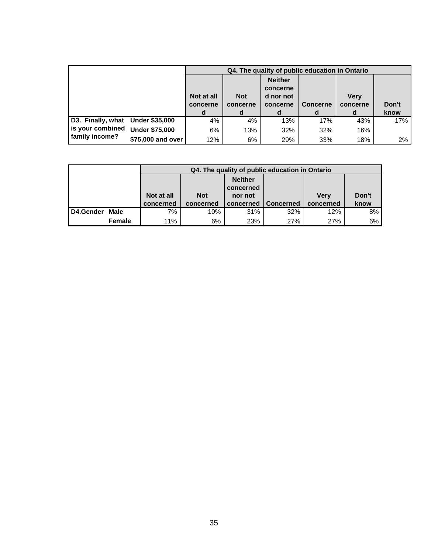|                                  |                       |                             |                             | Q4. The quality of public education in Ontario           |                      |                              |               |
|----------------------------------|-----------------------|-----------------------------|-----------------------------|----------------------------------------------------------|----------------------|------------------------------|---------------|
|                                  |                       | Not at all<br>concerne<br>d | <b>Not</b><br>concerne<br>d | <b>Neither</b><br>concerne<br>d nor not<br>concerne<br>d | <b>Concerne</b><br>d | <b>Verv</b><br>concerne<br>d | Don't<br>know |
| D3. Finally, what Under \$35,000 |                       | 4%                          | 4%                          | 13%                                                      | 17%                  | 43%                          | 17%           |
| is your combined                 | <b>Under \$75,000</b> | 6%                          | 13%                         | 32%                                                      | 32%                  | 16%                          |               |
| family income?                   | \$75,000 and over     | 12%                         | 6%                          | 29%                                                      | 33%                  | 18%                          | 2%            |

|           |               |            |            |                | Q4. The quality of public education in Ontario |             |       |
|-----------|---------------|------------|------------|----------------|------------------------------------------------|-------------|-------|
|           |               |            |            | <b>Neither</b> |                                                |             |       |
|           |               |            |            | concerned      |                                                |             |       |
|           |               | Not at all | <b>Not</b> | nor not        |                                                | <b>Verv</b> | Don't |
|           |               | concerned  | concerned  | concerned      | <b>Concerned</b>                               | concerned   | know  |
| D4.Gender | Male          | 7%         | 10%        | 31%            | 32%                                            | 12%         | 8%    |
|           | <b>Female</b> | 11%        | 6%         | 23%            | 27%                                            | <b>27%</b>  | 6%    |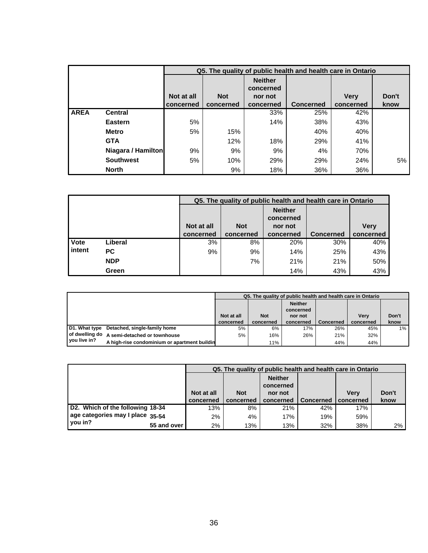|             |                    |            |            |                             | Q5. The quality of public health and health care in Ontario |             |       |
|-------------|--------------------|------------|------------|-----------------------------|-------------------------------------------------------------|-------------|-------|
|             |                    |            |            | <b>Neither</b><br>concerned |                                                             |             |       |
|             |                    | Not at all | <b>Not</b> | nor not                     |                                                             | <b>Very</b> | Don't |
|             |                    | concerned  | concerned  | concerned                   | <b>Concerned</b>                                            | concerned   | know  |
| <b>AREA</b> | <b>Central</b>     |            |            | 33%                         | 25%                                                         | 42%         |       |
|             | <b>Eastern</b>     | 5%         |            | 14%                         | 38%                                                         | 43%         |       |
|             | <b>Metro</b>       | 5%         | 15%        |                             | 40%                                                         | 40%         |       |
|             | <b>GTA</b>         |            | 12%        | 18%                         | 29%                                                         | 41%         |       |
|             | Niagara / Hamilton | 9%         | 9%         | 9%                          | 4%                                                          | 70%         |       |
|             | <b>Southwest</b>   | 5%         | 10%        | 29%                         | 29%                                                         | 24%         | 5%    |
|             | <b>North</b>       |            | 9%         | 18%                         | 36%                                                         | 36%         |       |

|             |            |            |                                            | Q5. The quality of public health and health care in Ontario |     |             |  |  |
|-------------|------------|------------|--------------------------------------------|-------------------------------------------------------------|-----|-------------|--|--|
|             |            | Not at all | <b>Not</b>                                 | <b>Neither</b><br>concerned<br>nor not                      |     | <b>Very</b> |  |  |
|             |            | concerned  | <b>Concerned</b><br>concerned<br>concerned |                                                             |     |             |  |  |
| <b>Vote</b> | Liberal    | 3%         | 8%                                         | 20%                                                         | 30% | 40%         |  |  |
| intent      | <b>PC</b>  | 9%         | 9%                                         | 14%                                                         | 25% | 43%         |  |  |
|             | <b>NDP</b> |            | 7%                                         | 21%                                                         | 21% | 50%         |  |  |
|             | Green      |            |                                            | 14%                                                         | 43% | 43%         |  |  |

|                |                                              | Q5. The quality of public health and health care in Ontario |            |                             |                  |             |       |  |  |  |
|----------------|----------------------------------------------|-------------------------------------------------------------|------------|-----------------------------|------------------|-------------|-------|--|--|--|
|                |                                              |                                                             |            | <b>Neither</b><br>concerned |                  |             |       |  |  |  |
|                |                                              | Not at all                                                  | <b>Not</b> | nor not                     |                  | <b>Verv</b> | Don't |  |  |  |
|                |                                              | concerned                                                   | concerned  | concerned                   | <b>Concerned</b> | concerned   | know  |  |  |  |
| D1. What type  | Detached, single-family home                 | 5%                                                          | 6%         | 17%                         | 26%              | 45%         | $1\%$ |  |  |  |
| of dwelling do | A semi-detached or townhouse                 | 5%                                                          | 16%        | 26%                         | 21%              | 32%         |       |  |  |  |
| I you live in? | A high-rise condominium or apartment buildin |                                                             | 11%        |                             | 44%              | 44%         |       |  |  |  |

|                                  |             |            |            |                             | Q5. The quality of public health and health care in Ontario |             |       |
|----------------------------------|-------------|------------|------------|-----------------------------|-------------------------------------------------------------|-------------|-------|
|                                  |             |            |            | <b>Neither</b><br>concerned |                                                             |             |       |
|                                  |             | Not at all | <b>Not</b> | nor not                     |                                                             | <b>Verv</b> | Don't |
|                                  |             | concerned  | concerned  | concerned                   | <b>Concerned</b>                                            | concerned   | know  |
| D2. Which of the following 18-34 |             | 13%        | 8%         | 21%                         | 42%                                                         | 17%         |       |
| age categories may I place 35-54 |             | 2%         | 4%         | 17%                         | 19%                                                         | 59%         |       |
| you in?                          | 55 and over | $2\%$      | 13%        | 13%                         | 32%                                                         | 38%         | 2%    |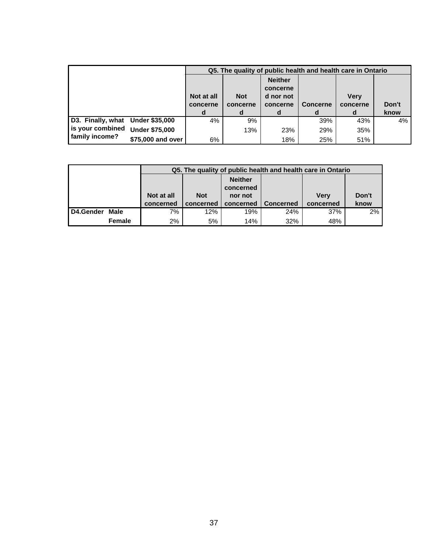|                                  |                       |                             |                             |                                                          |                      | Q5. The quality of public health and health care in Ontario |               |
|----------------------------------|-----------------------|-----------------------------|-----------------------------|----------------------------------------------------------|----------------------|-------------------------------------------------------------|---------------|
|                                  |                       | Not at all<br>concerne<br>d | <b>Not</b><br>concerne<br>d | <b>Neither</b><br>concerne<br>d nor not<br>concerne<br>d | <b>Concerne</b><br>d | <b>Verv</b><br>concerne<br>d                                | Don't<br>know |
| D3. Finally, what Under \$35,000 |                       | 4%                          | 9%                          |                                                          | 39%                  | 43%                                                         | 4%            |
| is your combined                 | <b>Under \$75,000</b> |                             | 13%                         | 23%                                                      | 29%                  | 35%                                                         |               |
| family income?                   | \$75,000 and over     | 6%                          |                             | 18%                                                      | 25%                  | 51%                                                         |               |

|           |        |            |            |                |                  | Q5. The quality of public health and health care in Ontario |       |  |  |  |  |  |
|-----------|--------|------------|------------|----------------|------------------|-------------------------------------------------------------|-------|--|--|--|--|--|
|           |        |            |            | <b>Neither</b> |                  |                                                             |       |  |  |  |  |  |
|           |        |            | concerned  |                |                  |                                                             |       |  |  |  |  |  |
|           |        | Not at all | <b>Not</b> | nor not        |                  | <b>Verv</b>                                                 | Don't |  |  |  |  |  |
|           |        | concerned  | concerned  | concerned      | <b>Concerned</b> | concerned                                                   | know  |  |  |  |  |  |
| D4.Gender | Male   | 7%         | 12%        | 19%            | 24%              | 37%                                                         | 2%    |  |  |  |  |  |
|           | Female | 2%         | 5%         | 14%            | 32%              | 48%                                                         |       |  |  |  |  |  |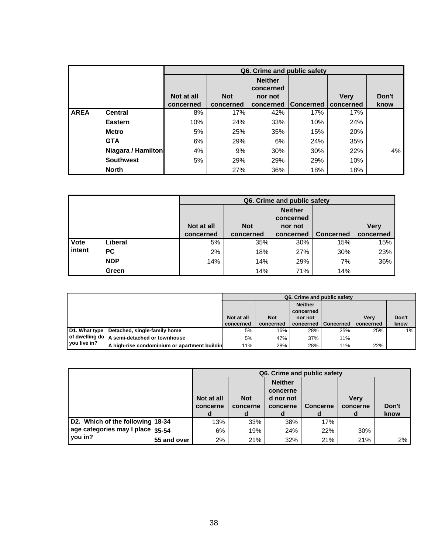|             |                    |            |            |                             | Q6. Crime and public safety |             |       |
|-------------|--------------------|------------|------------|-----------------------------|-----------------------------|-------------|-------|
|             |                    |            |            | <b>Neither</b><br>concerned |                             |             |       |
|             |                    | Not at all | <b>Not</b> | nor not                     |                             | <b>Very</b> | Don't |
|             |                    | concerned  | concerned  | concerned                   | <b>Concerned</b>            | concerned   | know  |
| <b>AREA</b> | <b>Central</b>     | 8%         | 17%        | 42%                         | 17%                         | 17%         |       |
|             | <b>Eastern</b>     | 10%        | 24%        | 33%                         | 10%                         | 24%         |       |
|             | <b>Metro</b>       | 5%         | 25%        | 35%                         | 15%                         | 20%         |       |
|             | <b>GTA</b>         | 6%         | 29%        | 6%                          | 24%                         | 35%         |       |
|             | Niagara / Hamilton | 4%         | 9%         | 30%                         | 30%                         | 22%         | 4%    |
|             | <b>Southwest</b>   | 5%         | 29%        | 29%                         | 29%                         | 10%         |       |
|             | <b>North</b>       |            | 27%        | 36%                         | 18%                         | 18%         |       |

|        |            |            |            | Q6. Crime and public safety            |                  |             |
|--------|------------|------------|------------|----------------------------------------|------------------|-------------|
|        |            | Not at all | <b>Not</b> | <b>Neither</b><br>concerned<br>nor not |                  | <b>Very</b> |
|        |            | concerned  | concerned  | concerned                              | <b>Concerned</b> | concerned   |
| Vote   | Liberal    | 5%         | 35%        | 30%                                    | 15%              | 15%         |
| intent | <b>PC</b>  | 2%         | 18%        | 27%                                    | 30%              | 23%         |
|        | <b>NDP</b> | 14%        | 14%        | 29%                                    | 7%               | 36%         |
|        | Green      |            | 14%        | 71%                                    | 14%              |             |

|                |                                              | Q6. Crime and public safety |            |                |             |             |       |  |  |  |
|----------------|----------------------------------------------|-----------------------------|------------|----------------|-------------|-------------|-------|--|--|--|
|                |                                              |                             |            | <b>Neither</b> |             |             |       |  |  |  |
|                |                                              |                             |            | concerned      |             |             |       |  |  |  |
|                |                                              | Not at all                  | <b>Not</b> | nor not        |             | <b>Verv</b> | Don't |  |  |  |
|                |                                              | concerned                   | concerned  | concerned      | l Concerned | concerned   | know  |  |  |  |
| D1. What type  | Detached, single-family home                 | 5%                          | 16%        | 28%            | 25%         | 25%         | $1\%$ |  |  |  |
| of dwelling do | A semi-detached or townhouse                 | 5%                          | 47%        | 37%            | 11%         |             |       |  |  |  |
| vou live in?   | A high-rise condominium or apartment buildin | 11%                         | 28%        | 28%            | 11%         | 22%         |       |  |  |  |

|                                  |             |            |            |                | Q6. Crime and public safety |             |       |
|----------------------------------|-------------|------------|------------|----------------|-----------------------------|-------------|-------|
|                                  |             |            |            | <b>Neither</b> |                             |             |       |
|                                  |             |            |            | concerne       |                             |             |       |
|                                  |             | Not at all | <b>Not</b> | d nor not      |                             | <b>Verv</b> |       |
|                                  |             | concerne   | concerne   | concerne       | <b>Concerne</b>             | concerne    | Don't |
|                                  |             |            | d          |                | d                           | d           | know  |
| D2. Which of the following 18-34 |             | 13%        | 33%        | 38%            | 17%                         |             |       |
| age categories may I place 35-54 |             | 6%         | 19%        | 24%            | 22%                         | 30%         |       |
| you in?                          | 55 and over | 2%         | 21%        | 32%            | 21%                         | 21%         | 2%    |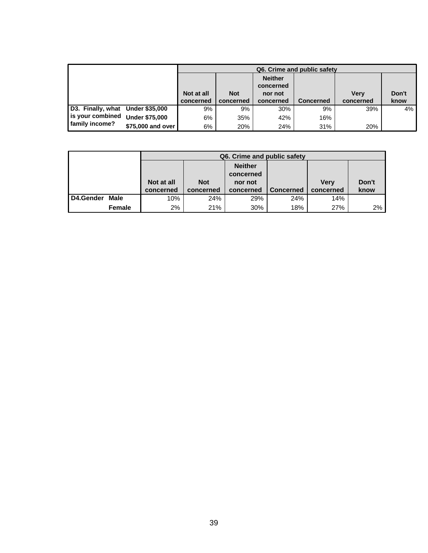|                                  |                       | Q6. Crime and public safety |            |                             |                  |             |       |  |  |  |
|----------------------------------|-----------------------|-----------------------------|------------|-----------------------------|------------------|-------------|-------|--|--|--|
|                                  |                       |                             |            | <b>Neither</b><br>concerned |                  |             |       |  |  |  |
|                                  |                       | Not at all                  | <b>Not</b> | nor not                     |                  | <b>Verv</b> | Don't |  |  |  |
|                                  |                       | concerned                   | concerned  | concerned                   | <b>Concerned</b> | concerned   | know  |  |  |  |
| D3. Finally, what Under \$35,000 |                       | 9%                          | 9%         | 30%                         | 9%               | 39%         | 4%    |  |  |  |
| l is your combined               | <b>Under \$75,000</b> | 6%                          | 35%        | 42%                         | 16%              |             |       |  |  |  |
| family income?                   | \$75,000 and over     | 6%                          | 20%        | 24%                         | 31%              | 20%         |       |  |  |  |

|           |        |            |            | Q6. Crime and public safety |                  |             |       |  |  |  |
|-----------|--------|------------|------------|-----------------------------|------------------|-------------|-------|--|--|--|
|           |        |            |            | <b>Neither</b>              |                  |             |       |  |  |  |
|           |        |            | concerned  |                             |                  |             |       |  |  |  |
|           |        | Not at all | <b>Not</b> | nor not                     |                  | <b>Verv</b> | Don't |  |  |  |
|           |        | concerned  | concerned  | concerned                   | <b>Concerned</b> | concerned   | know  |  |  |  |
| D4.Gender | Male   | 10%        | 24%        | 14%                         |                  |             |       |  |  |  |
|           | Female | 2%         | 21%        | 30%                         | 18%              | 27%         | 2%    |  |  |  |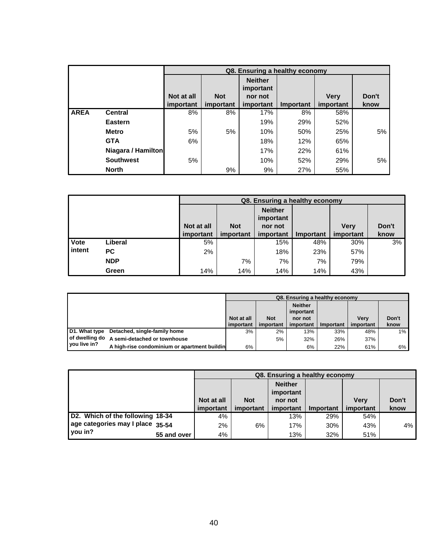|             |                    |            |            |                             | Q8. Ensuring a healthy economy |             |       |
|-------------|--------------------|------------|------------|-----------------------------|--------------------------------|-------------|-------|
|             |                    |            |            | <b>Neither</b><br>important |                                |             |       |
|             |                    | Not at all | <b>Not</b> | nor not                     |                                | <b>Verv</b> | Don't |
|             |                    | important  | important  | important                   | Important                      | important   | know  |
| <b>AREA</b> | <b>Central</b>     | 8%         | 8%         | 17%                         | 8%                             | 58%         |       |
|             | <b>Eastern</b>     |            |            | 19%                         | 29%                            | 52%         |       |
|             | <b>Metro</b>       | 5%         | 5%         | 10%                         | 50%                            | 25%         | 5%    |
|             | <b>GTA</b>         | 6%         |            | 18%                         | 12%                            | 65%         |       |
|             | Niagara / Hamilton |            |            | 17%                         | 22%                            | 61%         |       |
|             | <b>Southwest</b>   | 5%         |            | 10%                         | 52%                            | 29%         | 5%    |
|             | <b>North</b>       |            | 9%         | 9%                          | 27%                            | 55%         |       |

|        |            |            |            | Q8. Ensuring a healthy economy |           |             |       |
|--------|------------|------------|------------|--------------------------------|-----------|-------------|-------|
|        |            |            |            | <b>Neither</b><br>important    |           |             |       |
|        |            | Not at all | <b>Not</b> | nor not                        |           | <b>Verv</b> | Don't |
|        |            | important  | important  | important                      | Important | important   | know  |
| Vote   | Liberal    | 5%         |            | 15%                            | 48%       | 30%         | 3%    |
| intent | PC.        | 2%         |            | 18%                            | 23%       | 57%         |       |
|        | <b>NDP</b> |            | 7%         | 7%                             | 7%        | 79%         |       |
|        | Green      | 14%        | 14%        | 14%                            | 14%       | 43%         |       |

|                |                                              | Q8. Ensuring a healthy economy |            |                             |           |             |       |  |  |  |
|----------------|----------------------------------------------|--------------------------------|------------|-----------------------------|-----------|-------------|-------|--|--|--|
|                |                                              |                                |            | <b>Neither</b><br>important |           |             |       |  |  |  |
|                |                                              | Not at all                     | <b>Not</b> | nor not                     |           | <b>Verv</b> | Don't |  |  |  |
|                |                                              | important                      | important  | important                   | Important | important   | know  |  |  |  |
| D1. What type  | Detached, single-family home                 | 3%                             | 2%         | 13%                         | 33%       | 48%         | $1\%$ |  |  |  |
|                | of dwelling do A semi-detached or townhouse  |                                | 5%         | 32%                         | 26%       | 37%         |       |  |  |  |
| l vou live in? | A high-rise condominium or apartment buildin | 6%                             |            | 6%                          | 22%       | 61%         | 6%    |  |  |  |

|                                  |             |            |            | Q8. Ensuring a healthy economy         |                  |             |       |
|----------------------------------|-------------|------------|------------|----------------------------------------|------------------|-------------|-------|
|                                  |             | Not at all | <b>Not</b> | <b>Neither</b><br>important<br>nor not |                  | <b>Verv</b> | Don't |
|                                  |             |            |            |                                        |                  |             |       |
|                                  |             | important  | important  | important                              | <b>Important</b> | important   | know  |
| D2. Which of the following 18-34 |             | 4%         |            | 13%                                    | 29%              | 54%         |       |
| age categories may I place 35-54 |             | 2%         | 6%         | 17%                                    | 30%              | 43%         | 4%    |
| vou in?                          | 55 and over | 4%         |            | 13%                                    | 32%              | 51%         |       |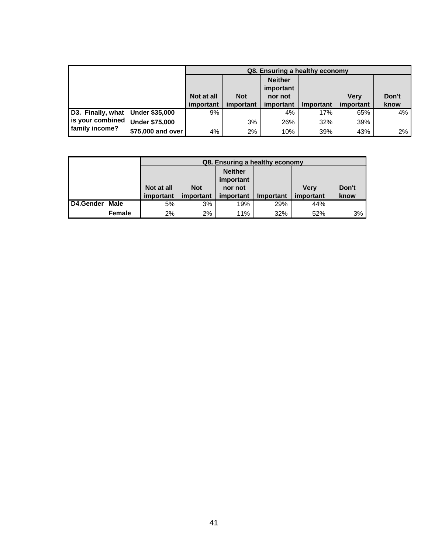|                                  |                       |            |            | Q8. Ensuring a healthy economy |           |             |       |
|----------------------------------|-----------------------|------------|------------|--------------------------------|-----------|-------------|-------|
|                                  |                       |            |            | <b>Neither</b><br>important    |           |             |       |
|                                  |                       | Not at all | <b>Not</b> | nor not                        |           | <b>Verv</b> | Don't |
|                                  |                       | important  | important  | important                      | Important | important   | know  |
| D3. Finally, what Under \$35,000 |                       | 9%         |            | 4%                             | 17%       | 65%         | 4%    |
| is your combined                 | <b>Under \$75,000</b> |            | 3%         | 26%                            | 32%       | 39%         |       |
| family income?                   | \$75,000 and over     | 4%         | $2\%$      | 10%                            | 39%       | 43%         | 2%    |

|           |        |            |            | Q8. Ensuring a healthy economy |           |             |       |
|-----------|--------|------------|------------|--------------------------------|-----------|-------------|-------|
|           |        |            |            | <b>Neither</b><br>important    |           |             |       |
|           |        | Not at all | <b>Not</b> | nor not                        |           | <b>Verv</b> | Don't |
|           |        | important  | important  | important                      | Important | important   | know  |
| D4.Gender | Male   | 5%         | 3%         | 19%                            | 29%       | 44%         |       |
|           | Female | 2%         | 2%         | 11%                            | 32%       | 52%         | 3%    |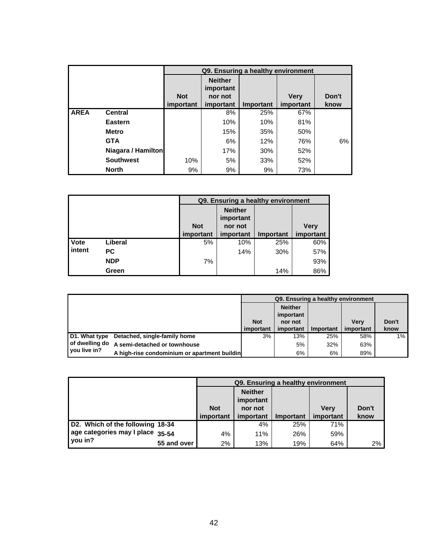|             |                    |            |                             |           | Q9. Ensuring a healthy environment |       |
|-------------|--------------------|------------|-----------------------------|-----------|------------------------------------|-------|
|             |                    |            | <b>Neither</b><br>important |           |                                    |       |
|             |                    | <b>Not</b> | nor not                     |           | <b>Very</b>                        | Don't |
|             |                    | important  | important                   | Important | important                          | know  |
| <b>AREA</b> | <b>Central</b>     |            | 8%                          | 25%       | 67%                                |       |
|             | Eastern            |            | 10%                         | 10%       | 81%                                |       |
|             | <b>Metro</b>       |            | 15%                         | 35%       | 50%                                |       |
|             | <b>GTA</b>         |            | 6%                          | 12%       | 76%                                | 6%    |
|             | Niagara / Hamilton |            | 17%                         | 30%       | 52%                                |       |
|             | <b>Southwest</b>   | 10%        | 5%                          | 33%       | 52%                                |       |
|             | <b>North</b>       | 9%         | 9%                          | 9%        | 73%                                |       |

|        |            |            | Q9. Ensuring a healthy environment     |           |             |
|--------|------------|------------|----------------------------------------|-----------|-------------|
|        |            | <b>Not</b> | <b>Neither</b><br>important<br>nor not |           | <b>Very</b> |
|        |            | important  | important                              | Important | important   |
| Vote   | Liberal    | 5%         | 10%                                    | 25%       | 60%         |
| intent | PC         |            | 14%                                    | 30%       | 57%         |
|        | <b>NDP</b> | 7%         |                                        |           | 93%         |
|        | Green      |            |                                        | 14%       | 86%         |

|                |                                              |            | Q9. Ensuring a healthy environment     |           |             |         |
|----------------|----------------------------------------------|------------|----------------------------------------|-----------|-------------|---------|
|                |                                              | <b>Not</b> | <b>Neither</b><br>important<br>nor not |           | <b>Verv</b> | Don't   |
|                |                                              | important  | important                              | Important | important   | know    |
| D1. What type  | Detached, single-family home                 | 3%         | 13%                                    | 25%       | 58%         | $1\%$ . |
|                | of dwelling do A semi-detached or townhouse  |            | 5%                                     | 32%       | 63%         |         |
| l vou live in? | A high-rise condominium or apartment buildin |            | 6%                                     | 6%        | 89%         |         |

|                                             |            | Q9. Ensuring a healthy environment     |                  |             |       |
|---------------------------------------------|------------|----------------------------------------|------------------|-------------|-------|
|                                             | <b>Not</b> | <b>Neither</b><br>important<br>nor not |                  | <b>Verv</b> | Don't |
|                                             | important  | important                              | <b>Important</b> | important   | know  |
|                                             |            |                                        |                  |             |       |
| D2. Which of the following 18-34            |            | 4%                                     | 25%              | 71%         |       |
| age categories may I place 35-54<br>you in? | 4%         | 11%                                    | 26%              | 59%         |       |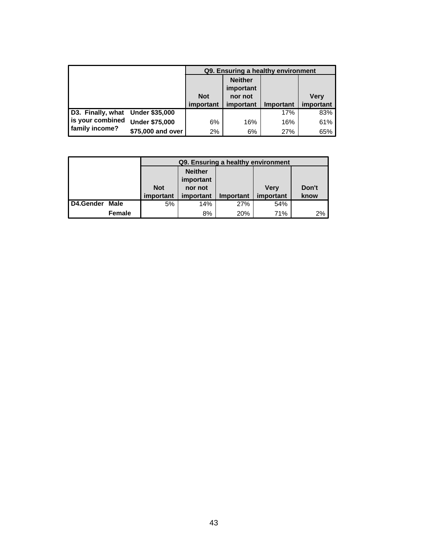|                                                                        |                       |            | Q9. Ensuring a healthy environment |           |             |
|------------------------------------------------------------------------|-----------------------|------------|------------------------------------|-----------|-------------|
|                                                                        |                       |            | <b>Neither</b><br>important        |           |             |
|                                                                        |                       | <b>Not</b> | nor not                            |           | <b>Very</b> |
|                                                                        |                       | important  | important                          | Important | important   |
| D3. Finally, what Under \$35,000<br>is your combined<br>family income? |                       |            |                                    | 17%       | 83%         |
|                                                                        | <b>Under \$75,000</b> | 6%         | 16%                                | 16%       | 61%         |
|                                                                        | \$75,000 and over     | 2%         | 6%                                 | 27%       | 65%         |

|           |               |            | Q9. Ensuring a healthy environment |                  |           |       |  |  |  |
|-----------|---------------|------------|------------------------------------|------------------|-----------|-------|--|--|--|
|           |               |            | <b>Neither</b>                     |                  |           |       |  |  |  |
|           |               |            | important                          |                  |           |       |  |  |  |
|           |               | <b>Not</b> | nor not                            |                  | Verv      | Don't |  |  |  |
|           |               | important  | important                          | <b>Important</b> | important | know  |  |  |  |
| D4.Gender | Male          | 5%         | 14%                                | 27%              | 54%       |       |  |  |  |
|           | <b>Female</b> |            | 8%                                 | 20%              | 71%       | 2%    |  |  |  |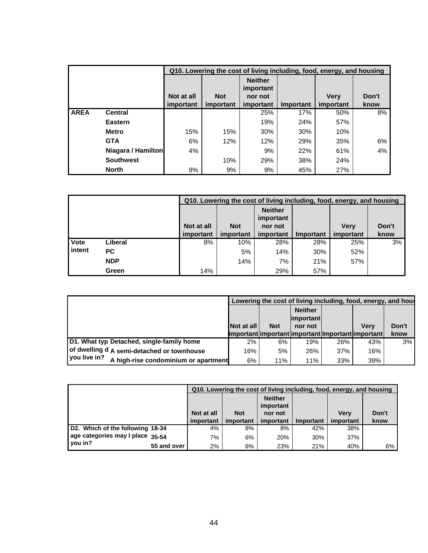|             |                    |            |            | Q10. Lowering the cost of living including, food, energy, and housing |           |             |       |
|-------------|--------------------|------------|------------|-----------------------------------------------------------------------|-----------|-------------|-------|
|             |                    |            |            | <b>Neither</b><br>important                                           |           |             |       |
|             |                    | Not at all | <b>Not</b> | nor not                                                               |           | <b>Verv</b> | Don't |
|             |                    | important  | important  | important                                                             | Important | important   | know  |
| <b>AREA</b> | <b>Central</b>     |            |            | 25%                                                                   | 17%       | 50%         | 8%    |
|             | Eastern            |            |            | 19%                                                                   | 24%       | 57%         |       |
|             | <b>Metro</b>       | 15%        | 15%        | 30%                                                                   | 30%       | 10%         |       |
|             | <b>GTA</b>         | 6%         | 12%        | 12%                                                                   | 29%       | 35%         | 6%    |
|             | Niagara / Hamilton | 4%         |            | 9%                                                                    | 22%       | 61%         | 4%    |
|             | <b>Southwest</b>   |            | 10%        | 29%                                                                   | 38%       | 24%         |       |
|             | <b>North</b>       | 9%         | 9%         | 9%                                                                    | 45%       | 27%         |       |

|        |            |            |            | Q10. Lowering the cost of living including, food, energy, and housing |           |             |       |
|--------|------------|------------|------------|-----------------------------------------------------------------------|-----------|-------------|-------|
|        |            |            |            | <b>Neither</b><br>important                                           |           |             |       |
|        |            | Not at all | <b>Not</b> | nor not                                                               |           | <b>Verv</b> | Don't |
|        |            | important  | important  | important                                                             | Important | important   | know  |
| Vote   | Liberal    | 8%         | 10%        | 28%                                                                   | 28%       | 25%         | 3%    |
| intent | <b>PC</b>  |            | 5%         | 14%                                                                   | 30%       | 52%         |       |
|        | <b>NDP</b> |            | 14%        | 7%                                                                    | 21%       | 57%         |       |
|        | Green      | 14%        |            | 29%                                                                   | 57%       |             |       |

|                                                        |                   |            | Lowering the cost of living including, food, energy, and house |     |      |       |
|--------------------------------------------------------|-------------------|------------|----------------------------------------------------------------|-----|------|-------|
|                                                        |                   |            | <b>Neither</b><br>$ $ important $ $                            |     |      |       |
|                                                        | <b>Not at all</b> | <b>Not</b> | nor not                                                        |     | Verv | Don't |
|                                                        |                   |            | limportant important important Important important             |     |      | know  |
| D1. What typ Detached, single-family home              | 2%                | 6%         | 19%                                                            | 26% | 43%  | 3%    |
| of dwelling d A semi-detached or townhouse             | 16%               | 5%         | 26%                                                            | 37% | 16%  |       |
| l vou live in?<br>A high-rise condominium or apartment | 6%                | 11%        | 11%                                                            | 33% | 39%  |       |

|                                             |            |            |                                        |           | Q10. Lowering the cost of living including, food, energy, and housing |       |
|---------------------------------------------|------------|------------|----------------------------------------|-----------|-----------------------------------------------------------------------|-------|
|                                             | Not at all | <b>Not</b> | <b>Neither</b><br>important<br>nor not |           | <b>Verv</b>                                                           | Don't |
|                                             | important  | important  | important                              | Important | important                                                             | know  |
|                                             |            |            |                                        |           |                                                                       |       |
| D2. Which of the following 18-34            | 4%         | 8%         | 8%                                     | 42%       | 38%                                                                   |       |
| age categories may I place 35-54<br>vou in? | 7%         | 6%         | 20%                                    | 30%       | 37%                                                                   |       |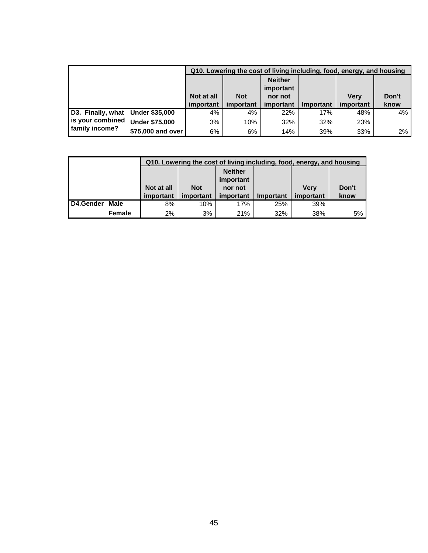|                                    |                       |            |            |                             |           | Q10. Lowering the cost of living including, food, energy, and housing |       |
|------------------------------------|-----------------------|------------|------------|-----------------------------|-----------|-----------------------------------------------------------------------|-------|
|                                    |                       |            |            | <b>Neither</b><br>important |           |                                                                       |       |
|                                    |                       | Not at all | <b>Not</b> | nor not                     |           | <b>Verv</b>                                                           | Don't |
|                                    |                       |            |            |                             |           |                                                                       |       |
|                                    |                       | important  | important  | important                   | Important | important                                                             | know  |
| D3. Finally, what Under \$35,000   |                       | 4%         | 4%         | 22%                         | 17%       | 48%                                                                   | 4%    |
| is your combined<br>family income? | <b>Under \$75,000</b> | 3%         | 10%        | 32%                         | 32%       | 23%                                                                   |       |

|           |        |            |                          | Q10. Lowering the cost of living including, food, energy, and housing |           |           |       |  |  |  |  |  |
|-----------|--------|------------|--------------------------|-----------------------------------------------------------------------|-----------|-----------|-------|--|--|--|--|--|
|           |        |            |                          | <b>Neither</b>                                                        |           |           |       |  |  |  |  |  |
|           |        |            | important                |                                                                       |           |           |       |  |  |  |  |  |
|           |        | Not at all | <b>Not</b>               | nor not                                                               |           | Verv      | Don't |  |  |  |  |  |
|           |        | important  | important                | important                                                             | Important | important | know  |  |  |  |  |  |
| D4.Gender | Male   | 8%         | 10%<br>39%<br>17%<br>25% |                                                                       |           |           |       |  |  |  |  |  |
|           | Female | 2%         | 3%                       | 21%                                                                   | 32%       | 38%       | 5%    |  |  |  |  |  |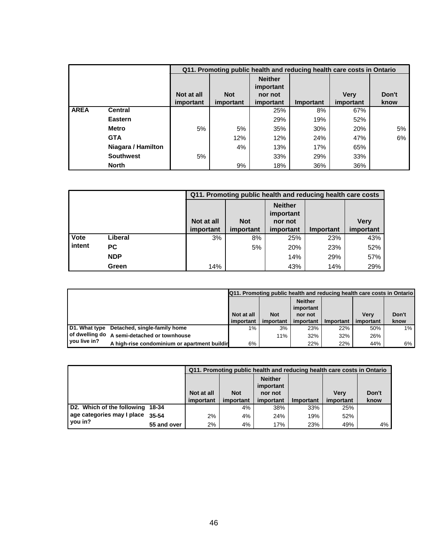|             |                    |            |            | Q11. Promoting public health and reducing health care costs in Ontario |           |             |       |
|-------------|--------------------|------------|------------|------------------------------------------------------------------------|-----------|-------------|-------|
|             |                    |            |            | <b>Neither</b><br>important                                            |           |             |       |
|             |                    | Not at all | <b>Not</b> | nor not                                                                |           | <b>Verv</b> | Don't |
|             |                    | important  | important  | important                                                              | Important | important   | know  |
| <b>AREA</b> | <b>Central</b>     |            |            | 25%                                                                    | 8%        | 67%         |       |
|             | <b>Eastern</b>     |            |            | 29%                                                                    | 19%       | 52%         |       |
|             | <b>Metro</b>       | 5%         | 5%         | 35%                                                                    | 30%       | 20%         | 5%    |
|             | <b>GTA</b>         |            | 12%        | 12%                                                                    | 24%       | 47%         | 6%    |
|             | Niagara / Hamilton |            | 4%         | 13%                                                                    | 17%       | 65%         |       |
|             | <b>Southwest</b>   | 5%         |            | 33%                                                                    | 29%       | 33%         |       |
|             | <b>North</b>       |            | 9%         | 18%                                                                    | 36%       | 36%         |       |

|        |            |            |            | Q11. Promoting public health and reducing health care costs |           |             |
|--------|------------|------------|------------|-------------------------------------------------------------|-----------|-------------|
|        |            | Not at all | <b>Not</b> | <b>Neither</b><br>important<br>nor not                      |           | <b>Very</b> |
|        |            | important  | important  | important                                                   | Important | important   |
| Vote   | Liberal    | 3%         | 8%         | 25%                                                         | 23%       | 43%         |
| intent | <b>PC</b>  |            | 5%         | 20%                                                         | 23%       | 52%         |
|        | <b>NDP</b> |            |            | 14%                                                         | 29%       | 57%         |
|        | Green      | 14%        |            | 43%                                                         | 14%       | 29%         |

|                |                                              |            |            |                             |           | <b>Q11. Promoting public health and reducing health care costs in Ontario</b> |       |
|----------------|----------------------------------------------|------------|------------|-----------------------------|-----------|-------------------------------------------------------------------------------|-------|
|                |                                              |            |            | <b>Neither</b><br>important |           |                                                                               |       |
|                |                                              | Not at all | <b>Not</b> | nor not                     |           | <b>Verv</b>                                                                   | Don't |
|                |                                              | important  | important  | important                   | Important | important                                                                     | know  |
|                | D1. What type Detached, single-family home   | $1\%$      | 3%         | 23%                         | 22%       | 50%                                                                           | 1%    |
|                | of dwelling do A semi-detached or townhouse  |            | 11%        | 32%                         | 32%       | 26%                                                                           |       |
| I vou live in? | A high-rise condominium or apartment buildir | 6%         |            | 22%                         | 22%       | 44%                                                                           | 6%    |

|                            |             |            |            |                             | Q11. Promoting public health and reducing health care costs in Ontario |           |       |
|----------------------------|-------------|------------|------------|-----------------------------|------------------------------------------------------------------------|-----------|-------|
|                            |             |            |            | <b>Neither</b><br>important |                                                                        |           |       |
|                            |             | Not at all | <b>Not</b> | nor not                     |                                                                        | Verv      | Don't |
|                            |             | important  | important  | important                   | Important                                                              | important | know  |
| D2. Which of the following | 18-34       |            | 4%         | 38%                         | 33%                                                                    | 25%       |       |
| age categories may I place | 35-54       | 2%         | 4%         | 24%                         | 19%                                                                    | 52%       |       |
| you in?                    | 55 and over | 2%         | 4%         | 17%                         | 23%                                                                    | 49%       | 4%    |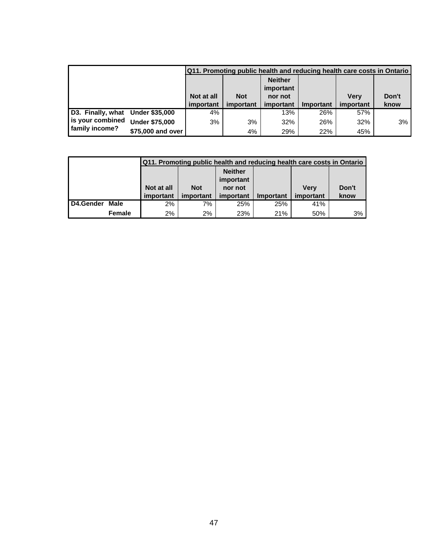|                                  |                       |            |            |                             | Q11. Promoting public health and reducing health care costs in Ontario |             |       |
|----------------------------------|-----------------------|------------|------------|-----------------------------|------------------------------------------------------------------------|-------------|-------|
|                                  |                       |            |            | <b>Neither</b><br>important |                                                                        |             |       |
|                                  |                       | Not at all | <b>Not</b> | nor not                     |                                                                        | <b>Verv</b> | Don't |
|                                  |                       | important  | important  | important                   | Important                                                              | important   | know  |
| D3. Finally, what Under \$35,000 |                       | 4%         |            | 13%                         | 26%                                                                    | 57%         |       |
| is your combined                 | <b>Under \$75,000</b> | 3%         | 3%         | 32%                         | 26%                                                                    | 32%         | 3%    |
| family income?                   | \$75,000 and over     |            | 4%         | 29%                         | 22%                                                                    | 45%         |       |

|                  |        |                                  |            |                |                  | Q11. Promoting public health and reducing health care costs in Ontario |       |  |  |  |  |  |
|------------------|--------|----------------------------------|------------|----------------|------------------|------------------------------------------------------------------------|-------|--|--|--|--|--|
|                  |        |                                  |            | <b>Neither</b> |                  |                                                                        |       |  |  |  |  |  |
|                  |        | important                        |            |                |                  |                                                                        |       |  |  |  |  |  |
|                  |        | Not at all                       | <b>Not</b> | nor not        |                  | <b>Verv</b>                                                            | Don't |  |  |  |  |  |
|                  |        | important                        | important  | important      | <b>Important</b> | important                                                              | know  |  |  |  |  |  |
| <b>D4.Gender</b> | Male   | 41%<br>$2\%$<br>7%<br>25%<br>25% |            |                |                  |                                                                        |       |  |  |  |  |  |
|                  | Female | 2%                               | 2%         | 23%            | 21%              | 50%                                                                    | 3%    |  |  |  |  |  |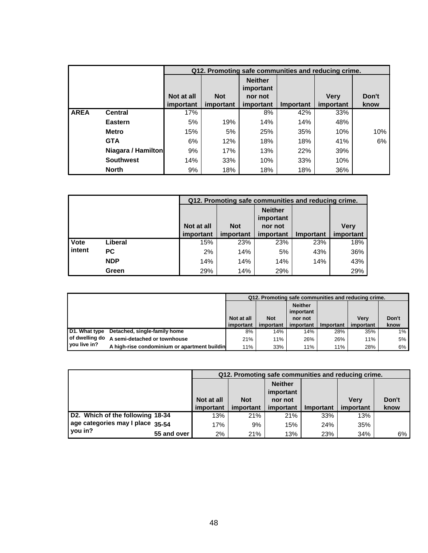|             |                    |            | Q12. Promoting safe communities and reducing crime. |                             |           |             |       |  |
|-------------|--------------------|------------|-----------------------------------------------------|-----------------------------|-----------|-------------|-------|--|
|             |                    |            |                                                     | <b>Neither</b><br>important |           |             |       |  |
|             |                    | Not at all | <b>Not</b>                                          | nor not                     |           | <b>Verv</b> | Don't |  |
|             |                    | important  | important                                           | important                   | Important | important   | know  |  |
| <b>AREA</b> | <b>Central</b>     | 17%        |                                                     | 8%                          | 42%       | 33%         |       |  |
|             | Eastern            | 5%         | 19%                                                 | 14%                         | 14%       | 48%         |       |  |
|             | <b>Metro</b>       | 15%        | 5%                                                  | 25%                         | 35%       | 10%         | 10%   |  |
|             | <b>GTA</b>         | 6%         | 12%                                                 | 18%                         | 18%       | 41%         | 6%    |  |
|             | Niagara / Hamilton | 9%         | 17%                                                 | 13%                         | 22%       | 39%         |       |  |
|             | <b>Southwest</b>   | 14%        | 33%                                                 | 10%                         | 33%       | 10%         |       |  |
|             | <b>North</b>       | 9%         | 18%                                                 | 18%                         | 18%       | 36%         |       |  |

|        |            |            | Q12. Promoting safe communities and reducing crime. |                |                  |             |  |  |
|--------|------------|------------|-----------------------------------------------------|----------------|------------------|-------------|--|--|
|        |            |            |                                                     | <b>Neither</b> |                  |             |  |  |
|        |            |            |                                                     | important      |                  |             |  |  |
|        |            | Not at all | <b>Not</b>                                          | nor not        |                  | <b>Very</b> |  |  |
|        |            | important  | important                                           | important      | <b>Important</b> | important   |  |  |
| Vote   | Liberal    | 15%        | 23%                                                 | 23%            | 23%              | 18%         |  |  |
| intent | <b>PC</b>  | 2%         | 14%                                                 | 5%             | 43%              | 36%         |  |  |
|        | <b>NDP</b> | 14%        | 14%                                                 | 14%            | 14%              | 43%         |  |  |
|        | Green      | 29%        | 14%                                                 | 29%            |                  | 29%         |  |  |

|                |                                              | Q12. Promoting safe communities and reducing crime. |            |                             |           |             |       |
|----------------|----------------------------------------------|-----------------------------------------------------|------------|-----------------------------|-----------|-------------|-------|
|                |                                              |                                                     |            | <b>Neither</b><br>important |           |             |       |
|                |                                              | Not at all                                          | <b>Not</b> | nor not                     |           | <b>Verv</b> | Don't |
|                |                                              | important                                           | important  | important                   | Important | important   | know  |
| D1. What type  | Detached, single-family home                 | 8%                                                  | 14%        | 14%                         | 28%       | 35%         | $1\%$ |
| of dwelling do | A semi-detached or townhouse                 | 21%                                                 | 11%        | 26%                         | 26%       | 11%         | 5%    |
| vou live in?   | A high-rise condominium or apartment buildin | 11%                                                 | 33%        | 11%                         | 11%       | 28%         | 6%    |

|                                  |             |                                                                    | Q12. Promoting safe communities and reducing crime. |           |             |           |      |  |  |
|----------------------------------|-------------|--------------------------------------------------------------------|-----------------------------------------------------|-----------|-------------|-----------|------|--|--|
|                                  |             | <b>Neither</b><br>important<br><b>Not</b><br>Not at all<br>nor not |                                                     |           | <b>Verv</b> | Don't     |      |  |  |
|                                  |             | important                                                          | important                                           | important | Important   | important | know |  |  |
| D2. Which of the following 18-34 |             | 13%                                                                | 21%                                                 | 21%       | 33%         | 13%       |      |  |  |
| age categories may I place 35-54 |             | 17%                                                                | 9%                                                  | 15%       | 24%         | 35%       |      |  |  |
| you in?                          | 55 and over | $2\%$                                                              | 21%                                                 | 13%       | 23%         | 34%       | 6%   |  |  |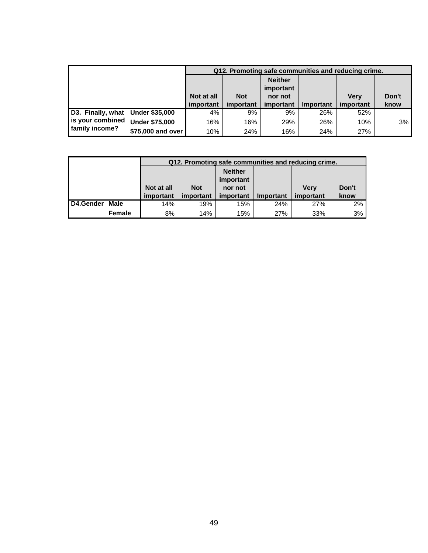|                                  |                       |            | Q12. Promoting safe communities and reducing crime. |                             |           |             |       |
|----------------------------------|-----------------------|------------|-----------------------------------------------------|-----------------------------|-----------|-------------|-------|
|                                  |                       |            |                                                     | <b>Neither</b><br>important |           |             |       |
|                                  |                       | Not at all | <b>Not</b>                                          | nor not                     |           | <b>Verv</b> | Don't |
|                                  |                       | important  | important                                           | important                   | Important | important   | know  |
| D3. Finally, what Under \$35,000 |                       | 4%         | 9%                                                  | 9%                          | 26%       | 52%         |       |
| is your combined                 | <b>Under \$75,000</b> | 16%        | 16%                                                 | 29%                         | 26%       | 10%         | 3%    |
| family income?                   | \$75,000 and over     | 10%        | 24%                                                 | 16%                         | 24%       | 27%         |       |

|           |        |            | Q12. Promoting safe communities and reducing crime. |           |                  |           |       |  |
|-----------|--------|------------|-----------------------------------------------------|-----------|------------------|-----------|-------|--|
|           |        |            | <b>Neither</b>                                      |           |                  |           |       |  |
|           |        |            |                                                     | important |                  |           |       |  |
|           |        | Not at all | <b>Not</b>                                          | nor not   |                  | Verv      | Don't |  |
|           |        | important  | important                                           | important | <b>Important</b> | important | know  |  |
| D4.Gender | Male   | 14%        | 19%                                                 | 15%       | 24%              | 27%       | 2%    |  |
|           | Female | 8%         | 14%                                                 | 15%       | 27%              | 33%       | 3%    |  |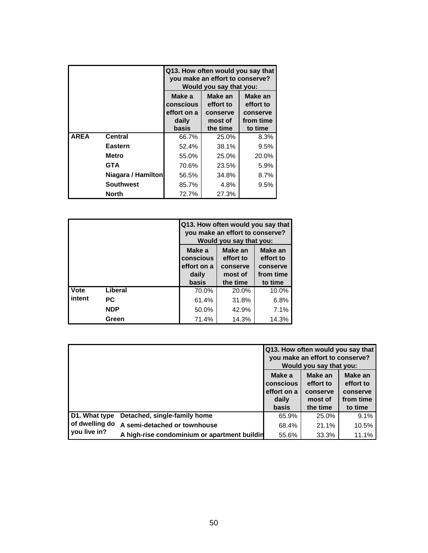|             |                    | Q13. How often would you say that<br>you make an effort to conserve?<br>Would you say that you:                                             |          |         |  |  |
|-------------|--------------------|---------------------------------------------------------------------------------------------------------------------------------------------|----------|---------|--|--|
|             |                    | Make an<br>Make a<br>Make an<br>conscious<br>effort to<br>effort to<br>effort on a<br>conserve<br>conserve<br>from time<br>daily<br>most of |          |         |  |  |
|             |                    | basis                                                                                                                                       | the time | to time |  |  |
| <b>AREA</b> | <b>Central</b>     | 66.7%                                                                                                                                       | 25.0%    | 8.3%    |  |  |
|             | Eastern            | 52.4%                                                                                                                                       | 38.1%    | 9.5%    |  |  |
|             | Metro              | 55.0%                                                                                                                                       | 25.0%    | 20.0%   |  |  |
|             | <b>GTA</b>         | 70.6%                                                                                                                                       | 23.5%    | 5.9%    |  |  |
|             | Niagara / Hamilton | 8.7%<br>34.8%<br>56.5%                                                                                                                      |          |         |  |  |
|             | <b>Southwest</b>   | 85.7%<br>4.8%<br>9.5%                                                                                                                       |          |         |  |  |
|             | North              | 72.7%                                                                                                                                       | 27.3%    |         |  |  |

|        |            | Q13. How often would you say that<br>you make an effort to conserve?<br>Would you say that you:                                             |          |         |  |
|--------|------------|---------------------------------------------------------------------------------------------------------------------------------------------|----------|---------|--|
|        |            | Make a<br>Make an<br>Make an<br>effort to<br>effort to<br>conscious<br>effort on a<br>conserve<br>conserve<br>from time<br>daily<br>most of |          |         |  |
|        |            | basis                                                                                                                                       | the time | to time |  |
| Vote   | Liberal    | 70.0%                                                                                                                                       | 20.0%    | 10.0%   |  |
| intent | РC         | 61.4%                                                                                                                                       | 31.8%    | 6.8%    |  |
|        | <b>NDP</b> | 50.0%                                                                                                                                       | 42.9%    | 7.1%    |  |
|        | Green      | 71.4%                                                                                                                                       | 14.3%    | 14.3%   |  |

|                |                                              |                                    | Q13. How often would you say that<br>you make an effort to conserve?<br>Would you say that you: |                                  |  |
|----------------|----------------------------------------------|------------------------------------|-------------------------------------------------------------------------------------------------|----------------------------------|--|
|                |                                              | Make a<br>conscious<br>effort on a | Make an<br>effort to<br>conserve                                                                | Make an<br>effort to<br>conserve |  |
|                |                                              | daily<br><b>basis</b>              | most of<br>the time                                                                             | from time<br>to time             |  |
| D1. What type  | Detached, single-family home                 | 65.9%                              | 25.0%                                                                                           | 9.1%                             |  |
| of dwelling do | A semi-detached or townhouse                 | 68.4%                              | 21.1%                                                                                           | 10.5%                            |  |
| you live in?   | A high-rise condominium or apartment buildin | 55.6%                              | 33.3%                                                                                           | 11.1%                            |  |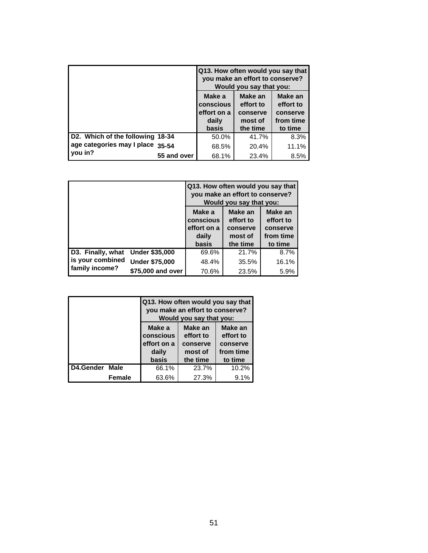|                                  |                                                      | Q13. How often would you say that<br>you make an effort to conserve?<br>Would you say that you:                     |       |  |  |  |
|----------------------------------|------------------------------------------------------|---------------------------------------------------------------------------------------------------------------------|-------|--|--|--|
|                                  | Make a<br>conscious<br>effort on a<br>daily<br>basis | Make an<br>Make an<br>effort to<br>effort to<br>conserve<br>conserve<br>from time<br>most of<br>the time<br>to time |       |  |  |  |
| D2. Which of the following 18-34 | 50.0%                                                | 41.7%                                                                                                               | 8.3%  |  |  |  |
| age categories may I place 35-54 | 68.5%                                                | 20.4%                                                                                                               | 11.1% |  |  |  |
| you in?<br>55 and over           | 68.1%                                                | 23.4%                                                                                                               | 8.5%  |  |  |  |

|                   |                       | Q13. How often would you say that<br>you make an effort to conserve?<br>Would you say that you:                                                                             |       |       |  |
|-------------------|-----------------------|-----------------------------------------------------------------------------------------------------------------------------------------------------------------------------|-------|-------|--|
|                   |                       | Make a<br>Make an<br>Make an<br>effort to<br>effort to<br>conscious<br>effort on a<br>conserve<br>conserve<br>from time<br>daily<br>most of<br>the time<br>to time<br>basis |       |       |  |
| D3. Finally, what | <b>Under \$35,000</b> | 69.6%                                                                                                                                                                       | 21.7% | 8.7%  |  |
| is your combined  | <b>Under \$75,000</b> | 48.4%                                                                                                                                                                       | 35.5% | 16.1% |  |
| family income?    | \$75,000 and over     | 70.6%                                                                                                                                                                       | 23.5% | 5.9%  |  |

|                   |                                             | Q13. How often would you say that<br>you make an effort to conserve?<br>Would you say that you: |                                               |  |  |  |
|-------------------|---------------------------------------------|-------------------------------------------------------------------------------------------------|-----------------------------------------------|--|--|--|
|                   | Make a<br>conscious<br>effort on a<br>daily | Make an<br>effort to<br>conserve<br>most of                                                     | Make an<br>effort to<br>conserve<br>from time |  |  |  |
|                   | the time<br>basis<br>to time                |                                                                                                 |                                               |  |  |  |
| D4.Gender<br>Male | 66.1%                                       | 23.7%                                                                                           | 10.2%                                         |  |  |  |
| Female            | 63.6%                                       | 27.3%                                                                                           | 9.1%                                          |  |  |  |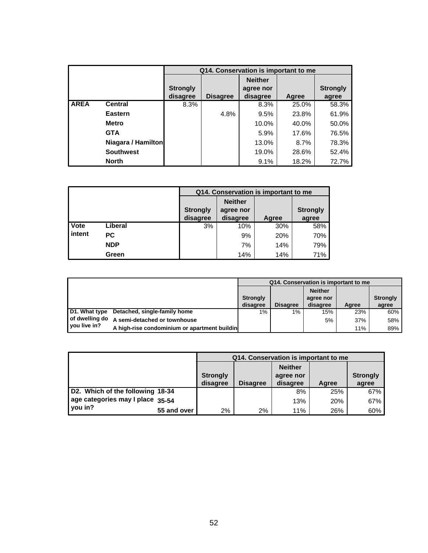|             |                    |                             |                 | Q14. Conservation is important to me    |       |                          |
|-------------|--------------------|-----------------------------|-----------------|-----------------------------------------|-------|--------------------------|
|             |                    | <b>Strongly</b><br>disagree | <b>Disagree</b> | <b>Neither</b><br>agree nor<br>disagree | Agree | <b>Strongly</b><br>agree |
| <b>AREA</b> | <b>Central</b>     | 8.3%                        |                 | 8.3%                                    | 25.0% | 58.3%                    |
|             | <b>Eastern</b>     |                             | 4.8%            | 9.5%                                    | 23.8% | 61.9%                    |
|             | <b>Metro</b>       |                             |                 | 10.0%                                   | 40.0% | 50.0%                    |
|             | <b>GTA</b>         |                             |                 | 5.9%                                    | 17.6% | 76.5%                    |
|             | Niagara / Hamilton |                             |                 | 13.0%                                   | 8.7%  | 78.3%                    |
|             | <b>Southwest</b>   |                             |                 | 19.0%                                   | 28.6% | 52.4%                    |
|             | <b>North</b>       |                             |                 | 9.1%                                    | 18.2% | 72.7%                    |

|        |            |                             | Q14. Conservation is important to me |                          |     |  |  |  |  |
|--------|------------|-----------------------------|--------------------------------------|--------------------------|-----|--|--|--|--|
|        |            | <b>Strongly</b><br>disagree | Agree                                | <b>Strongly</b><br>agree |     |  |  |  |  |
| Vote   | Liberal    | 3%                          | 10%                                  | 30%                      | 58% |  |  |  |  |
| intent | РC         |                             | 9%                                   | 20%                      | 70% |  |  |  |  |
|        | <b>NDP</b> |                             | 7%                                   | 14%                      | 79% |  |  |  |  |
|        | Green      |                             | 14%                                  | 14%                      | 71% |  |  |  |  |

|                |                                              | Q14. Conservation is important to me |                 |                |       |                 |
|----------------|----------------------------------------------|--------------------------------------|-----------------|----------------|-------|-----------------|
|                |                                              |                                      |                 | <b>Neither</b> |       |                 |
|                |                                              | <b>Strongly</b>                      |                 | agree nor      |       | <b>Strongly</b> |
|                |                                              | disagree                             | <b>Disagree</b> | disagree       | Aaree | agree           |
| D1. What type  | Detached, single-family home                 | 1%                                   | 1%              | 15%            | 23%   | 60%             |
| of dwelling do | A semi-detached or townhouse                 |                                      |                 | 5%             | 37%   | 58%             |
| l vou live in? | A high-rise condominium or apartment buildin |                                      |                 |                | 11%   | 89%             |

|                                  |                 | Q14. Conservation is important to me |                             |       |                 |  |  |
|----------------------------------|-----------------|--------------------------------------|-----------------------------|-------|-----------------|--|--|
|                                  | <b>Strongly</b> |                                      | <b>Neither</b><br>agree nor |       | <b>Strongly</b> |  |  |
|                                  | disagree        | <b>Disagree</b>                      | disagree                    | Agree | agree           |  |  |
| D2. Which of the following 18-34 |                 |                                      | 8%                          | 25%   | 67%             |  |  |
| age categories may I place 35-54 |                 |                                      | 13%                         | 20%   | 67%             |  |  |
| you in?<br>55 and over           | 2%              | 2%                                   | 11%                         | 26%   | 60%             |  |  |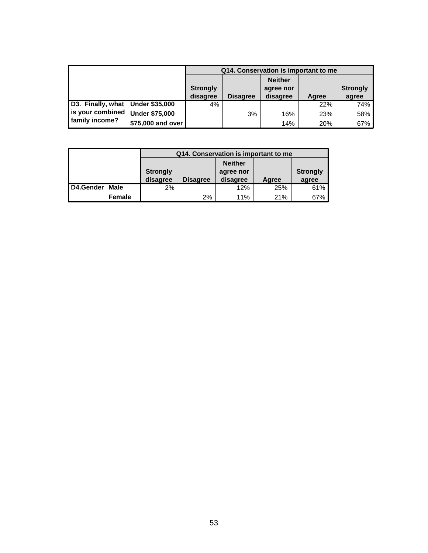|                                  |                       | Q14. Conservation is important to me |                 |                |            |                 |  |  |
|----------------------------------|-----------------------|--------------------------------------|-----------------|----------------|------------|-----------------|--|--|
|                                  |                       |                                      |                 | <b>Neither</b> |            |                 |  |  |
|                                  |                       | <b>Strongly</b>                      |                 | agree nor      |            | <b>Strongly</b> |  |  |
|                                  |                       | disagree                             | <b>Disagree</b> | disagree       | Agree      | agree           |  |  |
| D3. Finally, what Under \$35,000 |                       | 4%                                   |                 |                | 22%        | 74%             |  |  |
| is your combined                 | <b>Under \$75,000</b> |                                      | 3%              | 16%            | <b>23%</b> | 58%             |  |  |
| family income?                   | \$75,000 and over     |                                      |                 | 14%            | 20%        | 67%             |  |  |

|                   |                 |                 |          | Q14. Conservation is important to me |                 |  |  |
|-------------------|-----------------|-----------------|----------|--------------------------------------|-----------------|--|--|
|                   |                 | <b>Neither</b>  |          |                                      |                 |  |  |
|                   | <b>Strongly</b> | agree nor       |          |                                      | <b>Strongly</b> |  |  |
|                   | disagree        | <b>Disagree</b> | disagree | Agree                                | agree           |  |  |
| D4.Gender<br>Male | $2\%$           |                 | 12%      | 25%                                  | 61%             |  |  |
| Female            |                 | 2%              | 11%      | 21%                                  | 67%             |  |  |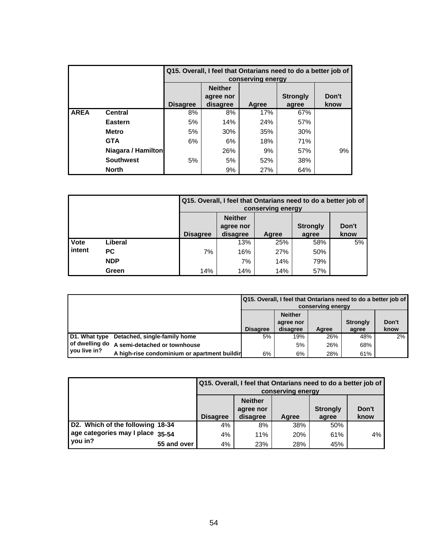|             |                    |    |                                                                                                                  | conserving energy | Q15. Overall, I feel that Ontarians need to do a better job of |    |  |  |  |  |
|-------------|--------------------|----|------------------------------------------------------------------------------------------------------------------|-------------------|----------------------------------------------------------------|----|--|--|--|--|
|             |                    |    | <b>Neither</b><br><b>Strongly</b><br>Don't<br>agree nor<br><b>Disagree</b><br>disagree<br>Agree<br>know<br>agree |                   |                                                                |    |  |  |  |  |
| <b>AREA</b> | <b>Central</b>     | 8% | 8%                                                                                                               | 17%               | 67%                                                            |    |  |  |  |  |
|             | <b>Eastern</b>     | 5% | 14%                                                                                                              | 24%               | 57%                                                            |    |  |  |  |  |
|             | <b>Metro</b>       | 5% | 30%                                                                                                              | 35%               | 30%                                                            |    |  |  |  |  |
|             | <b>GTA</b>         | 6% | 6%                                                                                                               | 18%               | 71%                                                            |    |  |  |  |  |
|             | Niagara / Hamilton |    | 26%                                                                                                              | 9%                | 57%                                                            | 9% |  |  |  |  |
|             | <b>Southwest</b>   | 5% | 5%                                                                                                               | 52%               | 38%                                                            |    |  |  |  |  |
|             | <b>North</b>       |    | 9%                                                                                                               | 27%               | 64%                                                            |    |  |  |  |  |

|        |            |                                                                                                                  | Q15. Overall, I feel that Ontarians need to do a better job of<br>conserving energy |     |     |    |  |  |  |
|--------|------------|------------------------------------------------------------------------------------------------------------------|-------------------------------------------------------------------------------------|-----|-----|----|--|--|--|
|        |            | <b>Neither</b><br>Don't<br><b>Strongly</b><br>agree nor<br><b>Disagree</b><br>disagree<br>know<br>Agree<br>agree |                                                                                     |     |     |    |  |  |  |
| Vote   | Liberal    |                                                                                                                  | 13%                                                                                 | 25% | 58% | 5% |  |  |  |
| intent | <b>PC</b>  | 7%                                                                                                               | 16%                                                                                 | 27% | 50% |    |  |  |  |
|        | <b>NDP</b> |                                                                                                                  | 7%                                                                                  | 14% | 79% |    |  |  |  |
|        | Green      | 14%                                                                                                              | 14%                                                                                 | 14% | 57% |    |  |  |  |

|              |                                              | Q15. Overall, I feel that Ontarians need to do a better job of<br>conserving energy |                 |              |              |               |  |
|--------------|----------------------------------------------|-------------------------------------------------------------------------------------|-----------------|--------------|--------------|---------------|--|
|              |                                              | <b>Neither</b><br>Don't<br><b>Strongly</b><br>agree nor                             |                 |              |              |               |  |
|              | D1. What type Detached, single-family home   | <b>Disagree</b><br>5%                                                               | disagree<br>19% | Aaree<br>26% | agree<br>48% | know<br>$2\%$ |  |
|              | of dwelling do A semi-detached or townhouse  |                                                                                     | 5%              | 26%          | 68%          |               |  |
| you live in? | A high-rise condominium or apartment buildir | 6%                                                                                  | 6%              | 28%          | 61%          |               |  |

|                                  |             | Q15. Overall, I feel that Ontarians need to do a better job of<br>conserving energy                              |     |     |     |    |  |  |
|----------------------------------|-------------|------------------------------------------------------------------------------------------------------------------|-----|-----|-----|----|--|--|
|                                  |             | <b>Neither</b><br>Don't<br><b>Strongly</b><br>agree nor<br><b>Disagree</b><br>disagree<br>know<br>Aaree<br>agree |     |     |     |    |  |  |
| D2. Which of the following 18-34 |             | 4%                                                                                                               | 8%  | 38% | 50% |    |  |  |
| age categories may I place 35-54 |             | 4%                                                                                                               | 11% | 20% | 61% | 4% |  |  |
| you in?                          | 55 and over | 4%                                                                                                               | 23% | 28% | 45% |    |  |  |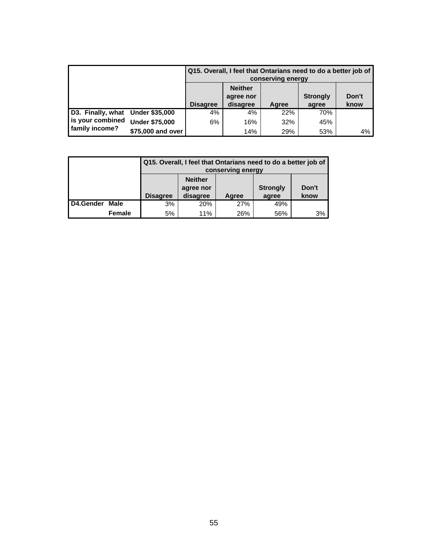|                                  |                       | Q15. Overall, I feel that Ontarians need to do a better job of<br>conserving energy                              |     |     |     |    |  |
|----------------------------------|-----------------------|------------------------------------------------------------------------------------------------------------------|-----|-----|-----|----|--|
|                                  |                       | <b>Neither</b><br>Don't<br><b>Strongly</b><br>agree nor<br><b>Disagree</b><br>disagree<br>know<br>Agree<br>agree |     |     |     |    |  |
| D3. Finally, what Under \$35,000 |                       | 4%                                                                                                               | 4%  | 22% | 70% |    |  |
| is your combined                 | <b>Under \$75,000</b> | 6%                                                                                                               | 16% | 32% | 45% |    |  |
| family income?                   | \$75,000 and over     |                                                                                                                  | 14% | 29% | 53% | 4% |  |

|           |               |                 | Q15. Overall, I feel that Ontarians need to do a better job of<br>conserving energy |       |                          |               |  |  |  |
|-----------|---------------|-----------------|-------------------------------------------------------------------------------------|-------|--------------------------|---------------|--|--|--|
|           |               | <b>Disagree</b> | <b>Neither</b><br>agree nor<br>disagree                                             | Agree | <b>Strongly</b><br>agree | Don't<br>know |  |  |  |
| D4.Gender | Male          | 3%              | 20%                                                                                 | 27%   | 49%                      |               |  |  |  |
|           | <b>Female</b> | 5%              | 11%                                                                                 | 26%   | 56%                      | 3%            |  |  |  |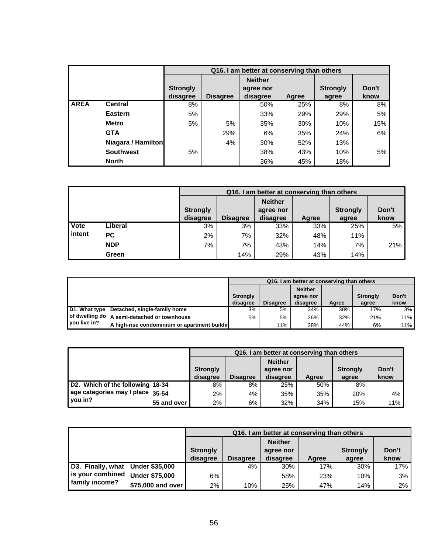|             |                    |                             |                 | Q16. I am better at conserving than others |       |                          |               |
|-------------|--------------------|-----------------------------|-----------------|--------------------------------------------|-------|--------------------------|---------------|
|             |                    | <b>Strongly</b><br>disagree | <b>Disagree</b> | <b>Neither</b><br>agree nor<br>disagree    | Agree | <b>Strongly</b><br>agree | Don't<br>know |
| <b>AREA</b> | <b>Central</b>     | 8%                          |                 | 50%                                        | 25%   | 8%                       | 8%            |
|             | <b>Eastern</b>     | 5%                          |                 | 33%                                        | 29%   | 29%                      | 5%            |
|             | <b>Metro</b>       | 5%                          | 5%              | 35%                                        | 30%   | 10%                      | 15%           |
|             | <b>GTA</b>         |                             | 29%             | 6%                                         | 35%   | 24%                      | 6%            |
|             | Niagara / Hamilton |                             | 4%              | 30%                                        | 52%   | 13%                      |               |
|             | <b>Southwest</b>   | 5%                          |                 | 38%                                        | 43%   | 10%                      | 5%            |
|             | <b>North</b>       |                             |                 | 36%                                        | 45%   | 18%                      |               |

|             |            |                             | Q16. I am better at conserving than others |                                         |       |                          |               |  |  |  |
|-------------|------------|-----------------------------|--------------------------------------------|-----------------------------------------|-------|--------------------------|---------------|--|--|--|
|             |            | <b>Strongly</b><br>disagree | <b>Disagree</b>                            | <b>Neither</b><br>agree nor<br>disagree | Agree | <b>Strongly</b><br>agree | Don't<br>know |  |  |  |
| <b>Vote</b> | Liberal    | 3%                          | 3%                                         | 33%                                     | 33%   | 25%                      | 5%            |  |  |  |
| intent      | PC.        | 2%                          | 7%                                         | 32%                                     | 48%   | 11%                      |               |  |  |  |
|             | <b>NDP</b> | 7%                          | 7%                                         | 43%                                     | 14%   | 7%                       | 21%           |  |  |  |
|             | Green      |                             | 14%                                        | 29%                                     | 43%   | 14%                      |               |  |  |  |

|               |                                              | Q16. I am better at conserving than others |                 |                |       |                 |       |  |  |
|---------------|----------------------------------------------|--------------------------------------------|-----------------|----------------|-------|-----------------|-------|--|--|
|               |                                              |                                            |                 | <b>Neither</b> |       |                 |       |  |  |
|               |                                              | <b>Strongly</b>                            |                 | agree nor      |       | <b>Strongly</b> | Don't |  |  |
|               |                                              | disagree                                   | <b>Disagree</b> | disagree       | Aaree | agree           | know  |  |  |
| D1. What type | Detached, single-family home                 | 3%                                         | 5%              | 34%            | 38%   | 17%             | 3%    |  |  |
|               | of dwelling do A semi-detached or townhouse  | 5%                                         | 5%              | 26%            | 32%   | 21%             | 11%   |  |  |
| you live in?  | A high-rise condominium or apartment buildir |                                            | 11%             | 28%            | 44%   | 6%              | 11%   |  |  |

|                                  |             |                 |                 | Q16. I am better at conserving than others |       |                 |       |
|----------------------------------|-------------|-----------------|-----------------|--------------------------------------------|-------|-----------------|-------|
|                                  |             |                 | <b>Neither</b>  |                                            |       |                 |       |
|                                  |             | <b>Strongly</b> |                 | agree nor                                  |       | <b>Strongly</b> | Don't |
|                                  |             | disagree        | <b>Disagree</b> | disagree                                   | Agree | agree           | know  |
| D2. Which of the following 18-34 |             | 8%              | 8%              | 25%                                        | 50%   | 8%              |       |
| age categories may I place 35-54 |             | $2\%$           | 4%              | 35%                                        | 35%   | 20%             | 4%    |
| you in?                          | 55 and over | 2%              | 6%              | 32%                                        | 34%   | 15%             | 11%   |

|                   |                       |                 | Q16. I am better at conserving than others |                             |       |                 |       |  |
|-------------------|-----------------------|-----------------|--------------------------------------------|-----------------------------|-------|-----------------|-------|--|
|                   |                       | <b>Strongly</b> |                                            | <b>Neither</b><br>agree nor |       | <b>Strongly</b> | Don't |  |
|                   |                       | disagree        | <b>Disagree</b>                            | disagree                    | Agree | agree           | know  |  |
| D3. Finally, what | <b>Under \$35,000</b> |                 | 4%                                         | 30%                         | 17%   | 30%             | 17%   |  |
| is your combined  | <b>Under \$75,000</b> | 6%              |                                            | 58%                         | 23%   | 10%             | 3%    |  |
| family income?    | \$75,000 and over !   | 2%              | 10%                                        | 25%                         | 47%   | 14%             | 2%    |  |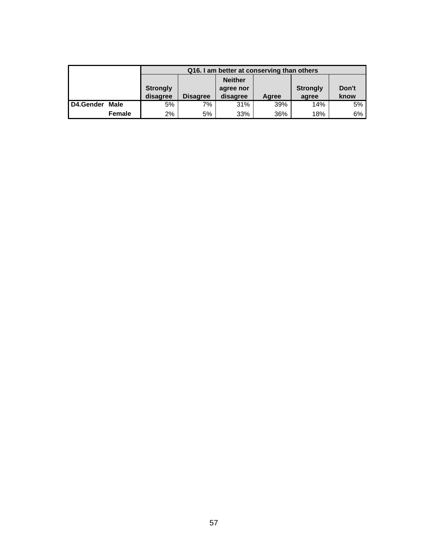|             |        |                             | Q16. I am better at conserving than others |                                         |       |                          |               |  |  |  |
|-------------|--------|-----------------------------|--------------------------------------------|-----------------------------------------|-------|--------------------------|---------------|--|--|--|
|             |        | <b>Strongly</b><br>disagree | <b>Disagree</b>                            | <b>Neither</b><br>agree nor<br>disagree | Agree | <b>Strongly</b><br>agree | Don't<br>know |  |  |  |
| I D4.Gender | Male   | 5%                          | 7%                                         | 31%                                     | 39%   | 14%                      | 5%            |  |  |  |
|             | Female | 2%                          | 5%                                         | 33%                                     | 36%   | 18%                      | 6%            |  |  |  |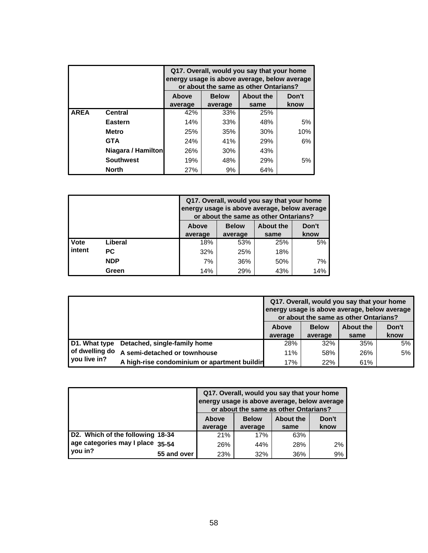|             |                    | Q17. Overall, would you say that your home<br>energy usage is above average, below average<br>or about the same as other Ontarians? |                                           |      |      |  |  |  |  |
|-------------|--------------------|-------------------------------------------------------------------------------------------------------------------------------------|-------------------------------------------|------|------|--|--|--|--|
|             |                    | Above                                                                                                                               | <b>About the</b><br>Don't<br><b>Below</b> |      |      |  |  |  |  |
|             |                    | average                                                                                                                             | average                                   | same | know |  |  |  |  |
| <b>AREA</b> | <b>Central</b>     | 42%                                                                                                                                 | 33%                                       | 25%  |      |  |  |  |  |
|             | <b>Eastern</b>     | 14%                                                                                                                                 | 33%                                       | 48%  | 5%   |  |  |  |  |
|             | <b>Metro</b>       | 25%                                                                                                                                 | 35%                                       | 30%  | 10%  |  |  |  |  |
|             | <b>GTA</b>         | 24%                                                                                                                                 | 41%                                       | 29%  | 6%   |  |  |  |  |
|             | Niagara / Hamilton | 26%                                                                                                                                 | 30%                                       | 43%  |      |  |  |  |  |
|             | <b>Southwest</b>   | 19%                                                                                                                                 | 48%                                       | 29%  | 5%   |  |  |  |  |
|             | <b>North</b>       | 27%                                                                                                                                 | 9%                                        | 64%  |      |  |  |  |  |

|                                                           |            |         | Q17. Overall, would you say that your home<br>energy usage is above average, below average<br>or about the same as other Ontarians? |      |      |  |  |  |
|-----------------------------------------------------------|------------|---------|-------------------------------------------------------------------------------------------------------------------------------------|------|------|--|--|--|
| <b>About the</b><br>Don't<br><b>Above</b><br><b>Below</b> |            |         |                                                                                                                                     |      |      |  |  |  |
|                                                           |            | average | average                                                                                                                             | same | know |  |  |  |
| Vote                                                      | Liberal    | 18%     | 53%                                                                                                                                 | 25%  | 5%   |  |  |  |
| intent                                                    | РC         | 32%     | 25%                                                                                                                                 | 18%  |      |  |  |  |
|                                                           | <b>NDP</b> | 7%      | 36%                                                                                                                                 | 50%  | 7%   |  |  |  |
|                                                           | Green      | 14%     | 29%                                                                                                                                 | 43%  | 14%  |  |  |  |

|                |                                              | Q17. Overall, would you say that your home<br>energy usage is above average, below average<br>or about the same as other Ontarians? |              |                  |       |  |
|----------------|----------------------------------------------|-------------------------------------------------------------------------------------------------------------------------------------|--------------|------------------|-------|--|
|                |                                              | Above                                                                                                                               | <b>Below</b> | <b>About the</b> | Don't |  |
|                |                                              | average                                                                                                                             | average      | same             | know  |  |
| D1. What type  | Detached, single-family home                 | 28%                                                                                                                                 | 32%          | 35%              | 5%    |  |
| of dwelling do | A semi-detached or townhouse                 | 11%                                                                                                                                 | 58%          | 26%              | 5%    |  |
| you live in?   | A high-rise condominium or apartment buildin | 17%                                                                                                                                 | 22%          | 61%              |       |  |

|                                  |             | Q17. Overall, would you say that your home<br>energy usage is above average, below average<br>or about the same as other Ontarians? |              |           |       |
|----------------------------------|-------------|-------------------------------------------------------------------------------------------------------------------------------------|--------------|-----------|-------|
|                                  |             | Above                                                                                                                               | <b>Below</b> | About the | Don't |
|                                  |             | average                                                                                                                             | average      | same      | know  |
| D2. Which of the following 18-34 |             | 21%                                                                                                                                 | 17%          | 63%       |       |
| age categories may I place 35-54 |             | 26%                                                                                                                                 | 44%          | 28%       | 2%    |
| you in?                          | 55 and over | 23%                                                                                                                                 | 32%          | 36%       | 9%    |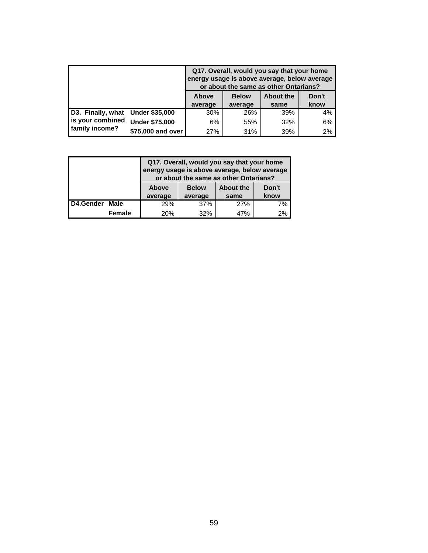|                                  |                       | Q17. Overall, would you say that your home<br>energy usage is above average, below average<br>or about the same as other Ontarians? |                  |       |      |  |
|----------------------------------|-----------------------|-------------------------------------------------------------------------------------------------------------------------------------|------------------|-------|------|--|
|                                  | <b>Above</b>          | <b>Below</b>                                                                                                                        | <b>About the</b> | Don't |      |  |
|                                  |                       | average                                                                                                                             | average          | same  | know |  |
| D3. Finally, what Under \$35,000 |                       | 30%                                                                                                                                 | 26%              | 39%   | 4%   |  |
| is your combined                 | <b>Under \$75,000</b> | 6%                                                                                                                                  | 55%              | 32%   | 6%   |  |
| family income?                   | \$75,000 and over     | 27%                                                                                                                                 | 31%              | 39%   | 2%   |  |

|           |               | Q17. Overall, would you say that your home<br>energy usage is above average, below average<br>or about the same as other Ontarians? |     |     |    |  |  |
|-----------|---------------|-------------------------------------------------------------------------------------------------------------------------------------|-----|-----|----|--|--|
|           |               | Don't<br><b>About the</b><br><b>Above</b><br><b>Below</b><br>know<br>average<br>average<br>same                                     |     |     |    |  |  |
| D4.Gender | Male          | 29%                                                                                                                                 | 37% | 27% | 7% |  |  |
|           | <b>Female</b> | 20%                                                                                                                                 | 32% | 47% | 2% |  |  |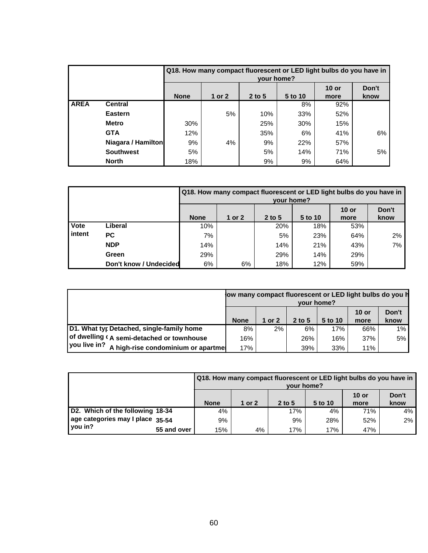|             |                    | Q18. How many compact fluorescent or LED light bulbs do you have in<br>your home? |        |          |         |                 |               |  |  |
|-------------|--------------------|-----------------------------------------------------------------------------------|--------|----------|---------|-----------------|---------------|--|--|
|             |                    | <b>None</b>                                                                       | 1 or 2 | 2 to $5$ | 5 to 10 | $10$ or<br>more | Don't<br>know |  |  |
| <b>AREA</b> | <b>Central</b>     |                                                                                   |        |          | 8%      | 92%             |               |  |  |
|             | <b>Eastern</b>     |                                                                                   | 5%     | 10%      | 33%     | 52%             |               |  |  |
|             | <b>Metro</b>       | 30%                                                                               |        | 25%      | 30%     | 15%             |               |  |  |
|             | <b>GTA</b>         | 12%                                                                               |        | 35%      | 6%      | 41%             | 6%            |  |  |
|             | Niagara / Hamilton | 9%                                                                                | 4%     | 9%       | 22%     | 57%             |               |  |  |
|             | <b>Southwest</b>   | 5%                                                                                |        | 5%       | 14%     | 71%             | 5%            |  |  |
|             | <b>North</b>       | 18%                                                                               |        | 9%       | 9%      | 64%             |               |  |  |

|             |                        | Q18. How many compact fluorescent or LED light bulbs do you have in<br>your home? |        |          |         |                 |               |  |  |  |
|-------------|------------------------|-----------------------------------------------------------------------------------|--------|----------|---------|-----------------|---------------|--|--|--|
|             |                        | <b>None</b>                                                                       | 1 or 2 | $2$ to 5 | 5 to 10 | $10$ or<br>more | Don't<br>know |  |  |  |
| <b>Vote</b> | Liberal                | 10%                                                                               |        | 20%      | 18%     | 53%             |               |  |  |  |
| intent      | <b>PC</b>              | 7%                                                                                |        | 5%       | 23%     | 64%             | 2%            |  |  |  |
|             | <b>NDP</b>             | 14%                                                                               |        | 14%      | 21%     | 43%             | 7%            |  |  |  |
|             | Green                  | 29%                                                                               |        | 29%      | 14%     | 29%             |               |  |  |  |
|             | Don't know / Undecided | 6%                                                                                | 6%     | 18%      | 12%     | 59%             |               |  |  |  |

|                                                    | low many compact fluorescent or LED light bulbs do you h<br>your home? |        |          |         |                 |               |  |
|----------------------------------------------------|------------------------------------------------------------------------|--------|----------|---------|-----------------|---------------|--|
|                                                    | <b>None</b>                                                            | 1 or 2 | 2 to $5$ | 5 to 10 | $10$ or<br>more | Don't<br>know |  |
| D1. What typ Detached, single-family home          | 8%                                                                     | $2\%$  | 6%       | 17%     | 66%             | 1%            |  |
| of dwelling (A semi-detached or townhouse          | 16%                                                                    |        | 26%      | 16%     | 37%             | 5%            |  |
| vou live in?<br>A high-rise condominium or apartme | 17%                                                                    |        | 39%      | 33%     | 11%             |               |  |

|                                  |             | Q18. How many compact fluorescent or LED light bulbs do you have in<br>your home? |          |          |         |                 |               |  |  |
|----------------------------------|-------------|-----------------------------------------------------------------------------------|----------|----------|---------|-----------------|---------------|--|--|
|                                  |             | <b>None</b>                                                                       | 1 or $2$ | $2$ to 5 | 5 to 10 | $10$ or<br>more | Don't<br>know |  |  |
| D2. Which of the following 18-34 |             | 4%                                                                                |          | 17%      | 4%      | 71%             | 4%            |  |  |
| age categories may I place 35-54 |             | 9%                                                                                |          | 9%       | 28%     | 52%             | 2%            |  |  |
| you in?                          | 55 and over | 15%                                                                               | 4%       | 17%      | 17%     | 47%             |               |  |  |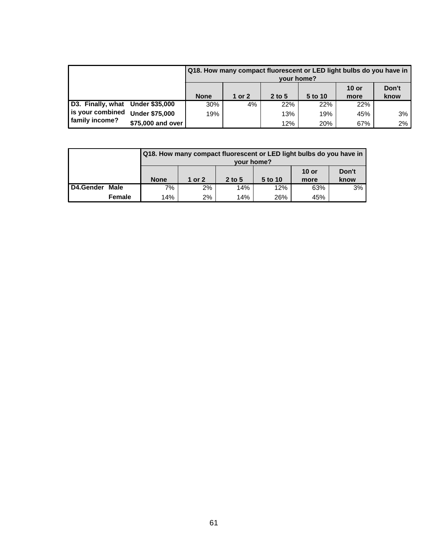|                                  |                       |             |        | vour home? |         | Q18. How many compact fluorescent or LED light bulbs do you have in |               |
|----------------------------------|-----------------------|-------------|--------|------------|---------|---------------------------------------------------------------------|---------------|
|                                  |                       | <b>None</b> | 1 or 2 | 2 to 5     | 5 to 10 | $10$ or<br>more                                                     | Don't<br>know |
| D3. Finally, what Under \$35,000 |                       | 30%         | 4%     | 22%        | 22%     | 22%                                                                 |               |
| is your combined                 | <b>Under \$75,000</b> | 19%         |        | 13%        | 19%     | 45%                                                                 | 3%            |
| family income?                   | \$75,000 and over     |             |        | 12%        | 20%     | 67%                                                                 | 2%            |

|           |        |             | Q18. How many compact fluorescent or LED light bulbs do you have in<br>vour home? |          |         |                 |               |
|-----------|--------|-------------|-----------------------------------------------------------------------------------|----------|---------|-----------------|---------------|
|           |        | <b>None</b> | 1 or $2$                                                                          | $2$ to 5 | 5 to 10 | $10$ or<br>more | Don't<br>know |
| D4.Gender | Male   | 7%          | 2%                                                                                | 14%      | 12%     | 63%             | 3%            |
|           | Female | 14%         | 2%                                                                                | 14%      | 26%     | 45%             |               |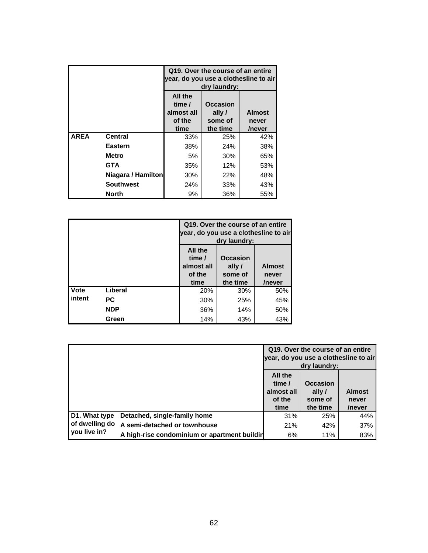|             |                    | Q19. Over the course of an entire<br>year, do you use a clothesline to air<br>dry laundry: |                                                  |                                  |  |  |
|-------------|--------------------|--------------------------------------------------------------------------------------------|--------------------------------------------------|----------------------------------|--|--|
|             |                    | All the<br>time /<br>almost all<br>of the<br>time                                          | <b>Occasion</b><br>ally /<br>some of<br>the time | <b>Almost</b><br>never<br>/never |  |  |
| <b>AREA</b> | <b>Central</b>     | 33%                                                                                        | 25%                                              | 42%                              |  |  |
|             | Eastern            | 38%                                                                                        | 24%                                              | 38%                              |  |  |
|             | Metro              | 5%                                                                                         | 30%                                              | 65%                              |  |  |
|             | <b>GTA</b>         | 35%                                                                                        | 12%                                              | 53%                              |  |  |
|             | Niagara / Hamilton | 30%                                                                                        | 22%                                              | 48%                              |  |  |
|             | <b>Southwest</b>   | 24%                                                                                        | 33%                                              | 43%                              |  |  |
|             | North              | 9%                                                                                         | 36%                                              | 55%                              |  |  |

|        |            |                                                   | Q19. Over the course of an entire<br>year, do you use a clothesline to air<br>dry laundry: |                                  |
|--------|------------|---------------------------------------------------|--------------------------------------------------------------------------------------------|----------------------------------|
|        |            | All the<br>time /<br>almost all<br>of the<br>time | <b>Occasion</b><br>ally /<br>some of<br>the time                                           | <b>Almost</b><br>never<br>/never |
| Vote   | Liberal    | 20%                                               | 30%                                                                                        | 50%                              |
| intent | РC         | 30%                                               | 25%                                                                                        | 45%                              |
|        | <b>NDP</b> | 36%                                               | 14%                                                                                        | 50%                              |
|        | Green      | 14%                                               | 43%                                                                                        | 43%                              |

|                |                                              |                                                   | Q19. Over the course of an entire<br>year, do you use a clothesline to air<br>dry laundry: |                                  |
|----------------|----------------------------------------------|---------------------------------------------------|--------------------------------------------------------------------------------------------|----------------------------------|
|                |                                              | All the<br>time /<br>almost all<br>of the<br>time | <b>Occasion</b><br>ally /<br>some of<br>the time                                           | <b>Almost</b><br>never<br>/never |
| D1. What type  | Detached, single-family home                 | 31%                                               | 25%                                                                                        | 44%                              |
| of dwelling do | A semi-detached or townhouse                 | 21%                                               | 42%                                                                                        | 37%                              |
| you live in?   | A high-rise condominium or apartment buildin | 6%                                                | 11%                                                                                        | 83%                              |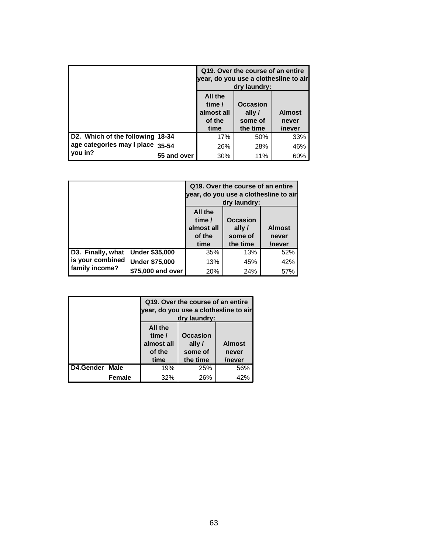|                                  |             |                                                   | Q19. Over the course of an entire<br>year, do you use a clothesline to air<br>dry laundry: |                                  |
|----------------------------------|-------------|---------------------------------------------------|--------------------------------------------------------------------------------------------|----------------------------------|
|                                  |             | All the<br>time /<br>almost all<br>of the<br>time | <b>Occasion</b><br>ally/<br>some of<br>the time                                            | <b>Almost</b><br>never<br>/never |
| D2. Which of the following 18-34 |             | 17%                                               | 50%                                                                                        | 33%                              |
| age categories may I place 35-54 |             | 26%                                               | 28%                                                                                        | 46%                              |
| you in?                          | 55 and over | 30%                                               | 11%                                                                                        | 60%                              |

|                   |                       | Q19. Over the course of an entire<br>year, do you use a clothesline to air<br>dry laundry: |                                          |                                  |  |  |
|-------------------|-----------------------|--------------------------------------------------------------------------------------------|------------------------------------------|----------------------------------|--|--|
|                   |                       | All the<br>time /<br>almost all<br>of the<br>time                                          | Occasion<br>ally/<br>some of<br>the time | <b>Almost</b><br>never<br>/never |  |  |
| D3. Finally, what | <b>Under \$35,000</b> | 35%                                                                                        | 13%                                      | 52%                              |  |  |
| is your combined  | <b>Under \$75,000</b> | 13%                                                                                        | 45%                                      | 42%                              |  |  |
| family income?    | \$75,000 and over     | 20%                                                                                        | 24%                                      | 57%                              |  |  |

|           |               |                                                   | Q19. Over the course of an entire<br>dry laundry: | year, do you use a clothesline to air |
|-----------|---------------|---------------------------------------------------|---------------------------------------------------|---------------------------------------|
|           |               | All the<br>time /<br>almost all<br>of the<br>time | Occasion<br>ally /<br>some of<br>the time         | <b>Almost</b><br>never<br>/never      |
| D4.Gender | Male          | 19%                                               | 25%                                               | 56%                                   |
|           | <b>Female</b> | 32%                                               | 26%                                               | 42%                                   |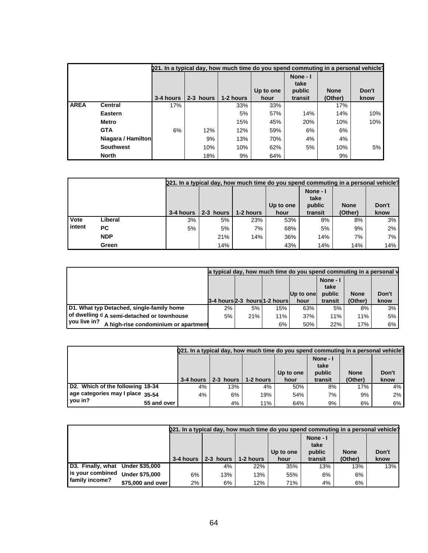|             |                    |           | 221. In a typical day, how much time do you spend commuting in a personal vehicle? |           |                   |                                       |                        |               |
|-------------|--------------------|-----------|------------------------------------------------------------------------------------|-----------|-------------------|---------------------------------------|------------------------|---------------|
|             |                    | 3-4 hours | 2-3 hours                                                                          | 1-2 hours | Up to one<br>hour | None - I<br>take<br>public<br>transit | <b>None</b><br>(Other) | Don't<br>know |
| <b>AREA</b> | <b>Central</b>     | 17%       |                                                                                    | 33%       | 33%               |                                       | 17%                    |               |
|             | Eastern            |           |                                                                                    | 5%        | 57%               | 14%                                   | 14%                    | 10%           |
|             | Metro              |           |                                                                                    | 15%       | 45%               | 20%                                   | 10%                    | 10%           |
|             | <b>GTA</b>         | 6%        | 12%                                                                                | 12%       | 59%               | 6%                                    | 6%                     |               |
|             | Niagara / Hamilton |           | 9%                                                                                 | 13%       | 70%               | 4%                                    | 4%                     |               |
|             | <b>Southwest</b>   |           | 10%                                                                                | 10%       | 62%               | 5%                                    | 10%                    | 5%            |
|             | <b>North</b>       |           | 18%                                                                                | 9%        | 64%               |                                       | 9%                     |               |

|        |            |           | <b>Q21.</b> In a typical day, how much time do you spend commuting in a personal vehicle? |           |           |                            |             |       |
|--------|------------|-----------|-------------------------------------------------------------------------------------------|-----------|-----------|----------------------------|-------------|-------|
|        |            |           |                                                                                           |           | Up to one | None - I<br>take<br>public | <b>None</b> | Don't |
|        |            | 3-4 hours | 2-3 hours                                                                                 | 1-2 hours | hour      | transit                    | (Other)     | know  |
| Vote   | Liberal    | 3%        | 5%                                                                                        | 23%       | 53%       | 8%                         | 8%          | 3%    |
| intent | РC         | 5%        | 5%                                                                                        | 7%        | 68%       | 5%                         | 9%          | 2%    |
|        | <b>NDP</b> |           | 21%                                                                                       | 14%       | 36%       | 14%                        | 7%          | 7%    |
|        | Green      |           | 14%                                                                                       |           | 43%       | 14%                        | 14%         | 14%   |

|                                                      |       |                                 |     | a typical day, how much time do you spend commuting in a personal y |                            |             |       |
|------------------------------------------------------|-------|---------------------------------|-----|---------------------------------------------------------------------|----------------------------|-------------|-------|
|                                                      |       |                                 |     | $ Up$ to one                                                        | None - I<br>take<br>public | <b>None</b> | Don't |
|                                                      |       | 3-4 hours 2-3 hours 1-2 hours l |     | hour                                                                | transit                    | (Other)     | know  |
| D1. What typ Detached, single-family home            | $2\%$ | 5%                              | 15% | 63%                                                                 | 5%                         | 8%          | 3%    |
| (of dwelling d A semi-detached or townhouse          | 5%    | 21%                             | 11% | 37%                                                                 | 11%                        | 11%         | 5%    |
| vou live in?<br>A high-rise condominium or apartment |       |                                 | 6%  | 50%                                                                 | 22%                        | 17%         | 6%    |

|                                             |           |                     |           | 021. In a typical day, how much time do you spend commuting in a personal vehicle? |                            |             |       |
|---------------------------------------------|-----------|---------------------|-----------|------------------------------------------------------------------------------------|----------------------------|-------------|-------|
|                                             |           |                     |           | Up to one                                                                          | None - I<br>take<br>public | <b>None</b> | Don't |
|                                             | 3-4 hours | $2-3$ hours $\vert$ | 1-2 hours | hour                                                                               | transit                    | (Other)     | know  |
|                                             |           |                     |           |                                                                                    |                            |             |       |
| D2. Which of the following 18-34            | 4%        | 13%                 | 4%        | 50%                                                                                | 8%                         | 17%         | 4%    |
| age categories may I place 35-54<br>vou in? | 4%        | 6%                  | 19%       | 54%                                                                                | 7%                         | 9%          | $2\%$ |

| 021. In a typical day, how much time do you spend commuting in a personal vehicle? |  |           |           |           |           |                            |             |       |
|------------------------------------------------------------------------------------|--|-----------|-----------|-----------|-----------|----------------------------|-------------|-------|
|                                                                                    |  |           |           |           | Up to one | None - I<br>take<br>public | <b>None</b> | Don't |
|                                                                                    |  | 3-4 hours | 2-3 hours | 1-2 hours | hour      | transit                    | (Other)     | know  |
| D3. Finally, what Under \$35,000                                                   |  |           | 4%        | 22%       | 35%       | 13%                        | 13%         | 13%   |
|                                                                                    |  |           |           |           |           |                            |             |       |
| is your combined Under \$75,000<br>family income?                                  |  | 6%        | 13%       | 13%       | 55%       | 6%                         | 6%          |       |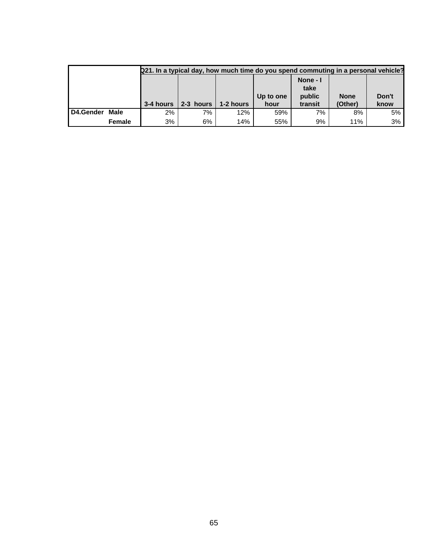|           |               |           |           |           | Q21. In a typical day, how much time do you spend commuting in a personal vehicle? |          |             |       |
|-----------|---------------|-----------|-----------|-----------|------------------------------------------------------------------------------------|----------|-------------|-------|
|           |               |           |           |           |                                                                                    | None - I |             |       |
|           |               |           |           |           |                                                                                    | take     |             |       |
|           |               |           |           |           | Up to one                                                                          | public   | <b>None</b> | Don't |
|           |               | 3-4 hours | 2-3 hours | 1-2 hours | hour                                                                               | transit  | (Other)     | know  |
| D4.Gender | Male          | 2%        | 7%        | 12%       | 59%                                                                                | 7%       | 8%          | 5%    |
|           | <b>Female</b> | 3%        | 6%        | 14%       | 55%                                                                                | 9%       | 11%         | 3%    |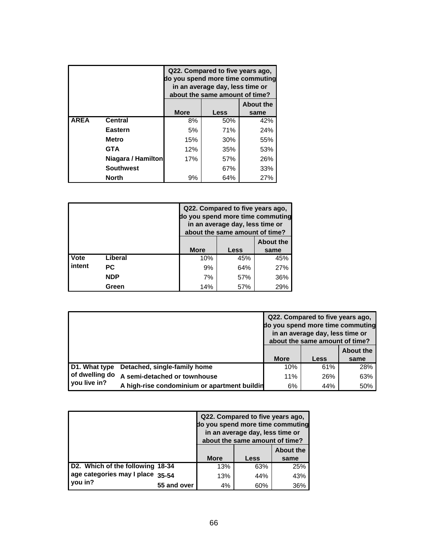|             |                    | Q22. Compared to five years ago,<br>do you spend more time commuting<br>in an average day, less time or<br>about the same amount of time? |      |      |  |  |  |  |
|-------------|--------------------|-------------------------------------------------------------------------------------------------------------------------------------------|------|------|--|--|--|--|
|             |                    | <b>About the</b>                                                                                                                          |      |      |  |  |  |  |
|             |                    | <b>More</b>                                                                                                                               | Less | same |  |  |  |  |
| <b>AREA</b> | <b>Central</b>     | 8%                                                                                                                                        | 50%  | 42%  |  |  |  |  |
|             | Eastern            | 5%                                                                                                                                        | 71%  | 24%  |  |  |  |  |
|             | <b>Metro</b>       | 15%                                                                                                                                       | 30%  | 55%  |  |  |  |  |
|             | <b>GTA</b>         | 12%                                                                                                                                       | 35%  | 53%  |  |  |  |  |
|             | Niagara / Hamilton | 17%                                                                                                                                       | 57%  | 26%  |  |  |  |  |
|             | <b>Southwest</b>   | 67%<br>33%                                                                                                                                |      |      |  |  |  |  |
|             | <b>North</b>       | 9%                                                                                                                                        | 64%  | 27%  |  |  |  |  |

|        |            |                  | Q22. Compared to five years ago,<br>in an average day, less time or<br>about the same amount of time? | do you spend more time commuting |  |
|--------|------------|------------------|-------------------------------------------------------------------------------------------------------|----------------------------------|--|
|        |            | <b>About the</b> |                                                                                                       |                                  |  |
|        |            | <b>More</b>      | Less                                                                                                  | same                             |  |
| Vote   | Liberal    | 10%              | 45%                                                                                                   | 45%                              |  |
| intent | РC         | 9%               | 64%                                                                                                   | 27%                              |  |
|        | <b>NDP</b> | 7%               | 57%                                                                                                   | 36%                              |  |
|        | Green      | 14%              | 57%                                                                                                   | 29%                              |  |

|                                |                                              |             | Q22. Compared to five years ago,<br>do you spend more time commuting<br>in an average day, less time or<br>about the same amount of time? |                          |
|--------------------------------|----------------------------------------------|-------------|-------------------------------------------------------------------------------------------------------------------------------------------|--------------------------|
|                                |                                              | <b>More</b> | <b>Less</b>                                                                                                                               | <b>About the</b><br>same |
| D1. What type                  | Detached, single-family home                 | 10%         | 61%                                                                                                                                       | 28%                      |
| of dwelling do<br>you live in? | A semi-detached or townhouse                 | 11%         | 26%                                                                                                                                       | 63%                      |
|                                | A high-rise condominium or apartment buildin | 6%          | 44%                                                                                                                                       | 50%                      |

|                                  |             | do you spend more time commuting | Q22. Compared to five years ago,<br>in an average day, less time or<br>about the same amount of time? |      |  |
|----------------------------------|-------------|----------------------------------|-------------------------------------------------------------------------------------------------------|------|--|
|                                  |             | <b>About the</b>                 |                                                                                                       |      |  |
|                                  |             | <b>More</b>                      | Less                                                                                                  | same |  |
| D2. Which of the following 18-34 |             | 13%                              | 63%                                                                                                   | 25%  |  |
| age categories may I place 35-54 |             | 13%                              | 44%                                                                                                   | 43%  |  |
| you in?                          | 55 and over | 4%                               | 60%                                                                                                   | 36%  |  |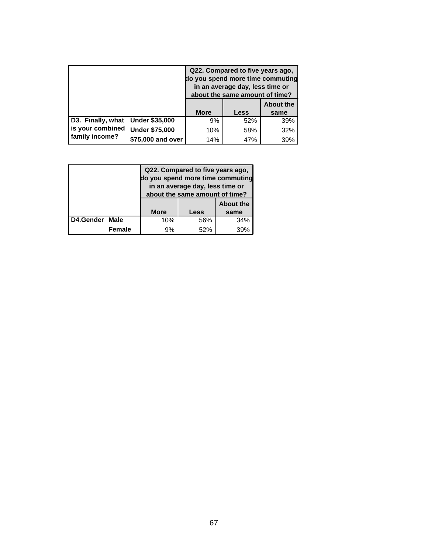|                                    |                       | Q22. Compared to five years ago,<br>do you spend more time commuting<br>in an average day, less time or<br>about the same amount of time? |      |                  |  |
|------------------------------------|-----------------------|-------------------------------------------------------------------------------------------------------------------------------------------|------|------------------|--|
|                                    |                       |                                                                                                                                           |      | <b>About the</b> |  |
|                                    |                       | <b>More</b>                                                                                                                               | Less | same             |  |
| D3. Finally, what Under \$35,000   |                       | 9%                                                                                                                                        | 52%  | 39%              |  |
| is your combined<br>family income? | <b>Under \$75,000</b> | 10%                                                                                                                                       | 58%  | 32%              |  |
|                                    | \$75,000 and over     | 14%                                                                                                                                       | 47%  | 39%              |  |

|           |               |             | Q22. Compared to five years ago,<br>do you spend more time commuting<br>in an average day, less time or<br>about the same amount of time? |                  |  |  |  |
|-----------|---------------|-------------|-------------------------------------------------------------------------------------------------------------------------------------------|------------------|--|--|--|
|           |               |             |                                                                                                                                           | <b>About the</b> |  |  |  |
|           |               | <b>More</b> | Less                                                                                                                                      | same             |  |  |  |
| D4.Gender | <b>Male</b>   | 10%         | 56%                                                                                                                                       | 34%              |  |  |  |
|           | <b>Female</b> | 9%          | 52%                                                                                                                                       | 39%              |  |  |  |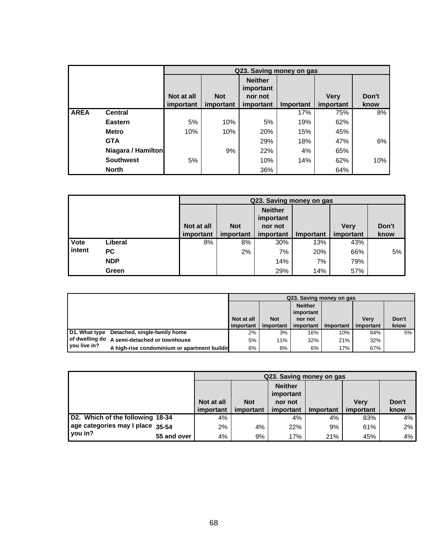|             |                    |            |            |                             | Q23. Saving money on gas |             |       |
|-------------|--------------------|------------|------------|-----------------------------|--------------------------|-------------|-------|
|             |                    |            |            | <b>Neither</b><br>important |                          |             |       |
|             |                    | Not at all | <b>Not</b> | nor not                     |                          | <b>Verv</b> | Don't |
|             |                    | important  | important  | important                   | Important                | important   | know  |
| <b>AREA</b> | <b>Central</b>     |            |            |                             | 17%                      | 75%         | 8%    |
|             | <b>Eastern</b>     | 5%         | 10%        | 5%                          | 19%                      | 62%         |       |
|             | <b>Metro</b>       | 10%        | 10%        | 20%                         | 15%                      | 45%         |       |
|             | <b>GTA</b>         |            |            | 29%                         | 18%                      | 47%         | 6%    |
|             | Niagara / Hamilton |            | 9%         | 22%                         | 4%                       | 65%         |       |
|             | <b>Southwest</b>   | 5%         |            | 10%                         | 14%                      | 62%         | 10%   |
|             | <b>North</b>       |            |            | 36%                         |                          | 64%         |       |

|        |            |            | Q23. Saving money on gas |                             |           |             |       |  |  |  |
|--------|------------|------------|--------------------------|-----------------------------|-----------|-------------|-------|--|--|--|
|        |            |            | <b>Not</b>               | <b>Neither</b><br>important |           |             | Don't |  |  |  |
|        |            | Not at all |                          | nor not                     |           | <b>Verv</b> |       |  |  |  |
|        |            | important  | important                | important                   | Important | important   | know  |  |  |  |
| Vote   | Liberal    | 8%         | 8%                       | 30%                         | 13%       | 43%         |       |  |  |  |
| intent | <b>PC</b>  |            | 2%                       | 7%                          | 20%       | 66%         | 5%    |  |  |  |
|        | <b>NDP</b> |            |                          | 14%                         | 7%        | 79%         |       |  |  |  |
|        | Green      |            |                          | 29%                         | 14%       | 57%         |       |  |  |  |

|              |                                               |            |            | Q23. Saving money on gas    |                  |             |       |
|--------------|-----------------------------------------------|------------|------------|-----------------------------|------------------|-------------|-------|
|              |                                               |            |            | <b>Neither</b><br>important |                  |             |       |
|              |                                               | Not at all | <b>Not</b> | nor not                     |                  | <b>Verv</b> | Don't |
|              |                                               | important  | important  | important                   | <b>Important</b> | important   | know  |
|              | D1. What type Detached, single-family home    | 2%         | 3%         | 16%                         | 10%              | 64%         | 5%    |
|              | I of dwelling do A semi-detached or townhouse | 5%         | 11%        | 32%                         | 21%              | 32%         |       |
| you live in? | A high-rise condominium or apartment buildir  | 6%         | 6%         | 6%                          | 17%              | 67%         |       |

|                                  |             |            | Q23. Saving money on gas |                                        |           |             |       |  |  |
|----------------------------------|-------------|------------|--------------------------|----------------------------------------|-----------|-------------|-------|--|--|
|                                  |             | Not at all | <b>Not</b>               | <b>Neither</b><br>important<br>nor not |           | <b>Verv</b> | Don't |  |  |
|                                  |             | important  | important                | important                              | Important | important   | know  |  |  |
| D2. Which of the following 18-34 |             | 4%         |                          | 4%                                     | 4%        | 83%         | 4%    |  |  |
| age categories may I place 35-54 |             | 2%         | 4%                       | 22%                                    | 9%        | 61%         | 2%    |  |  |
| you in?                          | 55 and over | 4%         | 9%                       | 17%                                    | 21%       | 45%         | 4%    |  |  |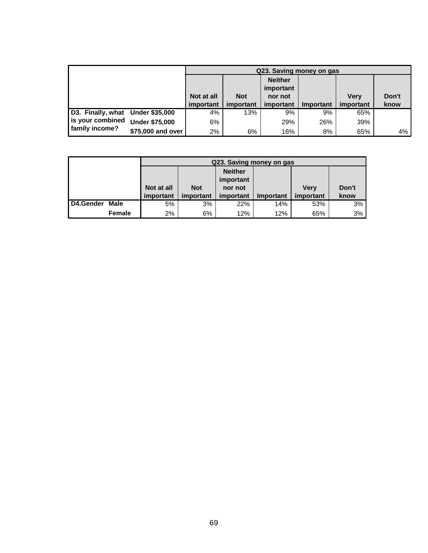|                                  |                       |            | Q23. Saving money on gas |                             |           |             |       |  |  |  |  |  |
|----------------------------------|-----------------------|------------|--------------------------|-----------------------------|-----------|-------------|-------|--|--|--|--|--|
|                                  |                       |            |                          | <b>Neither</b><br>important |           |             |       |  |  |  |  |  |
|                                  |                       | Not at all | <b>Not</b>               | nor not                     |           | <b>Verv</b> | Don't |  |  |  |  |  |
|                                  |                       | important  | important                | important                   | Important | important   | know  |  |  |  |  |  |
| D3. Finally, what Under \$35,000 |                       | 4%         | 13%                      | 9%                          | 9%        | 65%         |       |  |  |  |  |  |
| is your combined                 | <b>Under \$75,000</b> | 6%         |                          | 29%                         | 26%       | 39%         |       |  |  |  |  |  |
| family income?                   | \$75,000 and over     | 2%         | 6%                       | 16%                         | 8%        | 65%         | 4%    |  |  |  |  |  |

|           |        |            |            | Q23. Saving money on gas    |           |           |      |
|-----------|--------|------------|------------|-----------------------------|-----------|-----------|------|
|           |        |            |            | <b>Neither</b><br>important |           |           |      |
|           |        | Not at all | <b>Not</b> | <b>Verv</b>                 | Don't     |           |      |
|           |        | important  | important  | important                   | Important | important | know |
| D4.Gender | Male   | 5%         | 3%         | 22%                         | 14%       | 53%       | 3%   |
|           | Female | 2%         | 6%         | 12%                         | 12%       | 65%       | 3%   |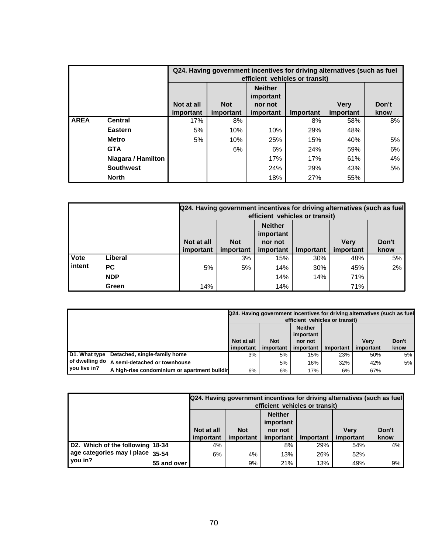|             |                    |                                                                                                                                                                     | Q24. Having government incentives for driving alternatives (such as fuel<br>efficient vehicles or transit) |     |     |     |    |  |  |  |  |  |
|-------------|--------------------|---------------------------------------------------------------------------------------------------------------------------------------------------------------------|------------------------------------------------------------------------------------------------------------|-----|-----|-----|----|--|--|--|--|--|
|             |                    | <b>Neither</b><br>important<br>Not at all<br><b>Verv</b><br><b>Not</b><br>Don't<br>nor not<br>important<br>important<br>important<br>Important<br>important<br>know |                                                                                                            |     |     |     |    |  |  |  |  |  |
| <b>AREA</b> | <b>Central</b>     | 17%                                                                                                                                                                 | 8%                                                                                                         |     | 8%  | 58% | 8% |  |  |  |  |  |
|             | <b>Eastern</b>     | 5%                                                                                                                                                                  | 10%                                                                                                        | 10% | 29% | 48% |    |  |  |  |  |  |
|             | <b>Metro</b>       | 5%                                                                                                                                                                  | 10%                                                                                                        | 25% | 15% | 40% | 5% |  |  |  |  |  |
|             | <b>GTA</b>         |                                                                                                                                                                     | 6%                                                                                                         | 6%  | 24% | 59% | 6% |  |  |  |  |  |
|             | Niagara / Hamilton |                                                                                                                                                                     |                                                                                                            | 17% | 17% | 61% | 4% |  |  |  |  |  |
|             | <b>Southwest</b>   |                                                                                                                                                                     | 24%<br>5%<br>29%<br>43%                                                                                    |     |     |     |    |  |  |  |  |  |
|             | <b>North</b>       |                                                                                                                                                                     |                                                                                                            | 18% | 27% | 55% |    |  |  |  |  |  |

|        |            |            | Q24. Having government incentives for driving alternatives (such as fuel<br>efficient vehicles or transit) |           |           |             |       |  |  |  |  |
|--------|------------|------------|------------------------------------------------------------------------------------------------------------|-----------|-----------|-------------|-------|--|--|--|--|
|        |            |            | <b>Neither</b><br>important                                                                                |           |           |             |       |  |  |  |  |
|        |            | Not at all | <b>Not</b>                                                                                                 | nor not   |           | <b>Verv</b> | Don't |  |  |  |  |
|        |            | important  | important                                                                                                  | important | Important | important   | know  |  |  |  |  |
| Vote   | Liberal    |            | 3%                                                                                                         | 15%       | 30%       | 48%         | 5%    |  |  |  |  |
| intent | <b>PC</b>  | 5%         | 5%                                                                                                         | 14%       | 30%       | 45%         | 2%    |  |  |  |  |
|        | <b>NDP</b> |            |                                                                                                            | 14%       | 14%       | 71%         |       |  |  |  |  |
|        | Green      | 14%        |                                                                                                            | 14%       |           | 71%         |       |  |  |  |  |

|                |                                              |                             |            |           | efficient vehicles or transit) | Q24. Having government incentives for driving alternatives (such as fuel |       |  |  |  |
|----------------|----------------------------------------------|-----------------------------|------------|-----------|--------------------------------|--------------------------------------------------------------------------|-------|--|--|--|
|                |                                              | <b>Neither</b><br>important |            |           |                                |                                                                          |       |  |  |  |
|                |                                              | Not at all                  | <b>Not</b> | nor not   |                                | <b>Verv</b>                                                              | Don't |  |  |  |
|                |                                              | important                   | important  | important | Important                      | important                                                                | know  |  |  |  |
|                | D1. What type Detached, single-family home   | 3%                          | 5%         | 15%       | 23%                            | 50%                                                                      | 5%    |  |  |  |
| of dwelling do | A semi-detached or townhouse                 |                             | 5%         | 16%       | 32%                            | 42%                                                                      | 5%    |  |  |  |
| you live in?   | A high-rise condominium or apartment buildir | 6%                          | 6%         | 17%       | 6%                             | 67%                                                                      |       |  |  |  |

|                                  |             |                                                                                            |           | Q24. Having government incentives for driving alternatives (such as fuel<br>efficient vehicles or transit) |           |           |      |  |  |  |
|----------------------------------|-------------|--------------------------------------------------------------------------------------------|-----------|------------------------------------------------------------------------------------------------------------|-----------|-----------|------|--|--|--|
|                                  |             | <b>Neither</b><br>important<br><b>Not</b><br>Don't<br>Not at all<br><b>Verv</b><br>nor not |           |                                                                                                            |           |           |      |  |  |  |
|                                  |             | important                                                                                  | important | important                                                                                                  | Important | important | know |  |  |  |
| D2. Which of the following 18-34 |             | 4%                                                                                         |           | 8%                                                                                                         | 29%       | 54%       | 4%   |  |  |  |
| age categories may I place 35-54 |             | 6%                                                                                         | 4%        | 13%                                                                                                        | 26%       | 52%       |      |  |  |  |
| you in?                          | 55 and over |                                                                                            | 9%        | 21%                                                                                                        | 13%       | 49%       | 9%   |  |  |  |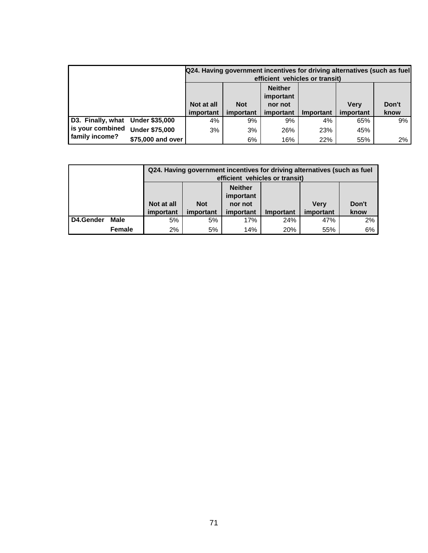|                                  |                       |            |            |                             | efficient vehicles or transit) | Q24. Having government incentives for driving alternatives (such as fuel |       |
|----------------------------------|-----------------------|------------|------------|-----------------------------|--------------------------------|--------------------------------------------------------------------------|-------|
|                                  |                       |            |            | <b>Neither</b><br>important |                                |                                                                          |       |
|                                  |                       | Not at all | <b>Not</b> | nor not                     |                                | <b>Verv</b>                                                              | Don't |
|                                  |                       | important  | important  | important                   | Important                      | important                                                                | know  |
| D3. Finally, what Under \$35,000 |                       | 4%         | 9%         | 9%                          | 4%                             | 65%                                                                      | 9%    |
| is your combined                 | <b>Under \$75,000</b> | 3%         | 3%         | 26%                         | 23%                            | 45%                                                                      |       |
| family income?                   | \$75,000 and over     |            | 6%         | 16%                         | 22%                            | 55%                                                                      | 2%    |

|           |               |                  |                             |           | Q24. Having government incentives for driving alternatives (such as fuel<br>efficient vehicles or transit) |                  |       |  |  |  |  |  |
|-----------|---------------|------------------|-----------------------------|-----------|------------------------------------------------------------------------------------------------------------|------------------|-------|--|--|--|--|--|
|           |               |                  | <b>Neither</b><br>important |           |                                                                                                            |                  |       |  |  |  |  |  |
|           |               | Not at all       | <b>Not</b>                  | nor not   |                                                                                                            | <b>Very</b>      | Don't |  |  |  |  |  |
|           |               | <i>important</i> | important                   | important | <b>Important</b>                                                                                           | <i>important</i> | know  |  |  |  |  |  |
| D4.Gender | Male          | 5%               | 5%                          | 17%       | 24%                                                                                                        | 2%<br>47%        |       |  |  |  |  |  |
|           | <b>Female</b> | 2%               | 5%                          | 14%       | 20%                                                                                                        | 55%              | 6%    |  |  |  |  |  |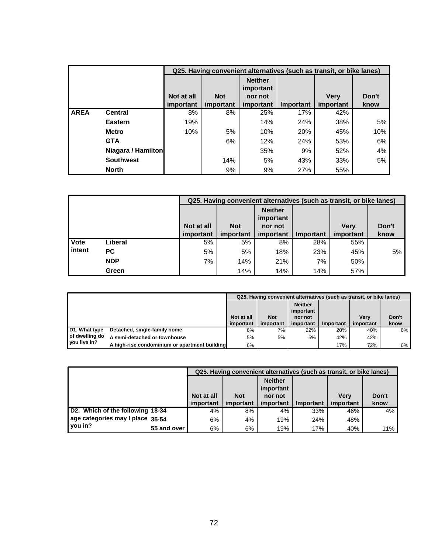|             |                    |            |            |                             |     | Q25. Having convenient alternatives (such as transit, or bike lanes) |       |
|-------------|--------------------|------------|------------|-----------------------------|-----|----------------------------------------------------------------------|-------|
|             |                    |            |            | <b>Neither</b><br>important |     |                                                                      |       |
|             |                    | Not at all | <b>Not</b> | nor not                     |     | <b>Verv</b>                                                          | Don't |
|             |                    | important  | know       |                             |     |                                                                      |       |
| <b>AREA</b> | <b>Central</b>     | 8%         | 8%         | 25%                         | 17% | 42%                                                                  |       |
|             | <b>Eastern</b>     | 19%        |            | 14%                         | 24% | 38%                                                                  | 5%    |
|             | <b>Metro</b>       | 10%        | 5%         | 10%                         | 20% | 45%                                                                  | 10%   |
|             | <b>GTA</b>         |            | 6%         | 12%                         | 24% | 53%                                                                  | 6%    |
|             | Niagara / Hamilton |            |            | 35%                         | 9%  | 52%                                                                  | 4%    |
|             | <b>Southwest</b>   |            | 14%        | 5%                          | 43% | 33%                                                                  | 5%    |
|             | <b>North</b>       |            | 9%         | 9%                          | 27% | 55%                                                                  |       |

|             |            |            | Q25. Having convenient alternatives (such as transit, or bike lanes) |                                        |           |             |       |  |  |  |  |  |
|-------------|------------|------------|----------------------------------------------------------------------|----------------------------------------|-----------|-------------|-------|--|--|--|--|--|
|             |            | Not at all | <b>Not</b>                                                           | <b>Neither</b><br>important<br>nor not |           | <b>Verv</b> | Don't |  |  |  |  |  |
|             |            |            |                                                                      |                                        |           |             |       |  |  |  |  |  |
|             |            | important  | important                                                            | important                              | Important | important   | know  |  |  |  |  |  |
| <b>Vote</b> | Liberal    | 5%         | 5%                                                                   | 8%                                     | 28%       | 55%         |       |  |  |  |  |  |
| intent      | PC.        | 5%         | 5%                                                                   | 18%                                    | 23%       | 45%         | 5%    |  |  |  |  |  |
|             | <b>NDP</b> | 7%         | 14%                                                                  | 21%                                    | 7%        | 50%         |       |  |  |  |  |  |
|             | Green      |            | 14%                                                                  | 14%                                    | 14%       | 57%         |       |  |  |  |  |  |

|                |                                               |            |            |                             |           | Q25. Having convenient alternatives (such as transit, or bike lanes) |       |
|----------------|-----------------------------------------------|------------|------------|-----------------------------|-----------|----------------------------------------------------------------------|-------|
|                |                                               |            |            | <b>Neither</b><br>important |           |                                                                      |       |
|                |                                               | Not at all | <b>Not</b> | nor not                     |           | <b>Verv</b>                                                          | Don't |
|                |                                               | important  | important  | important                   | Important | important                                                            | know  |
| D1. What type  | Detached, single-family home                  | 6%         | 7%         | 22%                         | 20%       | 40%                                                                  | 6%    |
| of dwelling do | A semi-detached or townhouse                  | 5%         | 5%         | 5%                          | 42%       | 42%                                                                  |       |
| you live in?   | A high-rise condominium or apartment building | 6%         |            |                             | 17%       | 72%                                                                  | 6%    |

|                                  |             |            |            |                             |                  | Q25. Having convenient alternatives (such as transit, or bike lanes) |       |
|----------------------------------|-------------|------------|------------|-----------------------------|------------------|----------------------------------------------------------------------|-------|
|                                  |             |            |            | <b>Neither</b><br>important |                  |                                                                      |       |
|                                  |             | Not at all | <b>Not</b> | nor not                     |                  | <b>Verv</b>                                                          | Don't |
|                                  |             | important  | important  | important                   | <b>Important</b> | important                                                            | know  |
| D2. Which of the following 18-34 |             | 4%         | 8%         | 4%                          | 33%              | 46%                                                                  | 4%    |
| age categories may I place 35-54 |             | 6%         | 4%         | 19%                         | 24%              | 48%                                                                  |       |
| you in?                          | 55 and over | 6%         | 6%         | 19%                         | 17%              | 40%                                                                  | 11%   |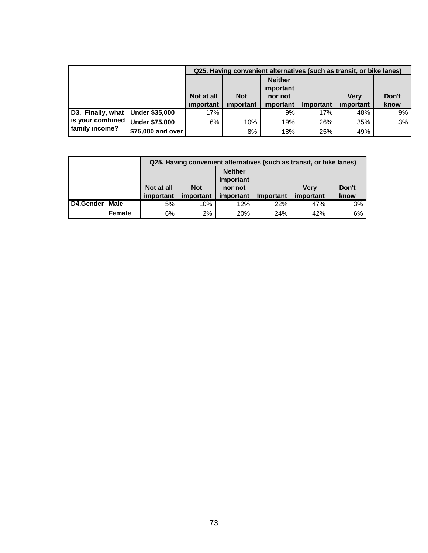|                                  |                       |            |            |                             |           | Q25. Having convenient alternatives (such as transit, or bike lanes) |       |
|----------------------------------|-----------------------|------------|------------|-----------------------------|-----------|----------------------------------------------------------------------|-------|
|                                  |                       |            |            | <b>Neither</b><br>important |           |                                                                      |       |
|                                  |                       | Not at all | <b>Not</b> | nor not                     |           | <b>Verv</b>                                                          | Don't |
|                                  |                       | important  | important  | important                   | Important | important                                                            | know  |
| D3. Finally, what Under \$35,000 |                       | 17%        |            | 9%                          | 17%       | 48%                                                                  | 9%    |
| is your combined                 | <b>Under \$75,000</b> | 6%         | 10%        | 19%                         | 26%       | 35%                                                                  | 3%    |
| family income?                   | \$75,000 and over     |            | 8%         | 18%                         | 25%       | 49%                                                                  |       |

|                  |        |            |            | Q25. Having convenient alternatives (such as transit, or bike lanes) |                  |           |       |
|------------------|--------|------------|------------|----------------------------------------------------------------------|------------------|-----------|-------|
|                  |        |            |            | <b>Neither</b>                                                       |                  |           |       |
|                  |        |            |            | important                                                            |                  |           |       |
|                  |        | Not at all | <b>Not</b> | nor not                                                              |                  | Verv      | Don't |
|                  |        | important  | important  | important                                                            | <b>Important</b> | important | know  |
| <b>D4.Gender</b> | Male   | 5%         | 10%        | 12%                                                                  | 22%              | 47%       | 3%    |
|                  | Female | 6%         | 2%         | 20%                                                                  | 24%              | 42%       | 6%    |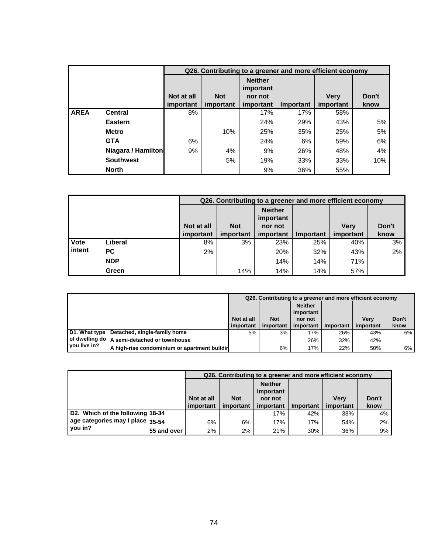|             |                    |            |            | Q26. Contributing to a greener and more efficient economy |           |             |       |
|-------------|--------------------|------------|------------|-----------------------------------------------------------|-----------|-------------|-------|
|             |                    |            |            | <b>Neither</b><br>important                               |           |             |       |
|             |                    | Not at all | <b>Not</b> | nor not                                                   |           | <b>Verv</b> | Don't |
|             |                    | important  | important  | important                                                 | Important | important   | know  |
| <b>AREA</b> | <b>Central</b>     | 8%         |            | 17%                                                       | 17%       | 58%         |       |
|             | Eastern            |            |            | 24%                                                       | 29%       | 43%         | 5%    |
|             | <b>Metro</b>       |            | 10%        | 25%                                                       | 35%       | 25%         | 5%    |
|             | <b>GTA</b>         | 6%         |            | 24%                                                       | 6%        | 59%         | 6%    |
|             | Niagara / Hamilton | 9%         | 4%         | 9%                                                        | 26%       | 48%         | 4%    |
|             | <b>Southwest</b>   |            | 5%         | 19%                                                       | 33%       | 33%         | 10%   |
|             | <b>North</b>       |            |            | 9%                                                        | 36%       | 55%         |       |

|             |            |            |            | Q26. Contributing to a greener and more efficient economy |           |             |       |
|-------------|------------|------------|------------|-----------------------------------------------------------|-----------|-------------|-------|
|             |            |            | <b>Not</b> | <b>Neither</b><br>important                               |           |             | Don't |
|             |            | Not at all |            | nor not                                                   |           | <b>Verv</b> |       |
|             |            | important  | important  | important                                                 | Important | important   | know  |
| <b>Vote</b> | Liberal    | 8%         | 3%         | 23%                                                       | 25%       | 40%         | 3%    |
| intent      | PC.        | 2%         |            | 20%                                                       | 32%       | 43%         | 2%    |
|             | <b>NDP</b> |            |            | 14%                                                       | 14%       | 71%         |       |
|             | Green      |            | 14%        | 14%                                                       | 14%       | 57%         |       |

|               |                                               |            |            |                |           | Q26. Contributing to a greener and more efficient economy |       |
|---------------|-----------------------------------------------|------------|------------|----------------|-----------|-----------------------------------------------------------|-------|
|               |                                               |            |            | <b>Neither</b> |           |                                                           |       |
|               |                                               |            |            | important      |           |                                                           |       |
|               |                                               | Not at all | <b>Not</b> | nor not        |           | <b>Verv</b>                                               | Don't |
|               |                                               | important  | important  | important      | Important | important                                                 | know  |
| D1. What type | Detached, single-family home                  | 5%         | 3%         | 17%            | 26%       | 43%                                                       | 6%    |
|               | I of dwelling do A semi-detached or townhouse |            |            | 26%            | 32%       | 42%                                                       |       |
| you live in?  | A high-rise condominium or apartment buildir  |            | 6%         | 17%            | 22%       | 50%                                                       | 6%    |

|                                  |             |            |            | Q26. Contributing to a greener and more efficient economy |           |             |       |
|----------------------------------|-------------|------------|------------|-----------------------------------------------------------|-----------|-------------|-------|
|                                  |             | Not at all | <b>Not</b> | <b>Neither</b><br>important<br>nor not                    |           | <b>Very</b> | Don't |
|                                  |             | important  | important  | important                                                 | Important | important   | know  |
| D2. Which of the following 18-34 |             |            |            | 17%                                                       | 42%       | 38%         | 4%    |
| age categories may I place 35-54 |             | 6%         | 6%         | 17%                                                       | 17%       | 54%         | $2\%$ |
| you in?                          | 55 and over | 2%         | 2%         | 21%                                                       | 30%       | 36%         | 9%    |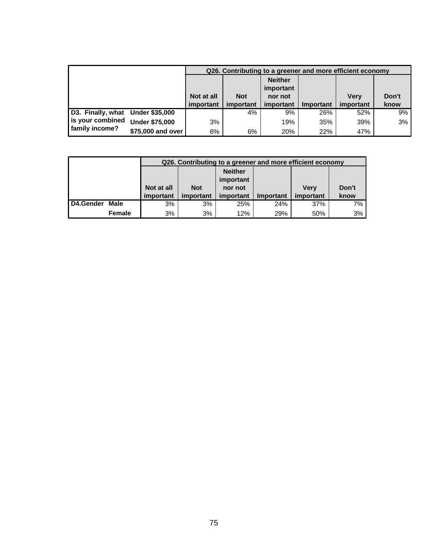|                                  |                       |            |            | Q26. Contributing to a greener and more efficient economy |           |             |       |
|----------------------------------|-----------------------|------------|------------|-----------------------------------------------------------|-----------|-------------|-------|
|                                  |                       |            |            | <b>Neither</b><br>important                               |           |             |       |
|                                  |                       | Not at all | <b>Not</b> | nor not                                                   |           | <b>Verv</b> | Don't |
|                                  |                       | important  | important  | important                                                 | Important | important   | know  |
| D3. Finally, what Under \$35,000 |                       |            | 4%         | 9%                                                        | 26%       | 52%         | 9%    |
| is your combined                 | <b>Under \$75,000</b> | 3%         |            | 19%                                                       | 35%       | 39%         | 3%    |
| family income?                   | \$75,000 and over     | 6%         | 6%         | 20%                                                       | 22%       | 47%         |       |

|           |        |            |                                        | Q26. Contributing to a greener and more efficient economy |           |           |      |  |  |
|-----------|--------|------------|----------------------------------------|-----------------------------------------------------------|-----------|-----------|------|--|--|
|           |        |            |                                        | <b>Neither</b>                                            |           |           |      |  |  |
|           |        |            |                                        | important                                                 |           |           |      |  |  |
|           |        | Not at all | Don't<br><b>Not</b><br>Verv<br>nor not |                                                           |           |           |      |  |  |
|           |        | important  | important                              | important                                                 | Important | important | know |  |  |
| D4.Gender | Male   | 3%         | 3%                                     | 25%                                                       | 24%       | 37%       | 7%   |  |  |
|           | Female | 3%         | 3%                                     | 12%                                                       | 29%       | 50%       | 3%   |  |  |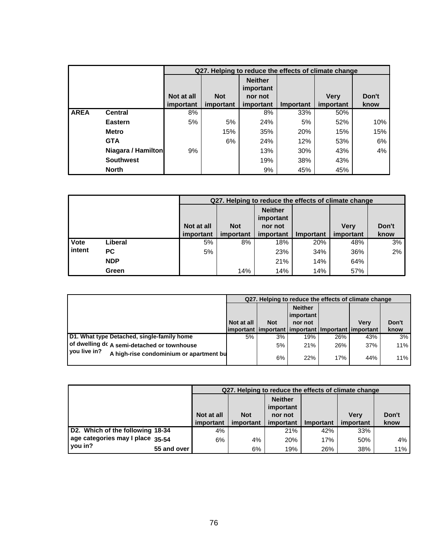|             |                    |            |            |                             |           | Q27. Helping to reduce the effects of climate change |       |
|-------------|--------------------|------------|------------|-----------------------------|-----------|------------------------------------------------------|-------|
|             |                    |            |            | <b>Neither</b><br>important |           |                                                      |       |
|             |                    | Not at all | <b>Not</b> | nor not                     |           | <b>Verv</b>                                          | Don't |
|             |                    | important  | important  | important                   | Important | important                                            | know  |
| <b>AREA</b> | <b>Central</b>     | 8%         |            | 8%                          | 33%       | 50%                                                  |       |
|             | Eastern            | 5%         | 5%         | 24%                         | 5%        | 52%                                                  | 10%   |
|             | <b>Metro</b>       |            | 15%        | 35%                         | 20%       | 15%                                                  | 15%   |
|             | <b>GTA</b>         |            | 6%         | 24%                         | 12%       | 53%                                                  | 6%    |
|             | Niagara / Hamilton | 9%         |            | 13%                         | 30%       | 43%                                                  | 4%    |
|             | <b>Southwest</b>   |            |            | 19%                         | 38%       | 43%                                                  |       |
|             | <b>North</b>       |            |            | 9%                          | 45%       | 45%                                                  |       |

|        |            |            |            |                             |           | Q27. Helping to reduce the effects of climate change |       |
|--------|------------|------------|------------|-----------------------------|-----------|------------------------------------------------------|-------|
|        |            |            |            | <b>Neither</b><br>important |           |                                                      |       |
|        |            | Not at all | <b>Not</b> | nor not                     |           | <b>Verv</b>                                          | Don't |
|        |            | important  | important  | important                   | Important | important                                            | know  |
| Vote   | Liberal    | 5%         | 8%         | 18%                         | 20%       | 48%                                                  | 3%    |
| intent | PC.        | 5%         |            | 23%                         | 34%       | 36%                                                  | 2%    |
|        | <b>NDP</b> |            |            | 21%                         | 14%       | 64%                                                  |       |
|        | Green      |            | 14%        | 14%                         | 14%       | 57%                                                  |       |

|                                                         |            |            |                                                           |     | Q27. Helping to reduce the effects of climate change |       |
|---------------------------------------------------------|------------|------------|-----------------------------------------------------------|-----|------------------------------------------------------|-------|
|                                                         |            |            | <b>Neither</b><br>  important                             |     |                                                      |       |
|                                                         | Not at all | <b>Not</b> | nor not                                                   |     | <b>Verv</b>                                          | Don't |
|                                                         |            |            | important   important   important   Important   important |     |                                                      | know  |
| D1. What type Detached, single-family home              | 5%         | 3%         | 19%                                                       | 26% | 43%                                                  | 3%    |
| of dwelling dc A semi-detached or townhouse             |            | 5%         | 21%                                                       | 26% | 37%                                                  | 11%   |
| vou live in?<br>A high-rise condominium or apartment bu |            | 6%         | 22%                                                       | 17% | 44%                                                  | 11%   |

|                                  |             |            | Q27. Helping to reduce the effects of climate change |                             |                  |             |       |
|----------------------------------|-------------|------------|------------------------------------------------------|-----------------------------|------------------|-------------|-------|
|                                  |             |            | <b>Not</b>                                           | <b>Neither</b><br>important |                  |             |       |
|                                  |             | Not at all |                                                      | nor not                     |                  | <b>Verv</b> | Don't |
|                                  |             | important  | important                                            | important                   | <b>Important</b> | important   | know  |
| D2. Which of the following 18-34 |             | 4%         |                                                      | 21%                         | 42%              | 33%         |       |
| age categories may I place 35-54 |             | 6%         | 4%                                                   | 20%                         | 17%              | 50%         | 4%    |
| you in?                          | 55 and over |            | 6%                                                   | 19%                         | 26%              | 38%         | 11%   |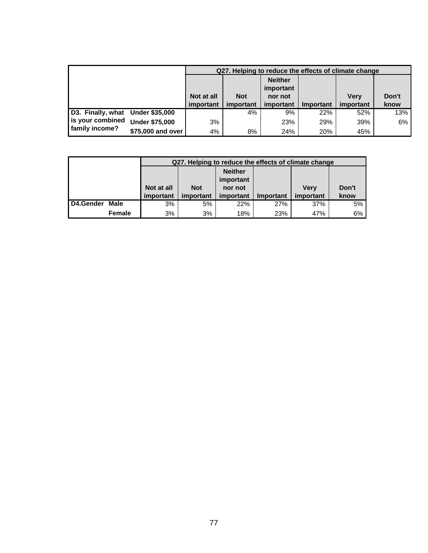|                                  |                       |                  |            |                             |           | Q27. Helping to reduce the effects of climate change |       |
|----------------------------------|-----------------------|------------------|------------|-----------------------------|-----------|------------------------------------------------------|-------|
|                                  |                       |                  |            | <b>Neither</b><br>important |           |                                                      |       |
|                                  |                       | Not at all       | <b>Not</b> | nor not                     |           | <b>Verv</b>                                          | Don't |
|                                  |                       | <i>important</i> | important  | important                   | Important | important                                            | know  |
| D3. Finally, what Under \$35,000 |                       |                  | 4%         | 9%                          | 22%       | 52%                                                  | 13%   |
| is your combined                 | <b>Under \$75,000</b> | 3%               |            | 23%                         | 29%       | 39%                                                  | 6%    |
| family income?                   | \$75,000 and over     | 4%               | 8%         | 24%                         | 20%       | 45%                                                  |       |

|           |               |            | Q27. Helping to reduce the effects of climate change |                |                  |           |       |
|-----------|---------------|------------|------------------------------------------------------|----------------|------------------|-----------|-------|
|           |               |            |                                                      | <b>Neither</b> |                  |           |       |
|           |               |            |                                                      | important      |                  |           |       |
|           |               | Not at all | <b>Not</b>                                           | nor not        |                  | Verv      | Don't |
|           |               | important  | important                                            | important      | <b>Important</b> | important | know  |
| D4.Gender | <b>Male</b>   | 3%         | 5%                                                   | 22%            | 27%              | 37%       | 5%    |
|           | <b>Female</b> | 3%         | 3%                                                   | 18%            | 23%              | 47%       | 6%    |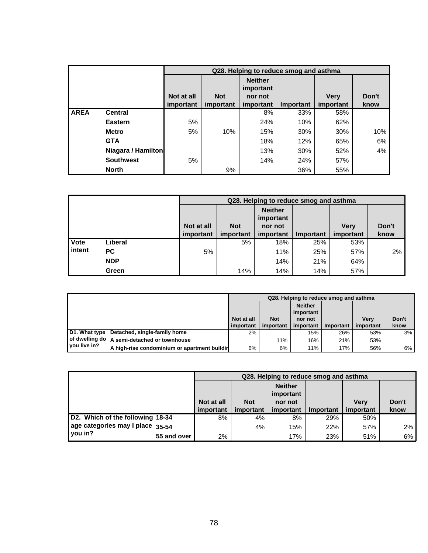|             |                    |            |            | Q28. Helping to reduce smog and asthma |           |             |       |
|-------------|--------------------|------------|------------|----------------------------------------|-----------|-------------|-------|
|             |                    |            |            | <b>Neither</b><br>important            |           |             |       |
|             |                    | Not at all | <b>Not</b> | nor not                                |           | <b>Verv</b> | Don't |
|             |                    | important  | important  | important                              | Important | important   | know  |
| <b>AREA</b> | <b>Central</b>     |            |            | 8%                                     | 33%       | 58%         |       |
|             | <b>Eastern</b>     | 5%         |            | 24%                                    | 10%       | 62%         |       |
|             | <b>Metro</b>       | 5%         | 10%        | 15%                                    | 30%       | 30%         | 10%   |
|             | <b>GTA</b>         |            |            | 18%                                    | 12%       | 65%         | 6%    |
|             | Niagara / Hamilton |            |            | 13%                                    | 30%       | 52%         | 4%    |
|             | <b>Southwest</b>   | 5%         |            | 14%                                    | 24%       | 57%         |       |
|             | <b>North</b>       |            | 9%         |                                        | 36%       | 55%         |       |

|        |            |            |            | Q28. Helping to reduce smog and asthma |           |             |       |
|--------|------------|------------|------------|----------------------------------------|-----------|-------------|-------|
|        |            | Not at all | <b>Not</b> | <b>Neither</b><br>important<br>nor not |           | <b>Verv</b> | Don't |
|        |            | important  | important  | important                              | Important | important   | know  |
| Vote   | Liberal    |            | 5%         | 18%                                    | 25%       | 53%         |       |
| intent | <b>PC</b>  | 5%         |            | 11%                                    | 25%       | 57%         | 2%    |
|        | <b>NDP</b> |            |            | 14%                                    | 21%       | 64%         |       |
|        | Green      |            | 14%        | 14%                                    | 14%       | 57%         |       |

|               |                                              |            |            | Q28. Helping to reduce smog and asthma |           |             |       |
|---------------|----------------------------------------------|------------|------------|----------------------------------------|-----------|-------------|-------|
|               |                                              |            |            | <b>Neither</b><br>important            |           |             |       |
|               |                                              | Not at all | <b>Not</b> | nor not                                |           | <b>Verv</b> | Don't |
|               |                                              | important  | important  | important                              | Important | important   | know  |
| D1. What type | Detached, single-family home                 | 2%         |            | 15%                                    | 26%       | 53%         | 3%    |
|               | of dwelling do A semi-detached or townhouse  |            | 11%        | 16%                                    | 21%       | 53%         |       |
| you live in?  | A high-rise condominium or apartment buildir | 6%         | 6%         | 11%                                    | 17%       | 56%         | 6%    |

|                                  |             |            |            | Q28. Helping to reduce smog and asthma |           |             |       |
|----------------------------------|-------------|------------|------------|----------------------------------------|-----------|-------------|-------|
|                                  |             | Not at all | <b>Not</b> | <b>Neither</b><br>important<br>nor not |           | <b>Verv</b> | Don't |
|                                  |             | important  | important  | important                              | Important | important   | know  |
| D2. Which of the following 18-34 |             | 8%         | 4%         | 8%                                     | 29%       | 50%         |       |
| age categories may I place 35-54 |             |            | $4\%$      | 15%                                    | 22%       | 57%         | $2\%$ |
| you in?                          | 55 and over | 2%         |            | 17%                                    | 23%       | 51%         | 6%    |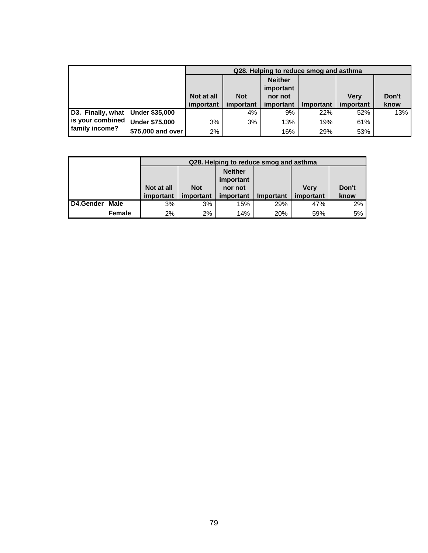|                                  |                       |            |            | Q28. Helping to reduce smog and asthma |           |             |       |
|----------------------------------|-----------------------|------------|------------|----------------------------------------|-----------|-------------|-------|
|                                  |                       |            |            | <b>Neither</b><br>important            |           |             |       |
|                                  |                       | Not at all | <b>Not</b> | nor not                                |           | <b>Verv</b> | Don't |
|                                  |                       | important  | important  | important                              | Important | important   | know  |
| D3. Finally, what Under \$35,000 |                       |            | 4%         | 9%                                     | 22%       | 52%         | 13%   |
| is your combined                 | <b>Under \$75,000</b> | 3%         | 3%         | 13%                                    | 19%       | 61%         |       |
| family income?                   | \$75,000 and over     | 2%         |            | 16%                                    | 29%       | 53%         |       |

|           |        |            | Q28. Helping to reduce smog and asthma |                |                  |             |       |
|-----------|--------|------------|----------------------------------------|----------------|------------------|-------------|-------|
|           |        |            |                                        | <b>Neither</b> |                  |             |       |
|           |        |            |                                        | important      |                  |             |       |
|           |        | Not at all | <b>Not</b>                             | nor not        |                  | <b>Verv</b> | Don't |
|           |        | important  | important                              | important      | <b>Important</b> | important   | know  |
| D4.Gender | Male   | 3%         | 3%                                     | 15%            | 29%              | 47%         | 2%    |
|           | Female | 2%         | 2%                                     | 14%            | 20%              | 59%         | 5%    |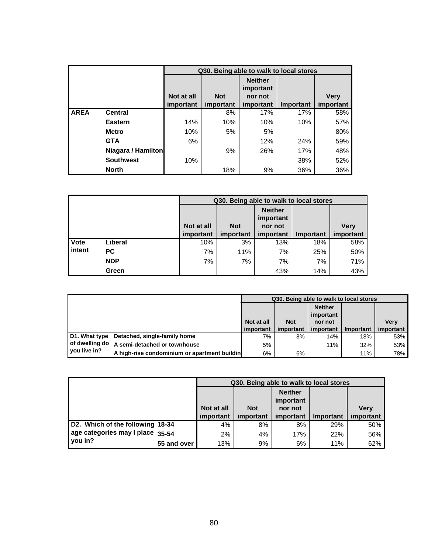|             |                    |            |            |                             | Q30. Being able to walk to local stores |             |
|-------------|--------------------|------------|------------|-----------------------------|-----------------------------------------|-------------|
|             |                    |            |            | <b>Neither</b><br>important |                                         |             |
|             |                    | Not at all | <b>Not</b> | nor not                     |                                         | <b>Very</b> |
|             |                    | important  | important  | important                   | <b>Important</b>                        | important   |
| <b>AREA</b> | <b>Central</b>     |            | 8%         | 17%                         | 17%                                     | 58%         |
|             | <b>Eastern</b>     | 14%        | 10%        | 10%                         | 10%                                     | 57%         |
|             | <b>Metro</b>       | 10%        | 5%         | 5%                          |                                         | 80%         |
|             | <b>GTA</b>         | 6%         |            | 12%                         | 24%                                     | 59%         |
|             | Niagara / Hamilton |            | 9%         | 26%                         | 17%                                     | 48%         |
|             | <b>Southwest</b>   | 10%        |            |                             | 38%                                     | 52%         |
|             | <b>North</b>       |            | 18%        | 9%                          | 36%                                     | 36%         |

|        |            |            |            | Q30. Being able to walk to local stores |           |             |
|--------|------------|------------|------------|-----------------------------------------|-----------|-------------|
|        |            | Not at all | <b>Not</b> | <b>Neither</b><br>important<br>nor not  |           | <b>Very</b> |
|        |            | important  | important  | important                               | Important | important   |
| Vote   | Liberal    | 10%        | 3%         | 13%                                     | 18%       | 58%         |
| intent | <b>PC</b>  | 7%         | 11%        | 7%                                      | 25%       | 50%         |
|        | <b>NDP</b> | 7%         | 7%         | 7%                                      | 7%        | 71%         |
|        | Green      |            |            | 43%                                     | 14%       | 43%         |

|               |                                              |            | Q30. Being able to walk to local stores |                             |           |             |
|---------------|----------------------------------------------|------------|-----------------------------------------|-----------------------------|-----------|-------------|
|               |                                              |            |                                         | <b>Neither</b><br>important |           |             |
|               |                                              | Not at all | <b>Not</b>                              | nor not                     |           | <b>Verv</b> |
|               |                                              | important  | important                               | important                   | Important | important   |
| D1. What type | Detached, single-family home                 | 7%         | 8%                                      | 14%                         | 18%       | 53%         |
|               | of dwelling do A semi-detached or townhouse  | 5%         |                                         | 11%                         | 32%       | 53%         |
| you live in?  | A high-rise condominium or apartment buildin | 6%         | 6%                                      |                             | 11%       | 78%         |

|                                             |            | Q30. Being able to walk to local stores |                             |                  |             |  |  |  |
|---------------------------------------------|------------|-----------------------------------------|-----------------------------|------------------|-------------|--|--|--|
|                                             |            |                                         | <b>Neither</b><br>important |                  |             |  |  |  |
|                                             | Not at all | <b>Not</b>                              | nor not                     |                  | <b>Very</b> |  |  |  |
|                                             | important  | important                               | important                   | <b>Important</b> | important   |  |  |  |
|                                             |            |                                         |                             |                  |             |  |  |  |
| D2. Which of the following 18-34            | 4%         | 8%                                      | 8%                          | 29%              | 50%         |  |  |  |
| age categories may I place 35-54<br>you in? | 2%         | 4%                                      | 17%                         | 22%              | 56%         |  |  |  |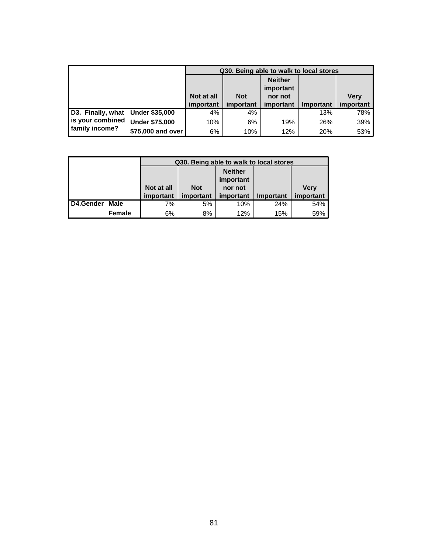|                                  |                       |            | Q30. Being able to walk to local stores |                             |           |             |
|----------------------------------|-----------------------|------------|-----------------------------------------|-----------------------------|-----------|-------------|
|                                  |                       |            |                                         | <b>Neither</b><br>important |           |             |
|                                  |                       | Not at all | <b>Not</b>                              | nor not                     |           | <b>Very</b> |
|                                  |                       | important  | important                               | important                   | Important | important   |
| D3. Finally, what Under \$35,000 |                       | 4%         | 4%                                      |                             | 13%       | 78%         |
| is your combined                 | <b>Under \$75,000</b> | 10%        | 6%                                      | 19%                         | 26%       | 39%         |
| family income?                   | \$75,000 and over     | 6%         | 10%                                     | 12%                         | 20%       | 53%         |

|           |        |            | Q30. Being able to walk to local stores |                |           |             |
|-----------|--------|------------|-----------------------------------------|----------------|-----------|-------------|
|           |        |            |                                         | <b>Neither</b> |           |             |
|           |        |            |                                         | important      |           |             |
|           |        | Not at all | <b>Not</b>                              | nor not        |           | <b>Verv</b> |
|           |        | important  | important                               | important      | Important | important   |
| D4.Gender | Male   | 7%         | 5%                                      | 10%            | 24%       | 54%         |
|           | Female | 6%         | 8%                                      | 12%            | 15%       | 59%         |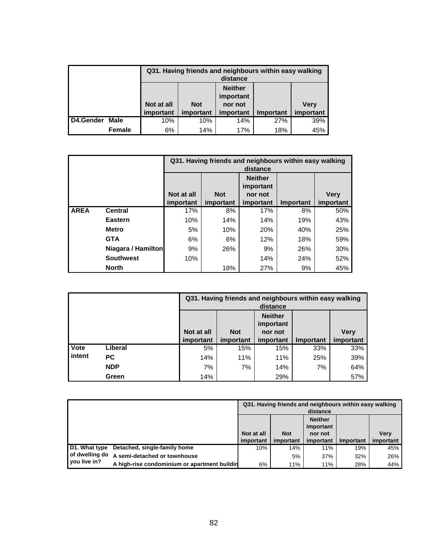|           |               |            | Q31. Having friends and neighbours within easy walking<br>distance |           |           |             |  |  |  |  |
|-----------|---------------|------------|--------------------------------------------------------------------|-----------|-----------|-------------|--|--|--|--|
|           |               |            | <b>Neither</b><br>important                                        |           |           |             |  |  |  |  |
|           |               | Not at all | <b>Not</b>                                                         | nor not   |           | <b>Very</b> |  |  |  |  |
|           |               | important  | important                                                          | important | Important | important   |  |  |  |  |
| D4.Gender | Male          | 10%        | 10%                                                                | 14%       | 27%       | 39%         |  |  |  |  |
|           | <b>Female</b> | 6%         | 14%                                                                | 17%       | 18%       | 45%         |  |  |  |  |

|             |                    |                         |                         | Q31. Having friends and neighbours within easy walking<br>distance |           |                          |
|-------------|--------------------|-------------------------|-------------------------|--------------------------------------------------------------------|-----------|--------------------------|
|             |                    | Not at all<br>important | <b>Not</b><br>important | <b>Neither</b><br>important<br>nor not<br>important                | Important | <b>Very</b><br>important |
| <b>AREA</b> | <b>Central</b>     | 17%                     | 8%                      | 17%                                                                | 8%        | 50%                      |
|             | Eastern            | 10%                     | 14%                     | 14%                                                                | 19%       | 43%                      |
|             | <b>Metro</b>       | 5%                      | 10%                     | 20%                                                                | 40%       | 25%                      |
|             | <b>GTA</b>         | 6%                      | 6%                      | 12%                                                                | 18%       | 59%                      |
|             | Niagara / Hamilton | 9%                      | 26%                     | 9%                                                                 | 26%       | 30%                      |
|             | <b>Southwest</b>   | 10%                     |                         | 14%                                                                | 24%       | 52%                      |
|             | <b>North</b>       |                         | 18%                     | 27%                                                                | 9%        | 45%                      |

|        |            |            | Q31. Having friends and neighbours within easy walking | distance                               |           |             |
|--------|------------|------------|--------------------------------------------------------|----------------------------------------|-----------|-------------|
|        |            | Not at all | <b>Not</b>                                             | <b>Neither</b><br>important<br>nor not |           | <b>Very</b> |
|        |            | important  | important                                              | important                              | Important | important   |
| Vote   | Liberal    | 5%         | 15%                                                    | 15%                                    | 33%       | 33%         |
| intent | <b>PC</b>  | 14%        | 11%                                                    | 11%                                    | 25%       | 39%         |
|        | <b>NDP</b> | 7%         | 7%                                                     | 14%                                    | 7%        | 64%         |
|        | Green      | 14%        |                                                        | 29%                                    |           | 57%         |

|                |                                              | Q31. Having friends and neighbours within easy walking<br>distance |            |                                        |           |             |  |
|----------------|----------------------------------------------|--------------------------------------------------------------------|------------|----------------------------------------|-----------|-------------|--|
|                |                                              | Not at all                                                         | <b>Not</b> | <b>Neither</b><br>important<br>nor not |           | <b>Verv</b> |  |
|                |                                              | important                                                          | important  | important                              | Important | important   |  |
| D1. What type  | Detached, single-family home                 | 10%                                                                | 14%        | 11%                                    | 19%       | 45%         |  |
| of dwelling do | A semi-detached or townhouse                 |                                                                    | 5%         | 37%                                    | 32%       | 26%         |  |
| vou live in?   | A high-rise condominium or apartment buildin | 6%                                                                 | 11%        | 11%                                    | 28%       | 44%         |  |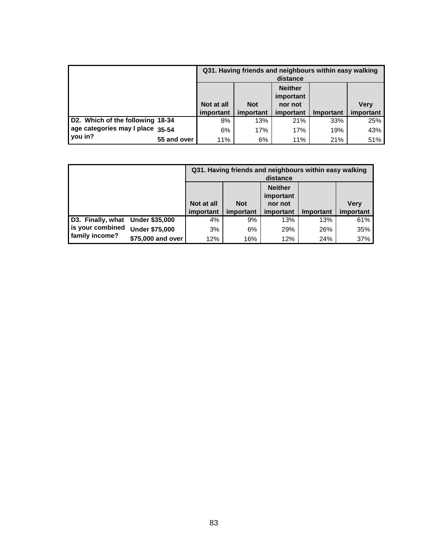|                                  |             | Q31. Having friends and neighbours within easy walking<br>distance |                         |                             |                  |                          |  |
|----------------------------------|-------------|--------------------------------------------------------------------|-------------------------|-----------------------------|------------------|--------------------------|--|
|                                  |             |                                                                    |                         | <b>Neither</b><br>important |                  |                          |  |
|                                  |             | Not at all<br>important                                            | <b>Not</b><br>important | nor not<br>important        | <b>Important</b> | <b>Verv</b><br>important |  |
| D2. Which of the following 18-34 |             | 8%                                                                 | 13%                     | 21%                         | 33%              | 25%                      |  |
| age categories may I place 35-54 |             | 6%                                                                 | 17%                     | 17%                         | 19%              | 43%                      |  |
| you in?                          | 55 and over | 11%                                                                | 6%                      | 11%                         | 21%              | 51%                      |  |

|                                  |                       |            | Q31. Having friends and neighbours within easy walking | distance                    |                  |             |
|----------------------------------|-----------------------|------------|--------------------------------------------------------|-----------------------------|------------------|-------------|
|                                  |                       |            |                                                        | <b>Neither</b><br>important |                  |             |
|                                  |                       | Not at all | <b>Not</b>                                             | nor not                     |                  | <b>Verv</b> |
|                                  |                       | important  | important                                              | important                   | <b>Important</b> | important   |
| D3. Finally, what Under \$35,000 |                       | 4%         | 9%                                                     | 13%                         | 13%              | 61%         |
| is your combined                 | <b>Under \$75,000</b> | 3%         | 6%                                                     | 29%                         | 26%              | 35%         |
| family income?                   | \$75,000 and over     | 12%        | 16%                                                    | 12%                         | 24%              | 37%         |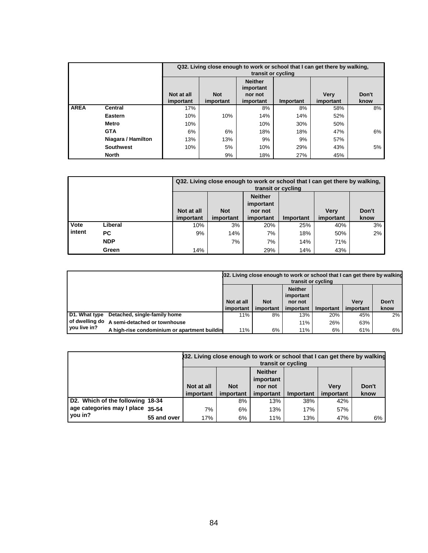|             |                    |                         | Q32. Living close enough to work or school that I can get there by walking,<br>transit or cycling |                                                     |           |                          |               |  |  |  |  |
|-------------|--------------------|-------------------------|---------------------------------------------------------------------------------------------------|-----------------------------------------------------|-----------|--------------------------|---------------|--|--|--|--|
|             |                    | Not at all<br>important | <b>Not</b><br>important                                                                           | <b>Neither</b><br>important<br>nor not<br>important | Important | <b>Verv</b><br>important | Don't<br>know |  |  |  |  |
| <b>AREA</b> | <b>Central</b>     | 17%                     |                                                                                                   | 8%                                                  | 8%        | 58%                      | 8%            |  |  |  |  |
|             | <b>Eastern</b>     | 10%                     | 10%                                                                                               | 14%                                                 | 14%       | 52%                      |               |  |  |  |  |
|             | <b>Metro</b>       | 10%                     |                                                                                                   | 10%                                                 | 30%       | 50%                      |               |  |  |  |  |
|             | <b>GTA</b>         | 6%                      | 6%                                                                                                | 18%                                                 | 18%       | 47%                      | 6%            |  |  |  |  |
|             | Niagara / Hamilton | 13%                     | 13%                                                                                               | 9%                                                  | 9%        | 57%                      |               |  |  |  |  |
|             | <b>Southwest</b>   | 10%                     | 5%                                                                                                | 10%                                                 | 29%       | 43%                      | 5%            |  |  |  |  |
|             | <b>North</b>       |                         | 9%                                                                                                | 18%                                                 | 27%       | 45%                      |               |  |  |  |  |

|                  |                                                                    |           | Q32. Living close enough to work or school that I can get there by walking,<br>transit or cycling |           |           |             |       |  |  |  |  |
|------------------|--------------------------------------------------------------------|-----------|---------------------------------------------------------------------------------------------------|-----------|-----------|-------------|-------|--|--|--|--|
|                  | <b>Neither</b><br>important<br><b>Not</b><br>Not at all<br>nor not |           |                                                                                                   |           |           |             |       |  |  |  |  |
|                  |                                                                    |           |                                                                                                   |           |           | <b>Verv</b> | Don't |  |  |  |  |
|                  |                                                                    | important | important                                                                                         | important | Important | important   | know  |  |  |  |  |
|                  |                                                                    |           |                                                                                                   |           |           |             |       |  |  |  |  |
|                  | Liberal                                                            | 10%       | 3%                                                                                                | 20%       | 25%       | 40%         | 3%    |  |  |  |  |
|                  | PC.                                                                | 9%        | 14%                                                                                               | 7%        | 18%       | 50%         | 2%    |  |  |  |  |
| Vote<br>l intent | <b>NDP</b>                                                         |           | 7%                                                                                                | 7%        | 14%       | 71%         |       |  |  |  |  |

|                  |                                              | 132. Living close enough to work or school that I can get there by walking<br>transit or cycling |            |                             |           |             |       |  |
|------------------|----------------------------------------------|--------------------------------------------------------------------------------------------------|------------|-----------------------------|-----------|-------------|-------|--|
|                  |                                              |                                                                                                  |            | <b>Neither</b><br>important |           |             |       |  |
|                  |                                              | Not at all                                                                                       | <b>Not</b> | nor not                     |           | <b>Verv</b> | Don't |  |
|                  |                                              | important                                                                                        | important  | important                   | Important | important   | know  |  |
| D1. What type    | Detached, single-family home                 | 11%                                                                                              | 8%         | 13%                         | 20%       | 45%         | 2%    |  |
| l of dwelling do | A semi-detached or townhouse                 |                                                                                                  |            | 11%                         | 26%       | 63%         |       |  |
| vou live in?     | A high-rise condominium or apartment buildin | 11%                                                                                              | 6%         | 11%                         | 6%        | 61%         | 6%    |  |

|                                  |             |                         | 32. Living close enough to work or school that I can get there by walking<br>transit or cycling |                             |           |                          |               |  |  |
|----------------------------------|-------------|-------------------------|-------------------------------------------------------------------------------------------------|-----------------------------|-----------|--------------------------|---------------|--|--|
|                                  |             |                         |                                                                                                 | <b>Neither</b><br>important |           |                          |               |  |  |
|                                  |             | Not at all<br>important | <b>Not</b><br>important                                                                         | nor not<br>important        | Important | <b>Verv</b><br>important | Don't<br>know |  |  |
| D2. Which of the following 18-34 |             |                         | 8%                                                                                              | 13%                         | 38%       | 42%                      |               |  |  |
| age categories may I place 35-54 |             | 7%                      | 6%                                                                                              | 13%                         | 17%       | 57%                      |               |  |  |
| vou in?                          | 55 and over | 17%                     | 6%                                                                                              | 11%                         | 13%       | 47%                      | 6%            |  |  |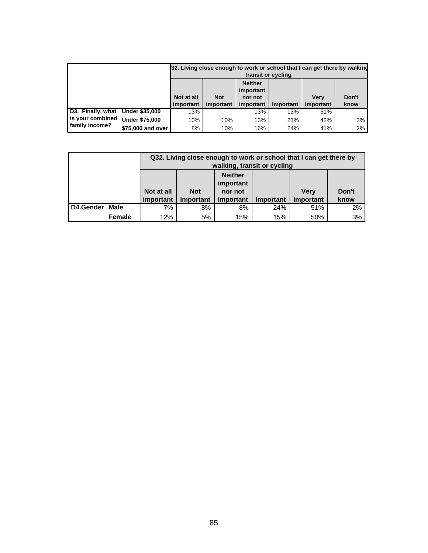|                                  |                       |            |            | transit or cycling |           | [32. Living close enough to work or school that I can get there by walking |       |
|----------------------------------|-----------------------|------------|------------|--------------------|-----------|----------------------------------------------------------------------------|-------|
|                                  |                       |            |            |                    |           |                                                                            |       |
|                                  |                       | Not at all | <b>Not</b> | nor not            |           | <b>Verv</b>                                                                | Don't |
|                                  |                       | important  | important  | important          | Important | important                                                                  | know  |
| D3. Finally, what Under \$35,000 |                       | 13%        |            | 13%                | 13%       | 61%                                                                        |       |
| is your combined                 | <b>Under \$75,000</b> | 10%        | 10%        | 13%                | 23%       | 42%                                                                        | 3%    |
| family income?                   | \$75,000 and over     | 8%         | 10%        | 16%                | 24%       | 41%                                                                        | 2%    |

|           |               |            | Q32. Living close enough to work or school that I can get there by<br>walking, transit or cycling |           |           |             |       |  |  |  |  |
|-----------|---------------|------------|---------------------------------------------------------------------------------------------------|-----------|-----------|-------------|-------|--|--|--|--|
|           |               |            | <b>Neither</b><br>important                                                                       |           |           |             |       |  |  |  |  |
|           |               | Not at all | <b>Not</b>                                                                                        | nor not   |           | <b>Verv</b> | Don't |  |  |  |  |
|           |               | important  | important                                                                                         | important | Important | important   | know  |  |  |  |  |
| D4.Gender | Male          | 7%         | 8%                                                                                                | 8%        | 24%       | 51%         | 2%    |  |  |  |  |
|           | <b>Female</b> | 12%        | 5%                                                                                                | 15%       | 15%       | 50%         | 3%    |  |  |  |  |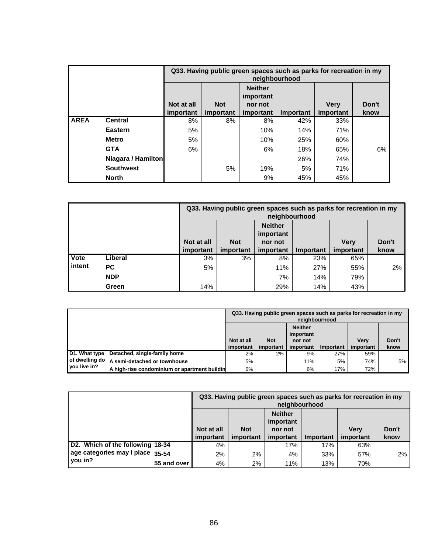|             |                                                                                                                                                                     |    |    | neighbourhood |     | Q33. Having public green spaces such as parks for recreation in my |    |  |  |
|-------------|---------------------------------------------------------------------------------------------------------------------------------------------------------------------|----|----|---------------|-----|--------------------------------------------------------------------|----|--|--|
|             | <b>Neither</b><br>important<br>Not at all<br><b>Not</b><br><b>Very</b><br>Don't<br>nor not<br>important<br>important<br>important<br>important<br>Important<br>know |    |    |               |     |                                                                    |    |  |  |
| <b>AREA</b> | <b>Central</b>                                                                                                                                                      | 8% | 8% | 8%            | 42% | 33%                                                                |    |  |  |
|             | Eastern                                                                                                                                                             | 5% |    | 10%           | 14% | 71%                                                                |    |  |  |
|             | <b>Metro</b>                                                                                                                                                        | 5% |    | 10%           | 25% | 60%                                                                |    |  |  |
|             | <b>GTA</b>                                                                                                                                                          | 6% |    | 6%            | 18% | 65%                                                                | 6% |  |  |
|             | Niagara / Hamilton                                                                                                                                                  |    |    |               | 26% | 74%                                                                |    |  |  |
|             | <b>Southwest</b>                                                                                                                                                    |    | 5% | 19%           | 5%  | 71%                                                                |    |  |  |
|             | <b>North</b>                                                                                                                                                        |    |    | 9%            | 45% | 45%                                                                |    |  |  |

|          |            |                             | Q33. Having public green spaces such as parks for recreation in my<br>neighbourhood |           |           |             |       |  |  |  |
|----------|------------|-----------------------------|-------------------------------------------------------------------------------------|-----------|-----------|-------------|-------|--|--|--|
|          |            | <b>Neither</b><br>important |                                                                                     |           |           |             |       |  |  |  |
|          |            | Not at all                  | <b>Not</b>                                                                          | nor not   |           | <b>Verv</b> | Don't |  |  |  |
|          |            | important                   | important                                                                           | important | Important | important   | know  |  |  |  |
| Vote     | Liberal    | 3%                          | 3%                                                                                  | 8%        | 23%       | 65%         |       |  |  |  |
| l intent | PC.        | 5%                          |                                                                                     | 11%       | 27%       | 55%         | 2%    |  |  |  |
|          | <b>NDP</b> |                             |                                                                                     | 7%        | 14%       | 79%         |       |  |  |  |
|          | Green      | 14%                         |                                                                                     | 29%       | 14%       | 43%         |       |  |  |  |

|                                  |                                              | Q33. Having public green spaces such as parks for recreation in my<br>neighbourhood |            |                             |           |             |       |  |
|----------------------------------|----------------------------------------------|-------------------------------------------------------------------------------------|------------|-----------------------------|-----------|-------------|-------|--|
|                                  |                                              |                                                                                     |            | <b>Neither</b><br>important |           |             |       |  |
|                                  |                                              | Not at all                                                                          | <b>Not</b> | nor not                     |           | <b>Verv</b> | Don't |  |
|                                  |                                              | important                                                                           | important  | important                   | Important | important   | know  |  |
| D1. What type                    | Detached, single-family home                 | 2%                                                                                  | 2%         | 9%                          | 27%       | 59%         |       |  |
| of dwelling do<br>I you live in? | A semi-detached or townhouse                 | 5%                                                                                  |            | <b>11%</b>                  | 5%        | 74%         | 5% l  |  |
|                                  | A high-rise condominium or apartment buildin | 6%                                                                                  |            | 6%                          | 17%       | 72%         |       |  |

|                                  |             |                                                                                                                                                                     | Q33. Having public green spaces such as parks for recreation in my<br>neighbourhood |     |     |     |    |  |  |  |
|----------------------------------|-------------|---------------------------------------------------------------------------------------------------------------------------------------------------------------------|-------------------------------------------------------------------------------------|-----|-----|-----|----|--|--|--|
|                                  |             | <b>Neither</b><br>important<br><b>Not</b><br>Not at all<br>Don't<br><b>Verv</b><br>nor not<br>know<br>important<br>important<br>important<br>important<br>Important |                                                                                     |     |     |     |    |  |  |  |
| D2. Which of the following 18-34 |             | 4%                                                                                                                                                                  |                                                                                     | 17% | 17% | 63% |    |  |  |  |
| age categories may I place 35-54 |             | 2%                                                                                                                                                                  | 2%                                                                                  | 4%  | 33% | 57% | 2% |  |  |  |
| vou in?                          | 55 and over | 4%                                                                                                                                                                  | $2\%$                                                                               | 11% | 13% | 70% |    |  |  |  |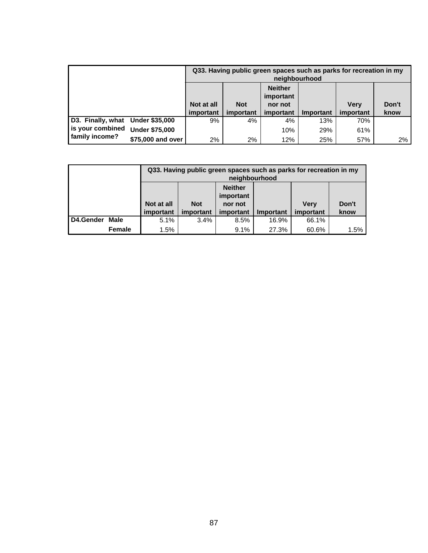|                                  |                       |                             | Q33. Having public green spaces such as parks for recreation in my<br>neighbourhood |           |           |             |       |  |  |  |  |
|----------------------------------|-----------------------|-----------------------------|-------------------------------------------------------------------------------------|-----------|-----------|-------------|-------|--|--|--|--|
|                                  |                       | <b>Neither</b><br>important |                                                                                     |           |           |             |       |  |  |  |  |
|                                  |                       | Not at all                  | <b>Not</b>                                                                          | nor not   |           | <b>Verv</b> | Don't |  |  |  |  |
|                                  |                       | important                   | important                                                                           | important | Important | important   | know  |  |  |  |  |
| D3. Finally, what Under \$35,000 |                       | 9%                          | 4%                                                                                  | 4%        | 13%       | 70%         |       |  |  |  |  |
| is your combined                 | <b>Under \$75,000</b> |                             |                                                                                     | 10%       | 29%       | 61%         |       |  |  |  |  |
| family income?                   | \$75,000 and over     | 2%                          | 2%                                                                                  | 12%       | 25%       | 57%         | 2%    |  |  |  |  |

|           |               |            | Q33. Having public green spaces such as parks for recreation in my<br>neighbourhood |           |           |             |         |  |  |  |  |
|-----------|---------------|------------|-------------------------------------------------------------------------------------|-----------|-----------|-------------|---------|--|--|--|--|
|           |               |            | <b>Neither</b><br>important                                                         |           |           |             |         |  |  |  |  |
|           |               | Not at all | <b>Not</b>                                                                          | nor not   |           | <b>Very</b> | Don't   |  |  |  |  |
|           |               | important  | important                                                                           | important | Important | important   | know    |  |  |  |  |
| D4.Gender | Male          | 5.1%       | 3.4%                                                                                | 8.5%      | 16.9%     | 66.1%       |         |  |  |  |  |
|           | <b>Female</b> | 1.5%       |                                                                                     | 9.1%      | 27.3%     | 60.6%       | $1.5\%$ |  |  |  |  |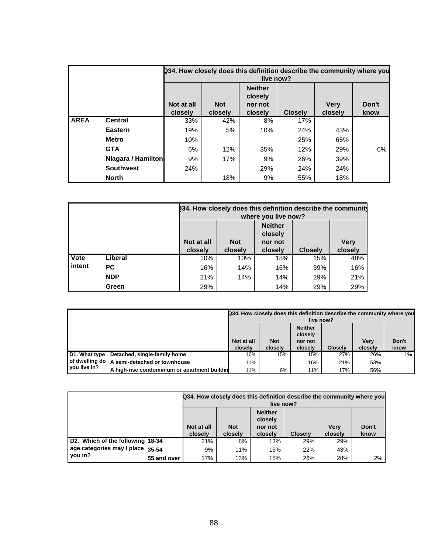|             |                    |                       |                       | live now?                                       |                | 234. How closely does this definition describe the community where you |               |
|-------------|--------------------|-----------------------|-----------------------|-------------------------------------------------|----------------|------------------------------------------------------------------------|---------------|
|             |                    | Not at all<br>closely | <b>Not</b><br>closely | <b>Neither</b><br>closely<br>nor not<br>closely | <b>Closely</b> | <b>Very</b><br>closely                                                 | Don't<br>know |
| <b>AREA</b> | <b>Central</b>     | 33%                   | 42%                   | 8%                                              | 17%            |                                                                        |               |
|             | Eastern            | 19%                   | 5%                    | 10%                                             | 24%            | 43%                                                                    |               |
|             | <b>Metro</b>       | 10%                   |                       |                                                 | 25%            | 65%                                                                    |               |
|             | <b>GTA</b>         | 6%                    | 12%                   | 35%                                             | 12%            | 29%                                                                    | 6%            |
|             | Niagara / Hamilton | 9%                    | 17%                   | 9%                                              | 26%            | 39%                                                                    |               |
|             | <b>Southwest</b>   | 24%                   |                       | 29%                                             | 24%            | 24%                                                                    |               |
|             | <b>North</b>       |                       | 18%                   | 9%                                              | 55%            | 18%                                                                    |               |

|        |            | 234. How closely does this definition describe the community<br>where you live now?                                                           |     |     |     |     |  |  |  |  |
|--------|------------|-----------------------------------------------------------------------------------------------------------------------------------------------|-----|-----|-----|-----|--|--|--|--|
|        |            | <b>Neither</b><br>closely<br>Not at all<br><b>Very</b><br><b>Not</b><br>nor not<br><b>Closely</b><br>closely<br>closely<br>closely<br>closely |     |     |     |     |  |  |  |  |
| Vote   | Liberal    | 10%                                                                                                                                           | 10% | 18% | 15% | 48% |  |  |  |  |
| intent | <b>PC</b>  | 16%                                                                                                                                           | 14% | 16% | 39% | 16% |  |  |  |  |
|        | <b>NDP</b> | 21%                                                                                                                                           | 14% | 14% | 29% | 21% |  |  |  |  |
|        | Green      | 29%                                                                                                                                           |     | 14% | 29% | 29% |  |  |  |  |

|               |                                              |                       |                       | live now?                                       |                | Q34. How closely does this definition describe the community where you |               |
|---------------|----------------------------------------------|-----------------------|-----------------------|-------------------------------------------------|----------------|------------------------------------------------------------------------|---------------|
|               |                                              | Not at all<br>closelv | <b>Not</b><br>closely | <b>Neither</b><br>closely<br>nor not<br>closely | <b>Closelv</b> | <b>Verv</b><br>closely                                                 | Don't<br>know |
| D1. What type | Detached, single-family home                 | 16%                   | 15%                   | 15%                                             | 27%            | 26%                                                                    | $1\%$         |
|               | of dwelling do A semi-detached or townhouse  | 11%                   |                       | 16%                                             | 21%            | 53%                                                                    |               |
| you live in?  | A high-rise condominium or apartment buildin | 11%                   | 6%                    | 11%                                             | 17%            | 56%                                                                    |               |

|                                  |             |                                                                                                                                                                | Q34. How closely does this definition describe the community where you<br>live now? |     |     |     |    |  |  |  |  |
|----------------------------------|-------------|----------------------------------------------------------------------------------------------------------------------------------------------------------------|-------------------------------------------------------------------------------------|-----|-----|-----|----|--|--|--|--|
|                                  |             | <b>Neither</b><br>closely<br><b>Not</b><br>Don't<br>Not at all<br><b>Verv</b><br>nor not<br>closely<br><b>Closelv</b><br>closely<br>closely<br>closely<br>know |                                                                                     |     |     |     |    |  |  |  |  |
| D2. Which of the following 18-34 |             | 21%                                                                                                                                                            | 8%                                                                                  | 13% | 29% | 29% |    |  |  |  |  |
| age categories may I place 35-54 |             | 9%                                                                                                                                                             | 11%                                                                                 | 15% | 22% | 43% |    |  |  |  |  |
| you in?                          | 55 and over | 17%                                                                                                                                                            | 13%                                                                                 | 15% | 26% | 28% | 2% |  |  |  |  |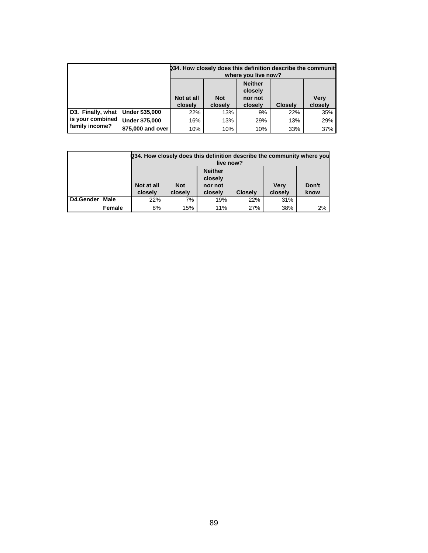|                   |                       |                                                                                                                                        |     | where you live now? | 034. How closely does this definition describe the community |     |  |  |
|-------------------|-----------------------|----------------------------------------------------------------------------------------------------------------------------------------|-----|---------------------|--------------------------------------------------------------|-----|--|--|
|                   |                       | <b>Neither</b><br>closely<br>Not at all<br>Very<br><b>Not</b><br>nor not<br>closely<br>closely<br><b>Closelv</b><br>closely<br>closely |     |                     |                                                              |     |  |  |
| D3. Finally, what | <b>Under \$35,000</b> | 22%                                                                                                                                    | 13% | 9%                  | 22%                                                          | 35% |  |  |
| is your combined  | <b>Under \$75,000</b> | 16%                                                                                                                                    | 13% | 29%                 | 13%                                                          | 29% |  |  |
| family income?    | \$75,000 and over     | 10%                                                                                                                                    | 10% | 10%                 | 33%                                                          | 37% |  |  |

|           |        |                                                                                                                                                         | Q34. How closely does this definition describe the community where you<br>live now? |     |     |     |    |  |  |  |  |  |
|-----------|--------|---------------------------------------------------------------------------------------------------------------------------------------------------------|-------------------------------------------------------------------------------------|-----|-----|-----|----|--|--|--|--|--|
|           |        | <b>Neither</b><br>closely<br>Don't<br>Not at all<br><b>Not</b><br>Verv<br>nor not<br>closelv<br>closelv<br>closely<br>closely<br><b>Closelv</b><br>know |                                                                                     |     |     |     |    |  |  |  |  |  |
| D4.Gender | Male   | 22%                                                                                                                                                     | 7%                                                                                  | 19% | 22% | 31% |    |  |  |  |  |  |
|           | Female | 8%                                                                                                                                                      | 15%                                                                                 | 11% | 27% | 38% | 2% |  |  |  |  |  |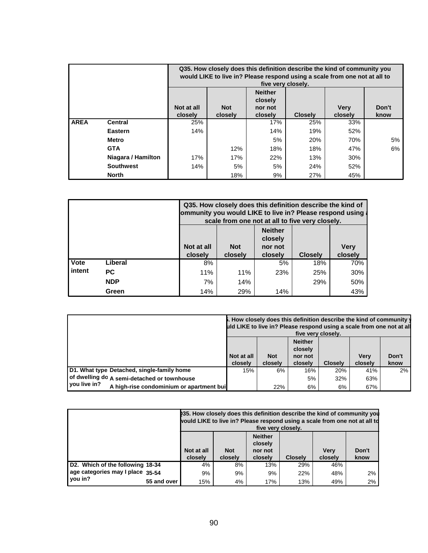|             |                    |                       | Q35. How closely does this definition describe the kind of community you<br>would LIKE to live in? Please respond using a scale from one not at all to<br>five very closely. |     |     |     |    |  |  |  |  |  |
|-------------|--------------------|-----------------------|------------------------------------------------------------------------------------------------------------------------------------------------------------------------------|-----|-----|-----|----|--|--|--|--|--|
|             |                    | Not at all<br>closely | <b>Neither</b><br>closely<br>Don't<br><b>Verv</b><br><b>Not</b><br>nor not<br><b>Closely</b><br>closely<br>closely<br>know<br>closely                                        |     |     |     |    |  |  |  |  |  |
| <b>AREA</b> | <b>Central</b>     | 25%                   |                                                                                                                                                                              | 17% | 25% | 33% |    |  |  |  |  |  |
|             | Eastern            | 14%                   |                                                                                                                                                                              | 14% | 19% | 52% |    |  |  |  |  |  |
|             | Metro              |                       |                                                                                                                                                                              | 5%  | 20% | 70% | 5% |  |  |  |  |  |
|             | <b>GTA</b>         |                       | 12%                                                                                                                                                                          | 18% | 18% | 47% | 6% |  |  |  |  |  |
|             | Niagara / Hamilton | 17%                   | 17%                                                                                                                                                                          | 22% | 13% | 30% |    |  |  |  |  |  |
|             | <b>Southwest</b>   | 14%                   | 5%<br>5%<br>24%<br>52%                                                                                                                                                       |     |     |     |    |  |  |  |  |  |
|             | <b>North</b>       |                       | 18%                                                                                                                                                                          | 9%  | 27% | 45% |    |  |  |  |  |  |

|             |            |                                                                                                                                               | Q35. How closely does this definition describe the kind of<br>ommunity you would LIKE to live in? Please respond using<br>scale from one not at all to five very closely. |     |     |     |  |  |  |  |  |  |
|-------------|------------|-----------------------------------------------------------------------------------------------------------------------------------------------|---------------------------------------------------------------------------------------------------------------------------------------------------------------------------|-----|-----|-----|--|--|--|--|--|--|
|             |            | <b>Neither</b><br>closely<br>Not at all<br><b>Not</b><br><b>Very</b><br>nor not<br><b>Closely</b><br>closely<br>closely<br>closely<br>closely |                                                                                                                                                                           |     |     |     |  |  |  |  |  |  |
| <b>Vote</b> | Liberal    | 8%                                                                                                                                            |                                                                                                                                                                           | 5%  | 18% | 70% |  |  |  |  |  |  |
| intent      | <b>PC</b>  | 11%                                                                                                                                           | 11%                                                                                                                                                                       | 23% | 25% | 30% |  |  |  |  |  |  |
|             | <b>NDP</b> | 7%<br>14%<br>50%<br>29%                                                                                                                       |                                                                                                                                                                           |     |     |     |  |  |  |  |  |  |
|             | Green      | 14%                                                                                                                                           | 29%                                                                                                                                                                       | 14% |     | 43% |  |  |  |  |  |  |

|                                                           |                                                                                                                                                                |     | five very closely. |     | <b>5.</b> How closely does this definition describe the kind of community y<br>uld LIKE to live in? Please respond using a scale from one not at all |    |  |
|-----------------------------------------------------------|----------------------------------------------------------------------------------------------------------------------------------------------------------------|-----|--------------------|-----|------------------------------------------------------------------------------------------------------------------------------------------------------|----|--|
|                                                           | <b>Neither</b><br>closely<br>Not at all<br>Don't<br><b>Not</b><br><b>Verv</b><br>nor not<br><b>Closelv</b><br>closely<br>closely<br>closely<br>closely<br>know |     |                    |     |                                                                                                                                                      |    |  |
| D1. What type Detached, single-family home                | 15%                                                                                                                                                            | 6%  | 16%                | 20% | 41%                                                                                                                                                  | 2% |  |
| of dwelling do A semi-detached or townhouse               |                                                                                                                                                                |     | 5%                 | 32% | 63%                                                                                                                                                  |    |  |
| vou live in?<br>A high-rise condominium or apartment buil |                                                                                                                                                                | 22% | 6%                 | 6%  | 67%                                                                                                                                                  |    |  |

|                                  |             |                                                                                                                                                                | 235. How closely does this definition describe the kind of community you<br>would LIKE to live in? Please respond using a scale from one not at all to<br>five very closely. |     |     |     |    |  |  |  |
|----------------------------------|-------------|----------------------------------------------------------------------------------------------------------------------------------------------------------------|------------------------------------------------------------------------------------------------------------------------------------------------------------------------------|-----|-----|-----|----|--|--|--|
|                                  |             | <b>Neither</b><br>closely<br>Don't<br><b>Not</b><br><b>Verv</b><br>Not at all<br>nor not<br>closely<br><b>Closelv</b><br>closely<br>closely<br>closely<br>know |                                                                                                                                                                              |     |     |     |    |  |  |  |
| D2. Which of the following 18-34 |             | 4%                                                                                                                                                             | 8%                                                                                                                                                                           | 13% | 29% | 46% |    |  |  |  |
| age categories may I place 35-54 |             | 9%                                                                                                                                                             | 9%                                                                                                                                                                           | 9%  | 22% | 48% | 2% |  |  |  |
| you in?                          | 55 and over | 15%                                                                                                                                                            | 4%                                                                                                                                                                           | 17% | 13% | 49% | 2% |  |  |  |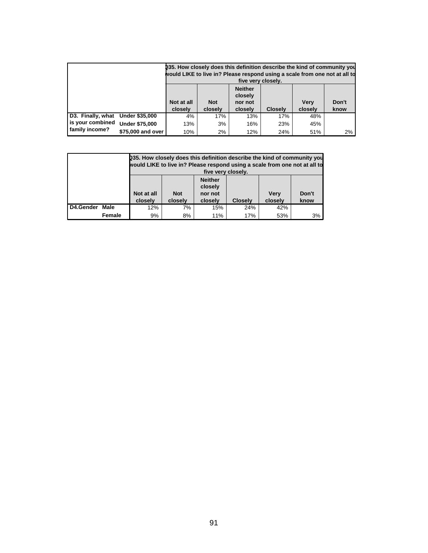|                                  |                       | 035. How closely does this definition describe the kind of community you<br>would LIKE to live in? Please respond using a scale from one not at all to         |     | five very closely. |     |     |    |  |
|----------------------------------|-----------------------|----------------------------------------------------------------------------------------------------------------------------------------------------------------|-----|--------------------|-----|-----|----|--|
|                                  |                       | <b>Neither</b><br>closely<br>Don't<br>Not at all<br><b>Verv</b><br><b>Not</b><br>nor not<br><b>Closelv</b><br>closely<br>closely<br>closely<br>closely<br>know |     |                    |     |     |    |  |
| D3. Finally, what Under \$35,000 |                       | 4%                                                                                                                                                             | 17% | 13%                | 17% | 48% |    |  |
| is your combined                 | <b>Under \$75,000</b> | 13%                                                                                                                                                            | 3%  | 16%                | 23% | 45% |    |  |
| family income?                   | \$75,000 and over     | 10%                                                                                                                                                            | 2%  | 12%                | 24% | 51% | 2% |  |

|           |        |                                                                                                                                                                | 235. How closely does this definition describe the kind of community you<br>would LIKE to live in? Please respond using a scale from one not at all to<br>five very closely. |     |     |     |    |  |  |  |  |
|-----------|--------|----------------------------------------------------------------------------------------------------------------------------------------------------------------|------------------------------------------------------------------------------------------------------------------------------------------------------------------------------|-----|-----|-----|----|--|--|--|--|
|           |        | <b>Neither</b><br>closely<br>Not at all<br>Don't<br><b>Not</b><br><b>Very</b><br>nor not<br>closely<br>closely<br>closely<br><b>Closely</b><br>closely<br>know |                                                                                                                                                                              |     |     |     |    |  |  |  |  |
| D4.Gender | Male   | 12%                                                                                                                                                            | 7%                                                                                                                                                                           | 15% | 24% | 42% |    |  |  |  |  |
|           | Female | 9%                                                                                                                                                             | 8%                                                                                                                                                                           | 11% | 17% | 53% | 3% |  |  |  |  |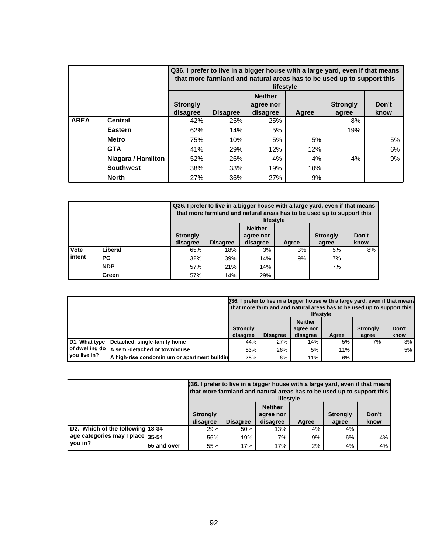|             |                    |                             | Q36. I prefer to live in a bigger house with a large yard, even if that means<br>that more farmland and natural areas has to be used up to support this<br>lifestyle |     |     |     |    |  |  |  |  |  |  |
|-------------|--------------------|-----------------------------|----------------------------------------------------------------------------------------------------------------------------------------------------------------------|-----|-----|-----|----|--|--|--|--|--|--|
|             |                    | <b>Strongly</b><br>disagree | <b>Neither</b><br>Don't<br><b>Strongly</b><br>agree nor<br><b>Disagree</b><br>disagree<br>know<br>Agree<br>agree                                                     |     |     |     |    |  |  |  |  |  |  |
| <b>AREA</b> | <b>Central</b>     | 42%                         | 25%                                                                                                                                                                  | 25% |     | 8%  |    |  |  |  |  |  |  |
|             | Eastern            | 62%                         | 14%                                                                                                                                                                  | 5%  |     | 19% |    |  |  |  |  |  |  |
|             | <b>Metro</b>       | 75%                         | 10%                                                                                                                                                                  | 5%  | 5%  |     | 5% |  |  |  |  |  |  |
|             | <b>GTA</b>         | 41%                         | 29%                                                                                                                                                                  | 12% | 12% |     | 6% |  |  |  |  |  |  |
|             | Niagara / Hamilton | 52%                         | 26%                                                                                                                                                                  | 4%  | 4%  | 4%  | 9% |  |  |  |  |  |  |
|             | <b>Southwest</b>   | 38%<br>33%<br>19%<br>10%    |                                                                                                                                                                      |     |     |     |    |  |  |  |  |  |  |
|             | <b>North</b>       | 27%                         | 36%                                                                                                                                                                  | 27% | 9%  |     |    |  |  |  |  |  |  |

|          |            |                                                                                                                                                 | Q36. I prefer to live in a bigger house with a large yard, even if that means<br>that more farmland and natural areas has to be used up to support this<br>lifestyle |     |    |    |    |  |  |  |  |  |
|----------|------------|-------------------------------------------------------------------------------------------------------------------------------------------------|----------------------------------------------------------------------------------------------------------------------------------------------------------------------|-----|----|----|----|--|--|--|--|--|
|          |            | <b>Neither</b><br>Don't<br><b>Strongly</b><br><b>Strongly</b><br>agree nor<br><b>Disagree</b><br>disagree<br>disagree<br>know<br>Agree<br>agree |                                                                                                                                                                      |     |    |    |    |  |  |  |  |  |
| l Vote   | Liberal    | 65%                                                                                                                                             | 18%                                                                                                                                                                  | 3%  | 3% | 5% | 8% |  |  |  |  |  |
| I intent | PC.        | 32%                                                                                                                                             | 39%                                                                                                                                                                  | 14% | 9% | 7% |    |  |  |  |  |  |
|          | <b>NDP</b> | 57%                                                                                                                                             | 21%                                                                                                                                                                  | 14% |    | 7% |    |  |  |  |  |  |
|          | Green      | 57%                                                                                                                                             | 14%                                                                                                                                                                  | 29% |    |    |    |  |  |  |  |  |

|                |                                              | 236. I prefer to live in a bigger house with a large yard, even if that means<br>that more farmland and natural areas has to be used up to support this<br>lifestyle |                 |                                         |       |                          |               |  |  |
|----------------|----------------------------------------------|----------------------------------------------------------------------------------------------------------------------------------------------------------------------|-----------------|-----------------------------------------|-------|--------------------------|---------------|--|--|
|                |                                              | <b>Strongly</b><br>disagree                                                                                                                                          | <b>Disagree</b> | <b>Neither</b><br>agree nor<br>disagree | Agree | <b>Strongly</b><br>agree | Don't<br>know |  |  |
| D1. What type  | Detached, single-family home                 | 44%                                                                                                                                                                  | 27%             | 14%                                     | 5%    | 7%                       | 3%            |  |  |
| of dwelling do | A semi-detached or townhouse                 | 53%                                                                                                                                                                  | 26%             | 5%                                      | 11%   |                          | 5%            |  |  |
| you live in?   | A high-rise condominium or apartment buildin | 78%                                                                                                                                                                  | 6%              | 11%                                     | 6%    |                          |               |  |  |

|                                                                                                                                |             | 236. I prefer to live in a bigger house with a large yard, even if that means<br>that more farmland and natural areas has to be used up to support this<br>lifestyle |     |     |    |    |               |  |  |
|--------------------------------------------------------------------------------------------------------------------------------|-------------|----------------------------------------------------------------------------------------------------------------------------------------------------------------------|-----|-----|----|----|---------------|--|--|
| <b>Neither</b><br><b>Strongly</b><br><b>Strongly</b><br>agree nor<br><b>Disagree</b><br>disagree<br>disagree<br>Agree<br>agree |             |                                                                                                                                                                      |     |     |    |    | Don't<br>know |  |  |
| D2. Which of the following 18-34                                                                                               |             | 29%                                                                                                                                                                  | 50% | 13% | 4% | 4% |               |  |  |
| age categories may I place 35-54                                                                                               |             | 56%                                                                                                                                                                  | 19% | 7%  | 9% | 6% | 4%            |  |  |
| vou in?                                                                                                                        | 55 and over | 55%                                                                                                                                                                  | 17% | 17% | 2% | 4% | 4%            |  |  |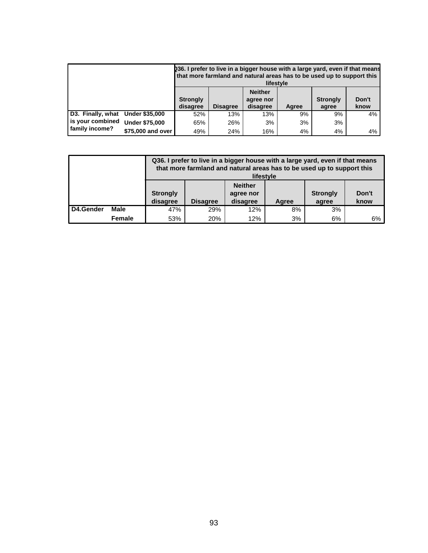|                   |                       |                             |                                                                                                                  | 036. I prefer to live in a bigger house with a large yard, even if that means<br>that more farmland and natural areas has to be used up to support this<br>lifestyle |    |    |    |  |  |
|-------------------|-----------------------|-----------------------------|------------------------------------------------------------------------------------------------------------------|----------------------------------------------------------------------------------------------------------------------------------------------------------------------|----|----|----|--|--|
|                   |                       | <b>Strongly</b><br>disagree | <b>Neither</b><br>Don't<br><b>Strongly</b><br>agree nor<br><b>Disagree</b><br>disagree<br>know<br>Agree<br>agree |                                                                                                                                                                      |    |    |    |  |  |
| D3. Finally, what | <b>Under \$35,000</b> | 52%                         | 13%                                                                                                              | 13%                                                                                                                                                                  | 9% | 9% | 4% |  |  |
| is your combined  | <b>Under \$75,000</b> | 65%                         | 26%                                                                                                              | 3%                                                                                                                                                                   | 3% | 3% |    |  |  |
| family income?    | \$75,000 and over     | 49%                         | 24%                                                                                                              | 16%                                                                                                                                                                  | 4% | 4% | 4% |  |  |

|           |             |                             |                 | Q36. I prefer to live in a bigger house with a large yard, even if that means<br>that more farmland and natural areas has to be used up to support this<br>lifestyle |       |                          |               |
|-----------|-------------|-----------------------------|-----------------|----------------------------------------------------------------------------------------------------------------------------------------------------------------------|-------|--------------------------|---------------|
|           |             | <b>Strongly</b><br>disagree | <b>Disagree</b> | <b>Neither</b><br>agree nor<br>disagree                                                                                                                              | Agree | <b>Strongly</b><br>agree | Don't<br>know |
| D4.Gender | <b>Male</b> | 47%                         | 29%             | 12%                                                                                                                                                                  | 8%    | 3%                       |               |
|           | Female      | 53%                         | 20%             | 12%                                                                                                                                                                  | 3%    | 6%                       | 6%            |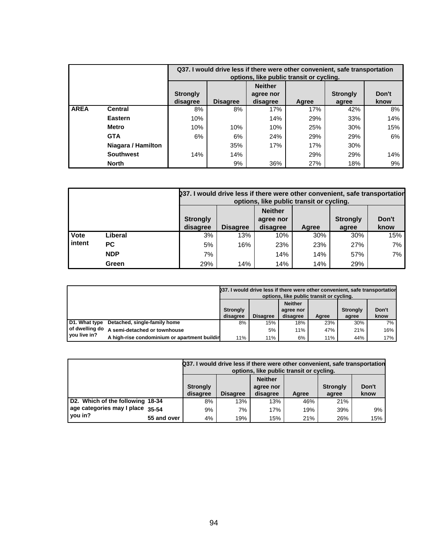|             |                    |                                 |                 | Q37. I would drive less if there were other convenient, safe transportation<br>options, like public transit or cycling. |       |                          |               |  |  |  |  |
|-------------|--------------------|---------------------------------|-----------------|-------------------------------------------------------------------------------------------------------------------------|-------|--------------------------|---------------|--|--|--|--|
|             |                    | <b>Strongly</b><br>disagree     | <b>Disagree</b> | <b>Neither</b><br>agree nor<br>disagree                                                                                 | Agree | <b>Strongly</b><br>agree | Don't<br>know |  |  |  |  |
| <b>AREA</b> | <b>Central</b>     | 8%                              | 8%              | 17%                                                                                                                     | 17%   | 42%                      | 8%            |  |  |  |  |
|             | <b>Eastern</b>     | 10%                             |                 | 14%                                                                                                                     | 29%   | 33%                      | 14%           |  |  |  |  |
|             | <b>Metro</b>       | 10%                             | 10%             | 10%                                                                                                                     | 25%   | 30%                      | 15%           |  |  |  |  |
|             | <b>GTA</b>         | 6%                              | 6%              | 24%                                                                                                                     | 29%   | 29%                      | 6%            |  |  |  |  |
|             | Niagara / Hamilton | 35%<br>17%<br>17%<br>30%        |                 |                                                                                                                         |       |                          |               |  |  |  |  |
|             | <b>Southwest</b>   | 14%<br>14%<br>29%<br>14%<br>29% |                 |                                                                                                                         |       |                          |               |  |  |  |  |
|             | <b>North</b>       |                                 | 9%              | 36%                                                                                                                     | 27%   | 18%                      | 9%            |  |  |  |  |

|             |            | 237. I would drive less if there were other convenient, safe transportation<br>options, like public transit or cycling.                         |     |     |     |     |     |  |  |  |  |
|-------------|------------|-------------------------------------------------------------------------------------------------------------------------------------------------|-----|-----|-----|-----|-----|--|--|--|--|
|             |            | <b>Neither</b><br>Don't<br><b>Strongly</b><br><b>Strongly</b><br>agree nor<br>disagree<br><b>Disagree</b><br>know<br>disagree<br>Agree<br>agree |     |     |     |     |     |  |  |  |  |
| <b>Vote</b> | Liberal    | 3%                                                                                                                                              | 13% | 10% | 30% | 30% | 15% |  |  |  |  |
| intent      | PC.        | 5%                                                                                                                                              | 16% | 23% | 23% | 27% | 7%  |  |  |  |  |
|             | <b>NDP</b> | 7%                                                                                                                                              |     | 14% | 14% | 57% | 7%  |  |  |  |  |
|             | Green      | 29%                                                                                                                                             | 14% | 14% | 14% | 29% |     |  |  |  |  |

|               |                                              |                 |                 | options, like public transit or cycling. |       | 037. I would drive less if there were other convenient, safe transportation |       |
|---------------|----------------------------------------------|-----------------|-----------------|------------------------------------------|-------|-----------------------------------------------------------------------------|-------|
|               |                                              | <b>Strongly</b> |                 | <b>Neither</b><br>agree nor              |       | <b>Strongly</b>                                                             | Don't |
|               |                                              | disagree        | <b>Disagree</b> | disagree                                 | Agree | agree                                                                       | know  |
| D1. What type | Detached, single-family home                 | 8%              | 15%             | 18%                                      | 23%   | 30%                                                                         | 7%    |
|               | of dwelling do A semi-detached or townhouse  |                 | 5%              | 11%                                      | 47%   | 21%                                                                         | 16%   |
| vou live in?  | A high-rise condominium or apartment buildir | 11%             | 11%             | 6%                                       | 11%   | 44%                                                                         | 17%   |

|                                  |             |                                                                                                                                                 |     | Q37. I would drive less if there were other convenient, safe transportation<br>options, like public transit or cycling. |     |     |     |  |  |
|----------------------------------|-------------|-------------------------------------------------------------------------------------------------------------------------------------------------|-----|-------------------------------------------------------------------------------------------------------------------------|-----|-----|-----|--|--|
|                                  |             | <b>Neither</b><br>Don't<br><b>Strongly</b><br><b>Strongly</b><br>agree nor<br><b>Disagree</b><br>disagree<br>disagree<br>know<br>Aaree<br>agree |     |                                                                                                                         |     |     |     |  |  |
| D2. Which of the following 18-34 |             | 8%                                                                                                                                              | 13% | 13%                                                                                                                     | 46% | 21% |     |  |  |
| age categories may I place 35-54 |             | 9%                                                                                                                                              | 7%  | 17%                                                                                                                     | 19% | 39% | 9%  |  |  |
| you in?                          | 55 and over | 4%                                                                                                                                              | 19% | 15%                                                                                                                     | 21% | 26% | 15% |  |  |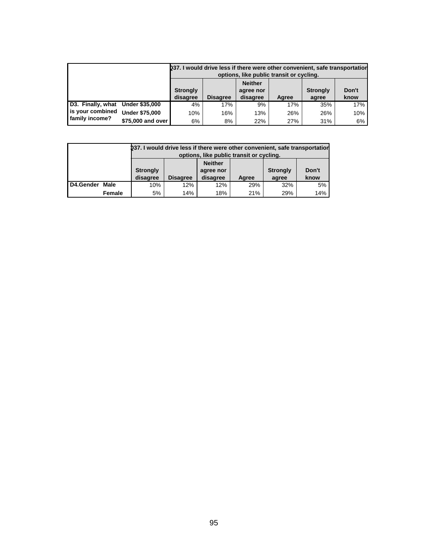|                                  |                       |                                                                                                                                                 |     | 237. I would drive less if there were other convenient, safe transportation<br>options, like public transit or cycling. |     |     |     |  |
|----------------------------------|-----------------------|-------------------------------------------------------------------------------------------------------------------------------------------------|-----|-------------------------------------------------------------------------------------------------------------------------|-----|-----|-----|--|
|                                  |                       | <b>Neither</b><br>Don't<br><b>Strongly</b><br><b>Strongly</b><br>agree nor<br><b>Disagree</b><br>disagree<br>disagree<br>know<br>Aaree<br>agree |     |                                                                                                                         |     |     |     |  |
| D3. Finally, what Under \$35,000 |                       | 4%                                                                                                                                              | 17% | 9%                                                                                                                      | 17% | 35% | 17% |  |
| is your combined                 | <b>Under \$75,000</b> | 10%                                                                                                                                             | 16% | 13%                                                                                                                     | 26% | 26% | 10% |  |
| family income?                   | \$75,000 and over     | 6%                                                                                                                                              | 8%  | 22%                                                                                                                     | 27% | 31% | 6%  |  |

|           |        | 037. I would drive less if there were other convenient, safe transportation                                                                     |     | options, like public transit or cycling. |     |     |     |  |  |  |  |
|-----------|--------|-------------------------------------------------------------------------------------------------------------------------------------------------|-----|------------------------------------------|-----|-----|-----|--|--|--|--|
|           |        | <b>Neither</b><br><b>Strongly</b><br>Don't<br><b>Strongly</b><br>agree nor<br><b>Disagree</b><br>disagree<br>disagree<br>know<br>Agree<br>agree |     |                                          |     |     |     |  |  |  |  |
| D4.Gender | Male   | 10%<br>12%<br>12%<br>29%<br>32%                                                                                                                 |     |                                          |     |     |     |  |  |  |  |
|           | Female | 5%                                                                                                                                              | 14% | 18%                                      | 21% | 29% | 14% |  |  |  |  |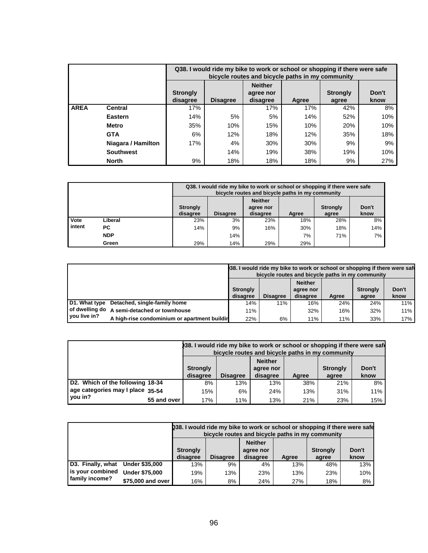|             |                    |                               |                                                                                                                  |     | Q38. I would ride my bike to work or school or shopping if there were safe<br>bicycle routes and bicycle paths in my community |     |     |  |  |  |  |  |  |
|-------------|--------------------|-------------------------------|------------------------------------------------------------------------------------------------------------------|-----|--------------------------------------------------------------------------------------------------------------------------------|-----|-----|--|--|--|--|--|--|
|             |                    | <b>Strongly</b><br>disagree   | <b>Neither</b><br>Don't<br><b>Strongly</b><br>agree nor<br><b>Disagree</b><br>disagree<br>know<br>Agree<br>agree |     |                                                                                                                                |     |     |  |  |  |  |  |  |
| <b>AREA</b> | Central            | 17%                           |                                                                                                                  | 17% | 17%                                                                                                                            | 42% | 8%  |  |  |  |  |  |  |
|             | Eastern            | 14%                           | 5%                                                                                                               | 5%  | 14%                                                                                                                            | 52% | 10% |  |  |  |  |  |  |
|             | <b>Metro</b>       | 35%                           | 10%                                                                                                              | 15% | 10%                                                                                                                            | 20% | 10% |  |  |  |  |  |  |
|             | <b>GTA</b>         | 6%                            | 12%                                                                                                              | 18% | 12%                                                                                                                            | 35% | 18% |  |  |  |  |  |  |
|             | Niagara / Hamilton | 4%<br>9%<br>17%<br>30%<br>30% |                                                                                                                  |     |                                                                                                                                |     |     |  |  |  |  |  |  |
|             | <b>Southwest</b>   |                               | 19%<br>38%<br>14%<br>19%<br>10%                                                                                  |     |                                                                                                                                |     |     |  |  |  |  |  |  |
|             | <b>North</b>       | 9%                            | 18%                                                                                                              | 18% | 18%                                                                                                                            | 9%  | 27% |  |  |  |  |  |  |

|                                |         |                             | Q38. I would ride my bike to work or school or shopping if there were safe<br>bicycle routes and bicycle paths in my community |     |     |     |     |  |  |  |  |
|--------------------------------|---------|-----------------------------|--------------------------------------------------------------------------------------------------------------------------------|-----|-----|-----|-----|--|--|--|--|
|                                |         | <b>Strongly</b><br>disagree | <b>Neither</b><br>Don't<br><b>Strongly</b><br>agree nor<br><b>Disagree</b><br>know<br>disagree<br>Agree<br>agree               |     |     |     |     |  |  |  |  |
| l Vote                         | Liberal | 23%                         | 3%                                                                                                                             | 23% | 18% | 28% | 8%  |  |  |  |  |
| l intent                       | РC      | 14%                         | 9%                                                                                                                             | 16% | 30% | 18% | 14% |  |  |  |  |
| <b>NDP</b><br>7%<br>71%<br>14% |         |                             |                                                                                                                                |     |     |     |     |  |  |  |  |
|                                | Green   | 29%                         | 14%                                                                                                                            | 29% | 29% |     |     |  |  |  |  |

|              |                                               |                                                                                                                                                 |     |     |     | 38. I would ride my bike to work or school or shopping if there were safe<br>bicycle routes and bicycle paths in my community |     |  |  |
|--------------|-----------------------------------------------|-------------------------------------------------------------------------------------------------------------------------------------------------|-----|-----|-----|-------------------------------------------------------------------------------------------------------------------------------|-----|--|--|
|              |                                               | <b>Neither</b><br>Don't<br><b>Strongly</b><br><b>Strongly</b><br>agree nor<br><b>Disagree</b><br>disagree<br>disagree<br>Agree<br>know<br>agree |     |     |     |                                                                                                                               |     |  |  |
|              | D1. What type Detached, single-family home    | 14%                                                                                                                                             | 11% | 16% | 24% | 24%                                                                                                                           | 11% |  |  |
|              | ( of dwelling do A semi-detached or townhouse | 11%                                                                                                                                             |     | 32% | 16% | 32%                                                                                                                           | 11% |  |  |
| vou live in? | A high-rise condominium or apartment buildir  | 22%                                                                                                                                             | 6%  | 11% | 11% | 33%                                                                                                                           | 17% |  |  |

|                                  |             |                                                                                                                                                 | 38. I would ride my bike to work or school or shopping if there were safe<br>bicycle routes and bicycle paths in my community |     |     |     |     |  |  |  |
|----------------------------------|-------------|-------------------------------------------------------------------------------------------------------------------------------------------------|-------------------------------------------------------------------------------------------------------------------------------|-----|-----|-----|-----|--|--|--|
|                                  |             | <b>Neither</b><br>Don't<br><b>Strongly</b><br><b>Strongly</b><br>agree nor<br><b>Disagree</b><br>disagree<br>know<br>disagree<br>Agree<br>agree |                                                                                                                               |     |     |     |     |  |  |  |
| D2. Which of the following 18-34 |             | 8%                                                                                                                                              | 13%                                                                                                                           | 13% | 38% | 21% | 8%  |  |  |  |
| age categories may I place 35-54 |             | 15%                                                                                                                                             | 6%                                                                                                                            | 24% | 13% | 31% | 11% |  |  |  |
| you in?                          | 55 and over | 17%                                                                                                                                             | 11%                                                                                                                           | 13% | 21% | 23% | 15% |  |  |  |

|                                    |                       | 238. I would ride my bike to work or school or shopping if there were safe<br>bicycle routes and bicycle paths in my community |                 |                             |       |                 |       |
|------------------------------------|-----------------------|--------------------------------------------------------------------------------------------------------------------------------|-----------------|-----------------------------|-------|-----------------|-------|
|                                    |                       | <b>Strongly</b>                                                                                                                |                 | <b>Neither</b><br>agree nor |       | <b>Strongly</b> | Don't |
|                                    |                       | disagree                                                                                                                       | <b>Disagree</b> | disagree                    | Aaree | agree           | know  |
| D3. Finally, what                  | <b>Under \$35,000</b> | 13%                                                                                                                            | 9%              | 4%                          | 13%   | 48%             | 13%   |
| is your combined<br>family income? |                       |                                                                                                                                |                 |                             |       |                 |       |
|                                    | <b>Under \$75,000</b> | 19%                                                                                                                            | 13%             | 23%                         | 13%   | 23%             | 10%   |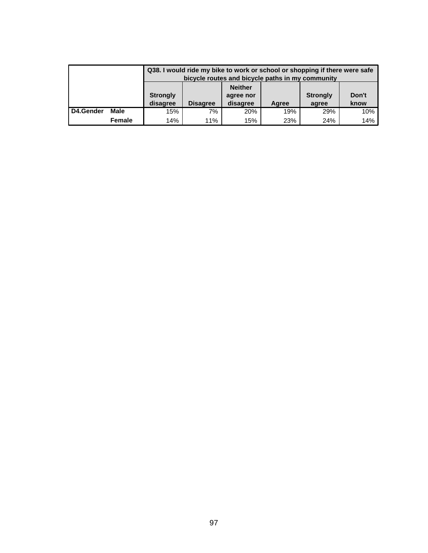|           |             |                             | Q38. I would ride my bike to work or school or shopping if there were safe<br>bicycle routes and bicycle paths in my community |                                         |       |                          |               |  |  |
|-----------|-------------|-----------------------------|--------------------------------------------------------------------------------------------------------------------------------|-----------------------------------------|-------|--------------------------|---------------|--|--|
|           |             | <b>Strongly</b><br>disagree | <b>Disagree</b>                                                                                                                | <b>Neither</b><br>agree nor<br>disagree | Agree | <b>Strongly</b><br>agree | Don't<br>know |  |  |
| D4.Gender | <b>Male</b> | 15%                         | 7%                                                                                                                             | 20%                                     | 19%   | 29%                      | 10%           |  |  |
|           | Female      | 14%                         | 11%                                                                                                                            | 15%                                     | 23%   | 24%                      | 14%           |  |  |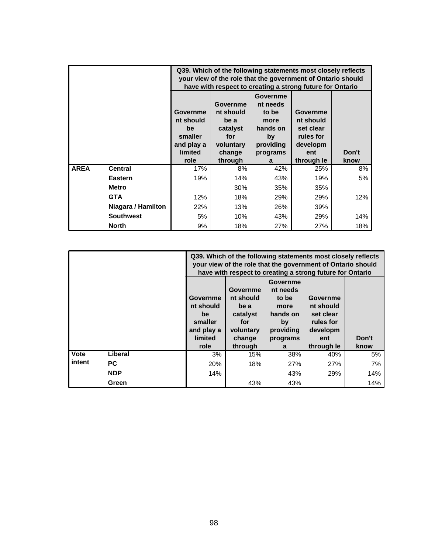|             |                    |                                                                        | Q39. Which of the following statements most closely reflects<br>your view of the role that the government of Ontario should<br>have with respect to creating a strong future for Ontario |                                                                                  |                                                                    |       |  |  |  |
|-------------|--------------------|------------------------------------------------------------------------|------------------------------------------------------------------------------------------------------------------------------------------------------------------------------------------|----------------------------------------------------------------------------------|--------------------------------------------------------------------|-------|--|--|--|
|             |                    | Governme<br>nt should<br>be<br>smaller<br>and play a<br><b>limited</b> | <b>Governme</b><br>nt should<br>be a<br>catalyst<br>for<br>voluntary<br>change                                                                                                           | Governme<br>nt needs<br>to be<br>more<br>hands on<br>by<br>providing<br>programs | Governme<br>nt should<br>set clear<br>rules for<br>developm<br>ent | Don't |  |  |  |
|             |                    | role                                                                   | through                                                                                                                                                                                  | a                                                                                | through le                                                         | know  |  |  |  |
| <b>AREA</b> | <b>Central</b>     | 17%                                                                    | 8%                                                                                                                                                                                       | 42%                                                                              | 25%                                                                | 8%    |  |  |  |
|             | <b>Eastern</b>     | 19%                                                                    | 14%                                                                                                                                                                                      | 43%                                                                              | 19%                                                                | 5%    |  |  |  |
|             | <b>Metro</b>       |                                                                        | 30%                                                                                                                                                                                      | 35%                                                                              | 35%                                                                |       |  |  |  |
|             | <b>GTA</b>         | 12%                                                                    | 18%                                                                                                                                                                                      | 29%                                                                              | 29%                                                                | 12%   |  |  |  |
|             | Niagara / Hamilton | 22%                                                                    | 13%                                                                                                                                                                                      | 26%                                                                              | 39%                                                                |       |  |  |  |
|             | <b>Southwest</b>   | 5%                                                                     | 10%                                                                                                                                                                                      | 43%                                                                              | 29%                                                                | 14%   |  |  |  |
|             | <b>North</b>       | 9%                                                                     | 18%                                                                                                                                                                                      | 27%                                                                              | 27%                                                                | 18%   |  |  |  |

|             |            |                                                                                                                                                                                                                                                                                                                                                                    | Q39. Which of the following statements most closely reflects<br>your view of the role that the government of Ontario should<br>have with respect to creating a strong future for Ontario |     |     |     |  |  |  |
|-------------|------------|--------------------------------------------------------------------------------------------------------------------------------------------------------------------------------------------------------------------------------------------------------------------------------------------------------------------------------------------------------------------|------------------------------------------------------------------------------------------------------------------------------------------------------------------------------------------|-----|-----|-----|--|--|--|
|             |            | Governme<br>Governme<br>nt needs<br>nt should<br>to be<br><b>Governme</b><br>Governme<br>nt should<br>nt should<br>be a<br>more<br>catalyst<br>hands on<br>set clear<br>be<br>smaller<br>rules for<br>for<br>by<br>and play a<br>voluntary<br>providing<br>developm<br>limited<br>Don't<br>change<br>ent<br>programs<br>role<br>through<br>through le<br>know<br>a |                                                                                                                                                                                          |     |     |     |  |  |  |
| <b>Vote</b> | Liberal    | 3%                                                                                                                                                                                                                                                                                                                                                                 | 15%                                                                                                                                                                                      | 38% | 40% | 5%  |  |  |  |
| intent      | <b>PC</b>  | 20%                                                                                                                                                                                                                                                                                                                                                                | 18%                                                                                                                                                                                      | 27% | 27% | 7%  |  |  |  |
|             | <b>NDP</b> | 14%<br>14%<br>43%<br>29%                                                                                                                                                                                                                                                                                                                                           |                                                                                                                                                                                          |     |     |     |  |  |  |
|             | Green      |                                                                                                                                                                                                                                                                                                                                                                    | 43%                                                                                                                                                                                      | 43% |     | 14% |  |  |  |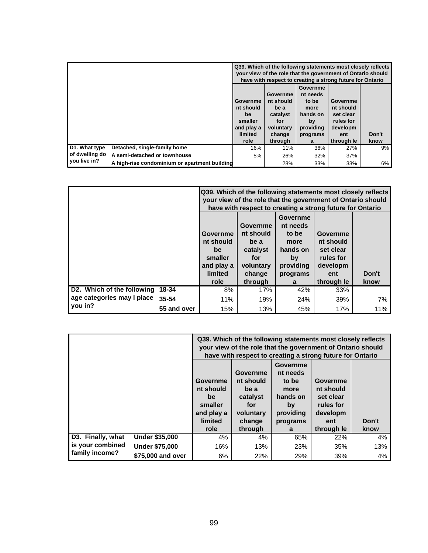|                |                                               | Q39. Which of the following statements most closely reflects<br>your view of the role that the government of Ontario should<br>have with respect to creating a strong future for Ontario |                                                                                    |                                                                                       |                                                                                  |               |  |
|----------------|-----------------------------------------------|------------------------------------------------------------------------------------------------------------------------------------------------------------------------------------------|------------------------------------------------------------------------------------|---------------------------------------------------------------------------------------|----------------------------------------------------------------------------------|---------------|--|
|                |                                               | Governme<br>nt should<br>be<br>smaller<br>and play a<br>limited<br>role                                                                                                                  | Governme<br>nt should<br>be a<br>catalyst<br>for<br>voluntary<br>change<br>through | Governme<br>nt needs<br>to be<br>more<br>hands on<br>by<br>providing<br>programs<br>a | Governme<br>nt should<br>set clear<br>rules for<br>developm<br>ent<br>through le | Don't<br>know |  |
| D1. What type  | Detached, single-family home                  | 16%                                                                                                                                                                                      | 11%                                                                                | 36%                                                                                   | 27%                                                                              | 9%            |  |
| of dwelling do | A semi-detached or townhouse                  | 5%                                                                                                                                                                                       | 26%                                                                                | 32%                                                                                   | 37%                                                                              |               |  |
| you live in?   | A high-rise condominium or apartment building |                                                                                                                                                                                          | 28%                                                                                | 33%                                                                                   | 33%                                                                              | 6%            |  |

|                                  |             | Q39. Which of the following statements most closely reflects<br>your view of the role that the government of Ontario should<br>have with respect to creating a strong future for Ontario                                                                                                                             |         |     |            |      |  |  |
|----------------------------------|-------------|----------------------------------------------------------------------------------------------------------------------------------------------------------------------------------------------------------------------------------------------------------------------------------------------------------------------|---------|-----|------------|------|--|--|
|                                  |             | Governme<br>Governme<br>nt needs<br>nt should<br>to be<br>Governme<br><b>Governme</b><br>nt should<br>nt should<br>be a<br>more<br>hands on<br>catalyst<br>set clear<br>be<br>smaller<br>for<br>rules for<br>by<br>and play a<br>developm<br>voluntary<br>providing<br>limited<br>Don't<br>change<br>programs<br>ent |         |     |            |      |  |  |
|                                  |             | role                                                                                                                                                                                                                                                                                                                 | through | a   | through le | know |  |  |
| D2. Which of the following 18-34 |             | 8%                                                                                                                                                                                                                                                                                                                   | 17%     | 42% | 33%        |      |  |  |
| age categories may I place       | 35-54       | 11%                                                                                                                                                                                                                                                                                                                  | 19%     | 24% | 39%        | 7%   |  |  |
| you in?                          | 55 and over | 15%                                                                                                                                                                                                                                                                                                                  | 13%     | 45% | 17%        | 11%  |  |  |

|                   |                       | Q39. Which of the following statements most closely reflects<br>your view of the role that the government of Ontario should<br>have with respect to creating a strong future for Ontario                                                                                                                                               |     |     |     |     |  |
|-------------------|-----------------------|----------------------------------------------------------------------------------------------------------------------------------------------------------------------------------------------------------------------------------------------------------------------------------------------------------------------------------------|-----|-----|-----|-----|--|
|                   |                       | Governme<br>Governme<br>nt needs<br>nt should<br>Governme<br>to be<br>Governme<br>nt should<br>nt should<br>be a<br>more<br>hands on<br>set clear<br>catalyst<br>be<br>smaller<br>rules for<br>for<br>by<br>developm<br>and play a<br>providing<br>voluntary<br>limited<br>Don't<br>change<br>programs<br>ent<br>through<br>through le |     |     |     |     |  |
| D3. Finally, what | <b>Under \$35,000</b> | $4\%$                                                                                                                                                                                                                                                                                                                                  | 4%  | 65% | 22% | 4%  |  |
| is your combined  | <b>Under \$75,000</b> | 16%                                                                                                                                                                                                                                                                                                                                    | 13% | 23% | 35% | 13% |  |
| family income?    | \$75,000 and over     | 6%                                                                                                                                                                                                                                                                                                                                     | 22% | 29% | 39% | 4%  |  |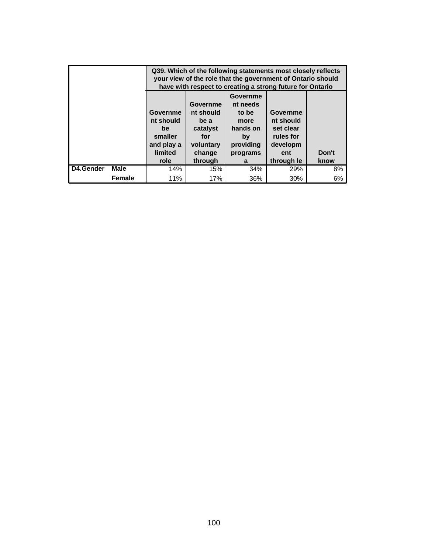|           |               | Q39. Which of the following statements most closely reflects<br>your view of the role that the government of Ontario should<br>have with respect to creating a strong future for Ontario |                                                                                    |                                                                                              |                                                                                  |               |  |  |
|-----------|---------------|------------------------------------------------------------------------------------------------------------------------------------------------------------------------------------------|------------------------------------------------------------------------------------|----------------------------------------------------------------------------------------------|----------------------------------------------------------------------------------|---------------|--|--|
|           |               | Governme<br>nt should<br>be<br>smaller<br>and play a<br>limited<br>role                                                                                                                  | Governme<br>nt should<br>be a<br>catalyst<br>for<br>voluntary<br>change<br>through | <b>Governme</b><br>nt needs<br>to be<br>more<br>hands on<br>by<br>providing<br>programs<br>a | Governme<br>nt should<br>set clear<br>rules for<br>developm<br>ent<br>through le | Don't<br>know |  |  |
| D4.Gender | <b>Male</b>   | 8%<br>14%<br>34%<br>15%<br>29%                                                                                                                                                           |                                                                                    |                                                                                              |                                                                                  |               |  |  |
|           | <b>Female</b> | 11%                                                                                                                                                                                      | 17%                                                                                | 36%                                                                                          | 30%                                                                              | 6%            |  |  |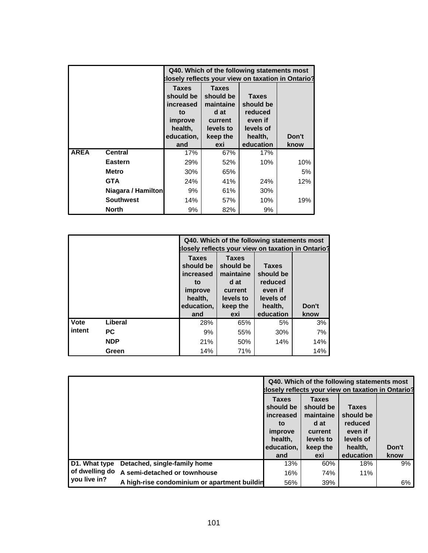|             |                    | Q40. Which of the following statements most<br>closely reflects your view on taxation in Ontario? |                                                                        |                                                              |       |  |  |
|-------------|--------------------|---------------------------------------------------------------------------------------------------|------------------------------------------------------------------------|--------------------------------------------------------------|-------|--|--|
|             |                    | <b>Taxes</b><br>should be<br>increased<br>to<br>improve<br>health,                                | <b>Taxes</b><br>should be<br>maintaine<br>d at<br>current<br>levels to | <b>Taxes</b><br>should be<br>reduced<br>even if<br>levels of |       |  |  |
|             |                    | education,                                                                                        | keep the                                                               | health,                                                      | Don't |  |  |
|             |                    | and                                                                                               | exi                                                                    | education                                                    | know  |  |  |
| <b>AREA</b> | <b>Central</b>     | 17%                                                                                               | 67%                                                                    | 17%                                                          |       |  |  |
|             | Eastern            | 29%                                                                                               | 52%                                                                    | 10%                                                          | 10%   |  |  |
|             | Metro              | 30%                                                                                               | 65%                                                                    |                                                              | 5%    |  |  |
|             | <b>GTA</b>         | 24%                                                                                               | 41%                                                                    | 24%                                                          | 12%   |  |  |
|             | Niagara / Hamilton | 9%                                                                                                | 61%                                                                    | 30%                                                          |       |  |  |
|             | <b>Southwest</b>   | 14%                                                                                               | 57%                                                                    | 10%                                                          | 19%   |  |  |
|             | <b>North</b>       | 9%                                                                                                | 82%                                                                    | 9%                                                           |       |  |  |

|        |            |                                                                                         |                                                                                           | Q40. Which of the following statements most<br>losely reflects your view on taxation in Ontario? |               |
|--------|------------|-----------------------------------------------------------------------------------------|-------------------------------------------------------------------------------------------|--------------------------------------------------------------------------------------------------|---------------|
|        |            | <b>Taxes</b><br>should be<br>increased<br>to<br>improve<br>health,<br>education,<br>and | <b>Taxes</b><br>should be<br>maintaine<br>d at<br>current<br>levels to<br>keep the<br>exi | <b>Taxes</b><br>should be<br>reduced<br>even if<br>levels of<br>health,<br>education             | Don't<br>know |
| Vote   | Liberal    | 28%                                                                                     | 65%                                                                                       | 5%                                                                                               | 3%            |
| intent | <b>PC</b>  | 9%                                                                                      | 55%                                                                                       | 30%                                                                                              | 7%            |
|        | <b>NDP</b> | 21%                                                                                     | 50%                                                                                       | 14%                                                                                              | 14%           |
|        | Green      | 14%                                                                                     | 71%                                                                                       |                                                                                                  | 14%           |

|                |                                              | Q40. Which of the following statements most<br>closely reflects your view on taxation in Ontario? |                           |                      |       |  |
|----------------|----------------------------------------------|---------------------------------------------------------------------------------------------------|---------------------------|----------------------|-------|--|
|                |                                              | <b>Taxes</b><br>should be                                                                         | <b>Taxes</b><br>should be | <b>Taxes</b>         |       |  |
|                |                                              | increased<br>to                                                                                   | maintaine<br>d at         | should be<br>reduced |       |  |
|                |                                              | improve                                                                                           | current                   | even if              |       |  |
|                |                                              | health.<br>education,                                                                             | levels to<br>keep the     | levels of<br>health, | Don't |  |
|                |                                              | and                                                                                               | exi                       | education            | know  |  |
| D1. What type  | Detached, single-family home                 | 13%                                                                                               | 60%                       | 18%                  | 9%    |  |
| of dwelling do | A semi-detached or townhouse                 | 16%                                                                                               | 74%                       | 11%                  |       |  |
| you live in?   | A high-rise condominium or apartment buildin | 56%                                                                                               | 39%                       |                      | 6%    |  |